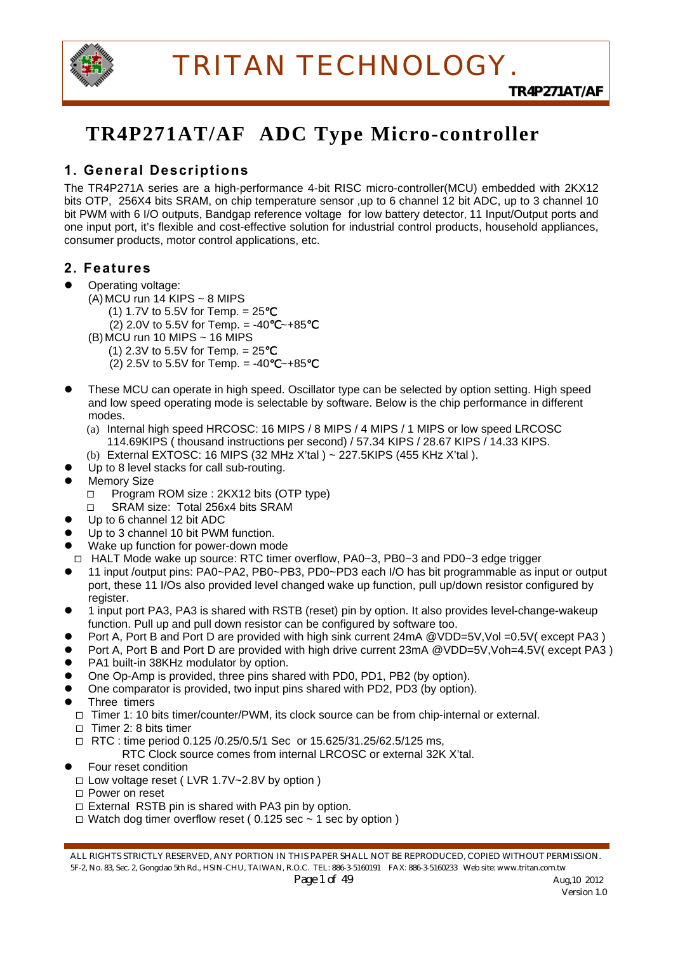

## **TR4P271AT/AF ADC Type Micro-controller**

## **1. General Descriptions**

The TR4P271A series are a high-performance 4-bit RISC micro-controller(MCU) embedded with 2KX12 bits OTP, 256X4 bits SRAM, on chip temperature sensor ,up to 6 channel 12 bit ADC, up to 3 channel 10 bit PWM with 6 I/O outputs, Bandgap reference voltage for low battery detector, 11 Input/Output ports and one input port, it's flexible and cost-effective solution for industrial control products, household appliances, consumer products, motor control applications, etc.

### **2. Features**

- Operating voltage:
	- $(A)$  MCU run 14 KIPS ~ 8 MIPS
		- $(1)$  1.7V to 5.5V for Temp. = 25
			- (2) 2.0V to 5.5V for Temp. = -40  $~\sim$ +85
	- (B) MCU run 10 MIPS ~ 16 MIPS
		- (1)  $2.3V$  to  $5.5V$  for Temp. =  $25$
		- (2) 2.5V to 5.5V for Temp. = -40  $~\sim$  +85
- These MCU can operate in high speed. Oscillator type can be selected by option setting. High speed and low speed operating mode is selectable by software. Below is the chip performance in different modes.
	- (a) Internal high speed HRCOSC: 16 MIPS / 8 MIPS / 4 MIPS / 1 MIPS or low speed LRCOSC 114.69KIPS ( thousand instructions per second) / 57.34 KIPS / 28.67 KIPS / 14.33 KIPS.
	- (b) External EXTOSC: 16 MIPS (32 MHz X'tal ) ~ 227.5KIPS (455 KHz X'tal ).
- Up to 8 level stacks for call sub-routing.
- Memory Size
	- □ Program ROM size : 2KX12 bits (OTP type)
	- SRAM size: Total 256x4 bits SRAM
- Up to 6 channel 12 bit ADC
- Up to 3 channel 10 bit PWM function.
- Wake up function for power-down mode
- HALT Mode wake up source: RTC timer overflow, PA0~3, PB0~3 and PD0~3 edge trigger
- z 11 input /output pins: PA0~PA2, PB0~PB3, PD0~PD3 each I/O has bit programmable as input or output port, these 11 I/Os also provided level changed wake up function, pull up/down resistor configured by register.
- 1 input port PA3, PA3 is shared with RSTB (reset) pin by option. It also provides level-change-wakeup function. Pull up and pull down resistor can be configured by software too.
- Port A, Port B and Port D are provided with high sink current 24mA @VDD=5V, Vol =0.5V( except PA3 )
- Port A, Port B and Port D are provided with high drive current 23mA @VDD=5V, Voh=4.5V( except PA3)
- PA1 built-in 38KHz modulator by option.
- One Op-Amp is provided, three pins shared with PD0, PD1, PB2 (by option).
- One comparator is provided, two input pins shared with PD2, PD3 (by option).
- Three timers
	- $\Box$  Timer 1: 10 bits timer/counter/PWM, its clock source can be from chip-internal or external.
	- $\Box$  Timer 2: 8 bits timer
	- $\Box$  RTC : time period 0.125 /0.25/0.5/1 Sec or 15.625/31.25/62.5/125 ms,
		- RTC Clock source comes from internal LRCOSC or external 32K X'tal.
- Four reset condition
	- Low voltage reset ( LVR 1.7V~2.8V by option )
	- □ Power on reset
	- $\Box$  External RSTB pin is shared with PA3 pin by option.
	- $\Box$  Watch dog timer overflow reset (0.125 sec  $\sim$  1 sec by option)

ALL RIGHTS STRICTLY RESERVED, ANY PORTION IN THIS PAPER SHALL NOT BE REPRODUCED, COPIED WITHOUT PERMISSION. 5F-2, No. 83, Sec. 2, Gongdao 5th Rd., HSIN-CHU, TAIWAN, R.O.C. TEL: 886-3-5160191 FAX: 886-3-5160233 Web site: www.tritan.com.tw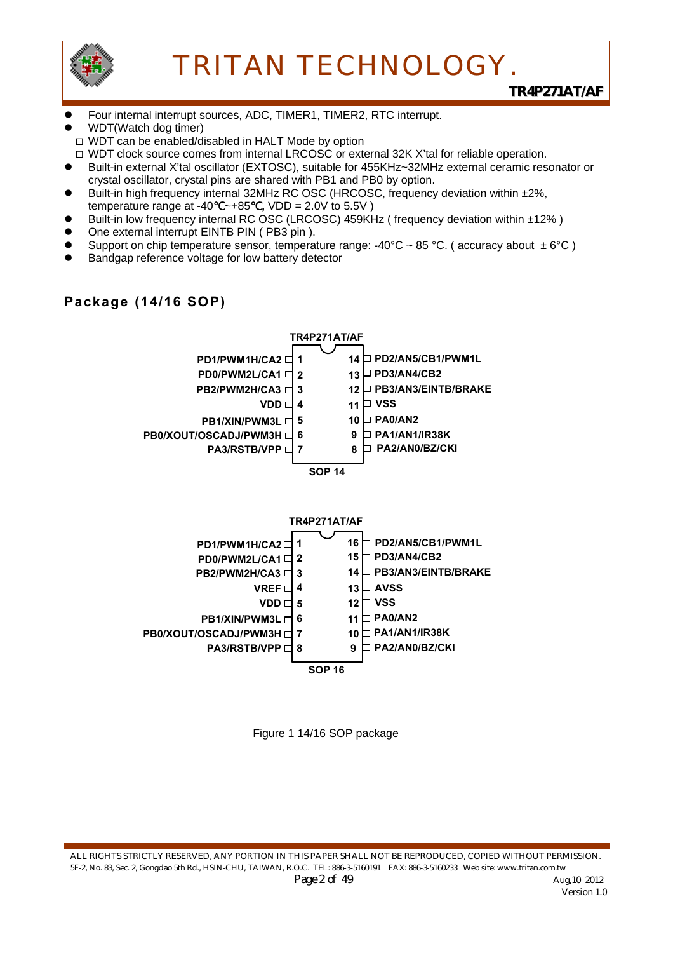

- Four internal interrupt sources, ADC, TIMER1, TIMER2, RTC interrupt.
- WDT(Watch dog timer)

**Package (14/16 SOP)** 

- □ WDT can be enabled/disabled in HALT Mode by option
- □ WDT clock source comes from internal LRCOSC or external 32K X'tal for reliable operation.
- Built-in external X'tal oscillator (EXTOSC), suitable for 455KHz~32MHz external ceramic resonator or crystal oscillator, crystal pins are shared with PB1 and PB0 by option.
- Built-in high frequency internal 32MHz RC OSC (HRCOSC, frequency deviation within ±2%, temperature range at -40℃~+85℃**,** VDD = 2.0V to 5.5V )
- Built-in low frequency internal RC OSC (LRCOSC) 459KHz (frequency deviation within ±12%)
- One external interrupt EINTB PIN (PB3 pin).
- Support on chip temperature sensor, temperature range: -40°C ~ 85 °C. (accuracy about  $\pm 6^{\circ}$ C)
- Bandgap reference voltage for low battery detector



## Figure 1 14/16 SOP package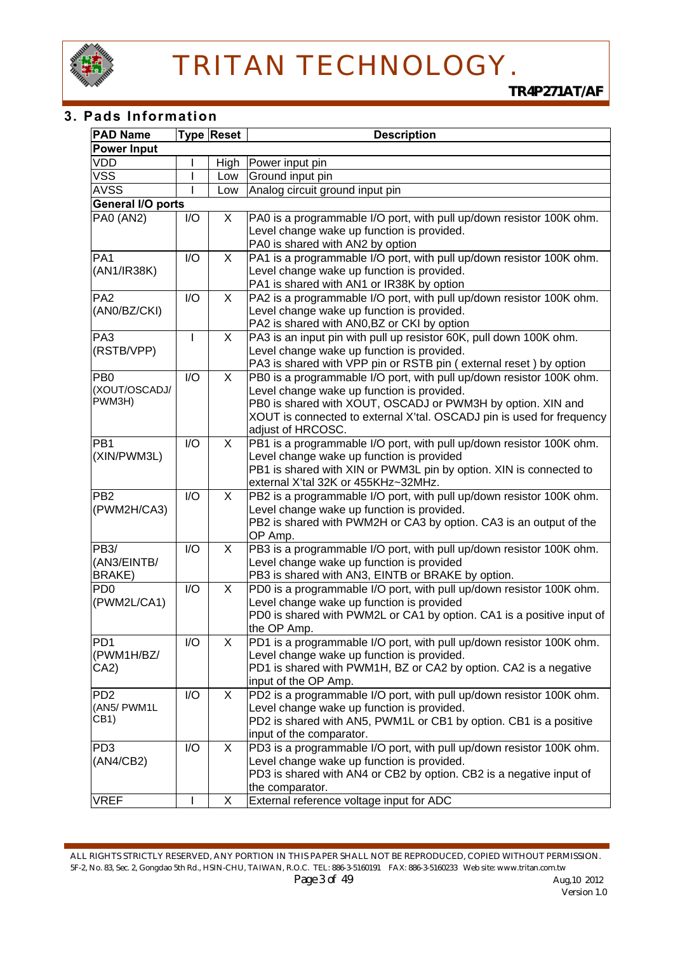

#### **3. Pads Information**

| <b>PAD Name</b>                                   |              | <b>Type Reset</b> | <b>Description</b>                                                                                                                                                                                                                                                              |
|---------------------------------------------------|--------------|-------------------|---------------------------------------------------------------------------------------------------------------------------------------------------------------------------------------------------------------------------------------------------------------------------------|
| <b>Power Input</b>                                |              |                   |                                                                                                                                                                                                                                                                                 |
| VDD                                               |              | High              | Power input pin                                                                                                                                                                                                                                                                 |
| VSS                                               |              | Low               | Ground input pin                                                                                                                                                                                                                                                                |
| <b>AVSS</b>                                       |              | Low               | Analog circuit ground input pin                                                                                                                                                                                                                                                 |
| General I/O ports                                 |              |                   |                                                                                                                                                                                                                                                                                 |
| <b>PA0 (AN2)</b>                                  | I/O          | X                 | PA0 is a programmable I/O port, with pull up/down resistor 100K ohm.<br>Level change wake up function is provided.<br>PA0 is shared with AN2 by option                                                                                                                          |
| PA <sub>1</sub><br>(AN1/IR38K)                    | I/O          | X                 | PA1 is a programmable I/O port, with pull up/down resistor 100K ohm.<br>Level change wake up function is provided.<br>PA1 is shared with AN1 or IR38K by option                                                                                                                 |
| PA <sub>2</sub><br>(AN0/BZ/CKI)                   | I/O          | X                 | PA2 is a programmable I/O port, with pull up/down resistor 100K ohm.<br>Level change wake up function is provided.<br>PA2 is shared with AN0, BZ or CKI by option                                                                                                               |
| PA3<br>(RSTB/VPP)                                 | $\mathbf{I}$ | X                 | PA3 is an input pin with pull up resistor 60K, pull down 100K ohm.<br>Level change wake up function is provided.<br>PA3 is shared with VPP pin or RSTB pin (external reset) by option                                                                                           |
| PB <sub>0</sub><br>(XOUT/OSCADJ/<br>PWM3H)        | I/O          | X                 | PB0 is a programmable I/O port, with pull up/down resistor 100K ohm.<br>Level change wake up function is provided.<br>PB0 is shared with XOUT, OSCADJ or PWM3H by option. XIN and<br>XOUT is connected to external X'tal. OSCADJ pin is used for frequency<br>adjust of HRCOSC. |
| PB <sub>1</sub><br>(XIN/PWM3L)                    | I/O          | $\mathsf{X}$      | PB1 is a programmable I/O port, with pull up/down resistor 100K ohm.<br>Level change wake up function is provided<br>PB1 is shared with XIN or PWM3L pin by option. XIN is connected to<br>external X'tal 32K or 455KHz~32MHz.                                                  |
| PB <sub>2</sub><br>(PWM2H/CA3)                    | I/O          | X                 | PB2 is a programmable I/O port, with pull up/down resistor 100K ohm.<br>Level change wake up function is provided.<br>PB2 is shared with PWM2H or CA3 by option. CA3 is an output of the<br>OP Amp.                                                                             |
| PB <sub>3</sub> /<br>(AN3/EINTB/<br>BRAKE)        | I/O          | X                 | PB3 is a programmable I/O port, with pull up/down resistor 100K ohm.<br>Level change wake up function is provided<br>PB3 is shared with AN3, EINTB or BRAKE by option.                                                                                                          |
| PD <sub>0</sub><br>(PWM2L/CA1)                    | I/O          | X                 | PD0 is a programmable I/O port, with pull up/down resistor 100K ohm.<br>Level change wake up function is provided<br>PD0 is shared with PWM2L or CA1 by option. CA1 is a positive input of<br>the OP Amp.                                                                       |
| PD <sub>1</sub><br>(PWM1H/BZ/<br>CA2)             | I/O          | X.                | PD1 is a programmable I/O port, with pull up/down resistor 100K ohm.<br>Level change wake up function is provided.<br>PD1 is shared with PWM1H, BZ or CA2 by option. CA2 is a negative<br>input of the OP Amp.                                                                  |
| PD <sub>2</sub><br>(AN5/ PWM1L<br>CB <sub>1</sub> | I/O          | X                 | PD2 is a programmable I/O port, with pull up/down resistor 100K ohm.<br>Level change wake up function is provided.<br>PD2 is shared with AN5, PWM1L or CB1 by option. CB1 is a positive<br>input of the comparator.                                                             |
| PD <sub>3</sub><br>(AN4/CB2)                      | I/O          | X                 | PD3 is a programmable I/O port, with pull up/down resistor 100K ohm.<br>Level change wake up function is provided.<br>PD3 is shared with AN4 or CB2 by option. CB2 is a negative input of<br>the comparator.                                                                    |
| <b>VREF</b>                                       |              | X                 | External reference voltage input for ADC                                                                                                                                                                                                                                        |

ALL RIGHTS STRICTLY RESERVED, ANY PORTION IN THIS PAPER SHALL NOT BE REPRODUCED, COPIED WITHOUT PERMISSION. 5F-2, No. 83, Sec. 2, Gongdao 5th Rd., HSIN-CHU, TAIWAN, R.O.C. TEL: 886-3-5160191 FAX: 886-3-5160233 Web site: www.tritan.com.tw *Page 3 of 49 Aug,10 2012 Aug,10 2012 Version 1.0*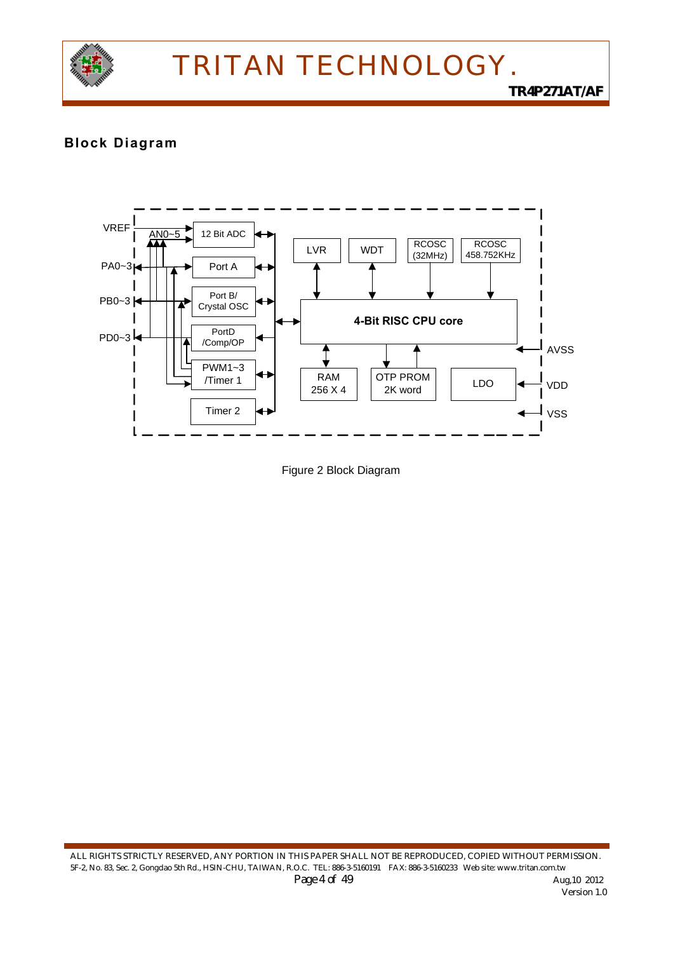

*TR4P271AT/AF*

### **Block Diagram**



Figure 2 Block Diagram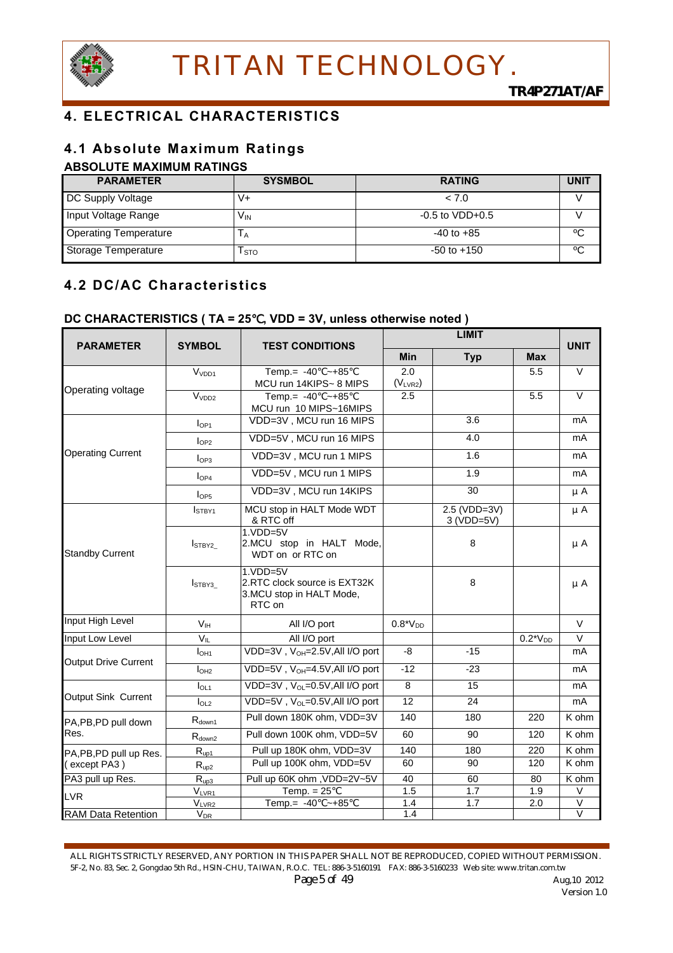

## **4. ELECTRICAL CHARACTERISTICS**

### **4.1 Absolute Maximum Ratings**

#### **ABSOLUTE MAXIMUM RATINGS**

| <b>PARAMETER</b>             | <b>SYSMBOL</b> | <b>RATING</b>       | <b>UNIT</b> |
|------------------------------|----------------|---------------------|-------------|
| DC Supply Voltage            | v+             | < 7.0               |             |
| Input Voltage Range          | Vın            | $-0.5$ to $VDD+0.5$ |             |
| <b>Operating Temperature</b> | IА             | $-40$ to $+85$      | ℃           |
| Storage Temperature          | l sto          | $-50$ to $+150$     | °C          |

## **4.2 DC/AC Characteristics**

### **DC CHARACTERISTICS ( TA = 25**℃**, VDD = 3V, unless otherwise noted )**

| <b>PARAMETER</b>            | <b>SYMBOL</b><br><b>TEST CONDITIONS</b> |                                                                                  |                     | <b>UNIT</b>                  |               |                              |
|-----------------------------|-----------------------------------------|----------------------------------------------------------------------------------|---------------------|------------------------------|---------------|------------------------------|
|                             |                                         |                                                                                  | Min                 | <b>Typ</b>                   | <b>Max</b>    |                              |
|                             | V <sub>VDD1</sub>                       | Temp.= $-40$ ~+85<br>MCU run 14KIPS~ 8 MIPS                                      | 2.0<br>$(V_{LVR2})$ |                              | 5.5           | $\vee$                       |
| Operating voltage           | V <sub>VDD2</sub>                       | Temp.= $-40$ ~+85<br>MCU run 10 MIPS~16MIPS                                      | 2.5                 |                              | 5.5           | $\vee$                       |
|                             | I <sub>OP1</sub>                        | VDD=3V, MCU run 16 MIPS                                                          |                     | 3.6                          |               | mA                           |
|                             | $I_{OP2}$                               | VDD=5V, MCU run 16 MIPS                                                          |                     | 4.0                          |               | mA                           |
| <b>Operating Current</b>    | I <sub>OP3</sub>                        | VDD=3V, MCU run 1 MIPS                                                           |                     | 1.6                          |               | mA                           |
|                             | I <sub>OP4</sub>                        | VDD=5V, MCU run 1 MIPS                                                           |                     | 1.9                          |               | mA                           |
|                             | I <sub>OP5</sub>                        | VDD=3V, MCU run 14KIPS                                                           |                     | 30                           |               | $\mu$ A                      |
|                             | I <sub>STBY1</sub>                      | MCU stop in HALT Mode WDT<br>& RTC off                                           |                     | $2.5 (VDD=3V)$<br>3 (VDD=5V) |               | $\mu$ A                      |
| <b>Standby Current</b>      | I <sub>STBY2</sub>                      | $1.VDD=5V$<br>2.MCU stop in HALT Mode,<br>WDT on or RTC on                       |                     | 8                            |               | μA                           |
|                             | I <sub>STBY3</sub>                      | $1.VDD=5V$<br>2.RTC clock source is EXT32K<br>3.MCU stop in HALT Mode,<br>RTC on |                     | 8                            |               | $\mu$ A                      |
| Input High Level            | V <sub>IH</sub>                         | All I/O port                                                                     | $0.8*VDD$           |                              |               | $\vee$                       |
| Input Low Level             | $V_{IL}$                                | All I/O port                                                                     |                     |                              | $0.2^*V_{DD}$ | $\overline{\vee}$            |
|                             | I <sub>ОН1</sub>                        | VDD=3V, V <sub>OH</sub> =2.5V, All I/O port                                      | -8                  | $-15$                        |               | mA                           |
| <b>Output Drive Current</b> | I <sub>OH2</sub>                        | VDD=5V, V <sub>OH</sub> =4.5V, All I/O port                                      | $-12$               | $-23$                        |               | mA                           |
|                             | I <sub>OL1</sub>                        | VDD= $3V$ , $V_{OL} = 0.5V$ , All I/O port                                       | 8                   | 15                           |               | mA                           |
| Output Sink Current         | I <sub>OL2</sub>                        | VDD=5V, V <sub>OL</sub> =0.5V, All I/O port                                      | 12                  | 24                           |               | mA                           |
| PA, PB, PD pull down        | $R_{down1}$                             | Pull down 180K ohm, VDD=3V                                                       | 140                 | 180                          | 220           | K ohm                        |
| Res.                        | $R_{down2}$                             | Pull down 100K ohm, VDD=5V                                                       | 60                  | 90                           | 120           | K ohm                        |
| PA, PB, PD pull up Res.     | $R_{up1}$                               | Pull up 180K ohm, VDD=3V                                                         | 140                 | 180                          | 220           | K ohm                        |
| (except PA3)                | $R_{up2}$                               | Pull up 100K ohm, VDD=5V                                                         | 60                  | 90                           | 120           | K ohm                        |
| PA3 pull up Res.            | $R_{\underline{up3}}$                   | Pull up 60K ohm , VDD=2V~5V                                                      | 40                  | 60                           | 80            | K ohm                        |
| <b>LVR</b>                  | $V_{LVR1}$                              | Temp. $= 25$                                                                     | 1.5                 | 1.7<br>1.7                   | 1.9           | V<br>$\overline{\mathsf{V}}$ |
| RAM Data Retention          | $V_{LVR2}$<br>$V_{DR}$                  | Temp.= $-40$ ~+85                                                                | 1.4<br>1.4          |                              | 2.0           | $\overline{\vee}$            |

ALL RIGHTS STRICTLY RESERVED, ANY PORTION IN THIS PAPER SHALL NOT BE REPRODUCED, COPIED WITHOUT PERMISSION. 5F-2, No. 83, Sec. 2, Gongdao 5th Rd., HSIN-CHU, TAIWAN, R.O.C. TEL: 886-3-5160191 FAX: 886-3-5160233 Web site: www.tritan.com.tw *Page 5 of 49 Aug,10 2012*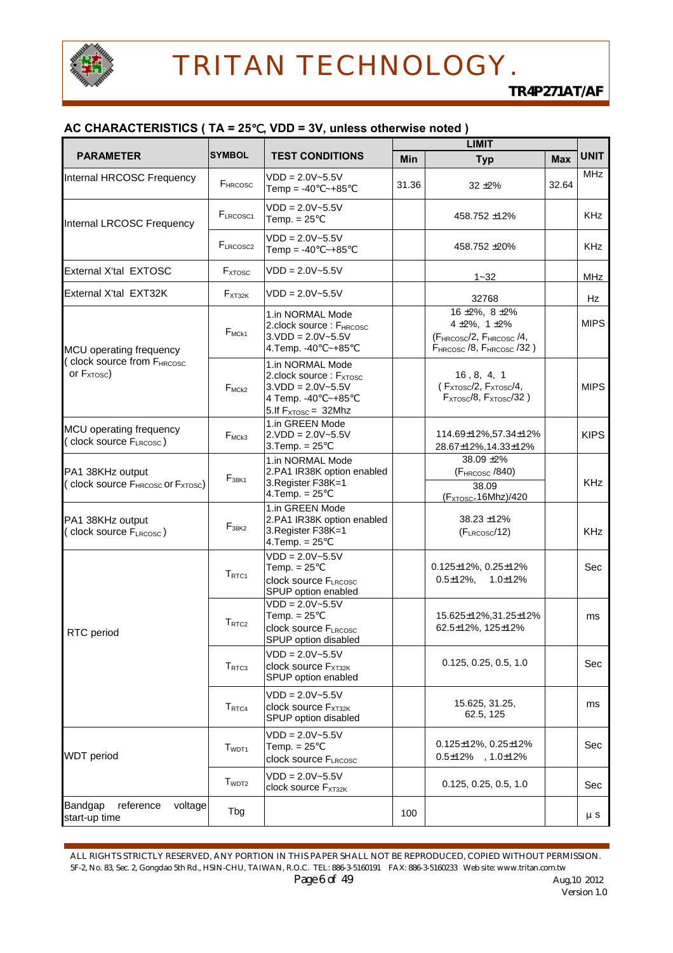

#### **AC CHARACTERISTICS ( TA = 25**℃**, VDD = 3V, unless otherwise noted )**

|                                                                               |                           |                                                                                                                                     |            | <b>LIMIT</b>                                                                                                                                         |            |             |  |
|-------------------------------------------------------------------------------|---------------------------|-------------------------------------------------------------------------------------------------------------------------------------|------------|------------------------------------------------------------------------------------------------------------------------------------------------------|------------|-------------|--|
| <b>PARAMETER</b>                                                              | <b>SYMBOL</b>             | <b>TEST CONDITIONS</b>                                                                                                              | <b>Min</b> | <b>Typ</b>                                                                                                                                           | <b>Max</b> | <b>UNIT</b> |  |
| Internal HRCOSC Frequency                                                     | F <sub>HRCOSC</sub>       | $VDD = 2.0V - 5.5V$<br>Temp = $-40$ ~ +85                                                                                           | 31.36      | $32 + 2%$                                                                                                                                            | 32.64      | <b>MHz</b>  |  |
| Internal LRCOSC Frequency                                                     | FLRCOSC <sub>1</sub>      | $VDD = 2.0V - 5.5V$<br>Temp. $= 25$                                                                                                 |            | 458.752 ±12%                                                                                                                                         |            | <b>KHz</b>  |  |
|                                                                               | F <sub>LRCOSC2</sub>      | $VDD = 2.0V - 5.5V$<br>Temp = $-40$ ~ +85                                                                                           |            | 458.752 ±20%                                                                                                                                         |            | <b>KHz</b>  |  |
| External X'tal EXTOSC                                                         | <b>F</b> <sub>XTOSC</sub> | $VDD = 2.0V - 5.5V$                                                                                                                 |            | $1 - 32$                                                                                                                                             |            | <b>MHz</b>  |  |
| External X'tal EXT32K                                                         | $F_{XT32K}$               | $VDD = 2.0V - 5.5V$                                                                                                                 |            | 32768                                                                                                                                                |            | Hz          |  |
| MCU operating frequency                                                       | $F_{MCK1}$                | 1.in NORMAL Mode<br>2.clock source: FHRCOSC<br>$3.VDD = 2.0V - 5.5V$<br>4. Temp. - 40 ~ + 85                                        |            | $16 \pm 2\%$ , $8 \pm 2\%$<br>4 ± 2%, 1 ± 2%<br>(F <sub>HRCOSC</sub> /2, F <sub>HRCOSC</sub> /4,<br>F <sub>HRCOSC</sub> /8, F <sub>HRCOSC</sub> /32) |            | <b>MIPS</b> |  |
| clock source from FHRCOSC<br>or $F_{XTOSC}$ )                                 | $F_{MCK2}$                | 1.in NORMAL Mode<br>2.clock source: $F_{\text{XTOSC}}$<br>$3.VDD = 2.0V - 5.5V$<br>4 Temp. - 40 ~ + 85<br>5. If $F_{XTOSC}$ = 32Mhz |            | 16, 8, 4, 1<br>( $F_{XTOSC}/2, F_{XTOSC}/4,$<br>$F_{XTOSC}/8$ , $F_{XTOSC}/32$ )                                                                     |            | <b>MIPS</b> |  |
| MCU operating frequency<br>(clock source FLRCOSC)                             | $F_{MCk3}$                | 1.in GREEN Mode<br>$2.VDD = 2.0V - 5.5V$<br>$3.$ Temp. = 25                                                                         |            | 114.69±12%,57.34±12%<br>28.67±12%,14.33±12%                                                                                                          |            | <b>KIPS</b> |  |
| PA1 38KHz output<br>(clock source F <sub>HRCOSC</sub> or F <sub>XTOSC</sub> ) | $F_{38K1}$                | 1.in NORMAL Mode<br>2.PA1 IR38K option enabled<br>3. Register F38K=1<br>$4.$ Temp. = 25                                             |            | 38.09 ±2%<br>$(F_{HRCOSC}$ /840)<br>38.09<br>$(F_{XTOSC=16Mhz})/420$                                                                                 |            | <b>KHz</b>  |  |
| PA1 38KHz output<br>clock source FLRCOSC)                                     | F <sub>38K2</sub>         | 1.in GREEN Mode<br>2.PA1 IR38K option enabled<br>3. Register F38K=1<br>$4.$ Temp. = 25                                              |            | 38.23 ±12%<br>$(F_{LRCOSC}/12)$                                                                                                                      |            | <b>KHz</b>  |  |
|                                                                               | T <sub>RTC1</sub>         | $VDD = 2.0V - 5.5V$<br>Temp. $= 25$<br>clock source FLRCOSC<br>SPUP option enabled                                                  |            | $0.125 \pm 12\%$ , $0.25 \pm 12\%$<br>$0.5 \pm 12\%$ , $1.0 \pm 12\%$                                                                                |            | Sec         |  |
| RTC period                                                                    | T <sub>RTC2</sub>         | $VDD = 2.0V - 5.5V$<br>Temp. $= 25$<br>clock source FLRCOSC<br>SPUP option disabled                                                 |            | 15.625±12%,31.25±12%<br>62.5±12%, 125±12%                                                                                                            |            | ms          |  |
|                                                                               | T <sub>RTC3</sub>         | $VDD = 2.0V - 5.5V$<br>clock source FxT32K<br>SPUP option enabled                                                                   |            | 0.125, 0.25, 0.5, 1.0                                                                                                                                |            | Sec         |  |
|                                                                               | $T_{RTC4}$                | $VDD = 2.0V - 5.5V$<br>clock source $F_{XT32K}$<br>SPUP option disabled                                                             |            | 15.625, 31.25,<br>62.5, 125                                                                                                                          |            | ms          |  |
| <b>WDT</b> period                                                             | T <sub>WDT1</sub>         | $VDD = 2.0V - 5.5V$<br>Temp. $= 25$<br>clock source FLRCOSC                                                                         |            | $0.125 \pm 12\%$ , $0.25 \pm 12\%$<br>$0.5 \pm 12\%$ , 1.0 $\pm 12\%$                                                                                |            | Sec         |  |
|                                                                               | T <sub>WDT2</sub>         | $VDD = 2.0V - 5.5V$<br>clock source FXT32K                                                                                          |            | 0.125, 0.25, 0.5, 1.0                                                                                                                                |            | Sec         |  |
| Bandgap<br>reference<br>voltage<br>start-up time                              | Tbg                       |                                                                                                                                     | 100        |                                                                                                                                                      |            | $\mu$ S     |  |

ALL RIGHTS STRICTLY RESERVED, ANY PORTION IN THIS PAPER SHALL NOT BE REPRODUCED, COPIED WITHOUT PERMISSION. 5F-2, No. 83, Sec. 2, Gongdao 5th Rd., HSIN-CHU, TAIWAN, R.O.C. TEL: 886-3-5160191 FAX: 886-3-5160233 Web site: www.tritan.com.tw *Page 6 of 49 Aug,10 2012*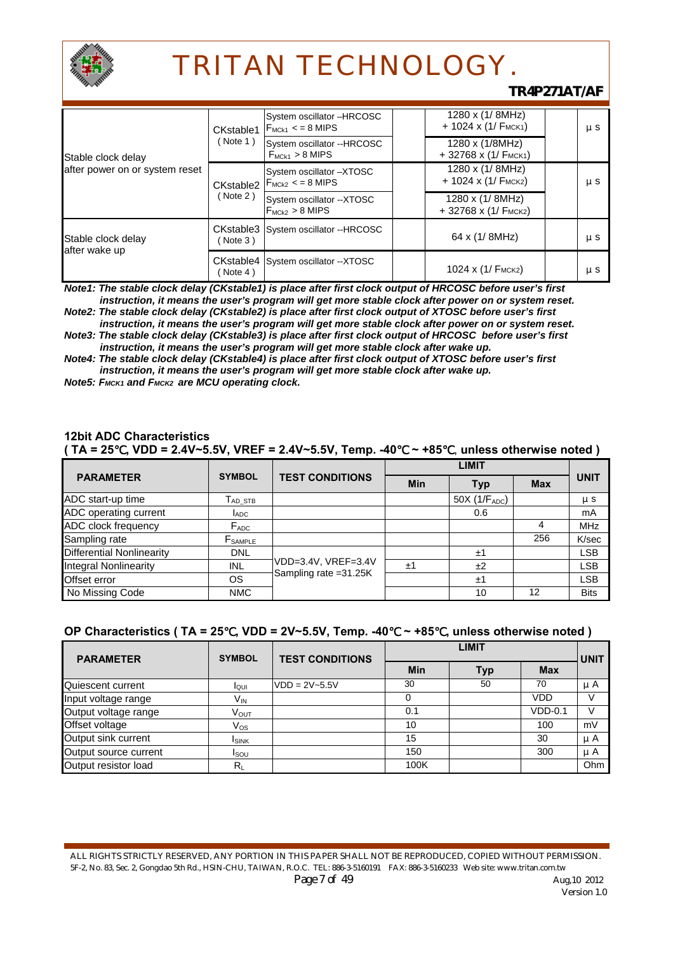

### *TR4P271AT/AF*

| Stable clock delay<br>after power on or system reset | CKstable1 | System oscillator -HRCOSC<br>$F_{MCK1}$ < = 8 MIPS           | $1280 \times (1/8)$ MHz)<br>$+ 1024 \times (1/FMCK1)$ | $\mu$ S |
|------------------------------------------------------|-----------|--------------------------------------------------------------|-------------------------------------------------------|---------|
|                                                      | ( Note 1) | System oscillator --HRCOSC<br>$F_{MCK1} > 8$ MIPS            | 1280 x (1/8MHz)<br>$+32768 \times (1/FMCK1)$          |         |
|                                                      |           | System oscillator -XTOSC<br>CKstable2 $ F_{MCk2}$ < = 8 MIPS | 1280 x (1/ 8MHz)<br>$+ 1024 \times (1/FMCK2)$         | $\mu$ S |
|                                                      | ( Note 2) | System oscillator -- XTOSC<br>$F_{MCk2} > 8$ MIPS            | 1280 x (1/ 8MHz)<br>$+32768 \times (1/$ FMCK2)        |         |
| Stable clock delay<br>after wake up                  | ( Note 3) | CKstable3 System oscillator -- HRCOSC                        | 64 x (1/8MHz)                                         | $\mu$ S |
|                                                      | (Note 4)  | CKstable4 System oscillator -- XTOSC                         | 1024 x $(1/$ F <sub>MCK2</sub> )                      | μS      |

*Note1: The stable clock delay (CKstable1) is place after first clock output of HRCOSC before user's first instruction, it means the user's program will get more stable clock after power on or system reset.* 

*Note2: The stable clock delay (CKstable2) is place after first clock output of XTOSC before user's first instruction, it means the user's program will get more stable clock after power on or system reset. Note3: The stable clock delay (CKstable3) is place after first clock output of HRCOSC before user's first* 

*instruction, it means the user's program will get more stable clock after wake up. Note4: The stable clock delay (CKstable4) is place after first clock output of XTOSC before user's first* 

*instruction, it means the user's program will get more stable clock after wake up.*  **Note5: Fмск1 and Fмск2 are MCU operating clock.** 

#### **12bit ADC Characteristics**

|  |  |  |  | (TA = 25, VDD = 2.4V~5.5V, VREF = 2.4V~5.5V, Temp. -40 $\sim$ +85, unless otherwise noted) |
|--|--|--|--|--------------------------------------------------------------------------------------------|
|--|--|--|--|--------------------------------------------------------------------------------------------|

| <b>PARAMETER</b>                 | <b>SYMBOL</b>    | <b>TEST CONDITIONS</b> | Min | <b>Typ</b>   | <b>Max</b> | <b>UNIT</b> |
|----------------------------------|------------------|------------------------|-----|--------------|------------|-------------|
| ADC start-up time                | $T_{AD}$ stb     |                        |     | 50X (1/FADC) |            | $\mu$ S     |
| ADC operating current            | <b>LADC</b>      |                        |     | 0.6          |            | mA          |
| ADC clock frequency              | $F_{ADC}$        |                        |     |              |            | <b>MHz</b>  |
| Sampling rate                    | $F_{\sf SAMPLE}$ |                        |     |              | 256        | K/sec       |
| <b>Differential Nonlinearity</b> | <b>DNL</b>       |                        |     | ±1           |            | <b>LSB</b>  |
| <b>Integral Nonlinearity</b>     | INL              | VDD=3.4V, VREF=3.4V    | ±1  | ±2           |            | <b>LSB</b>  |
| Offset error                     | <b>OS</b>        | Sampling rate = 31.25K |     | ±1           |            | <b>LSB</b>  |
| No Missing Code                  | <b>NMC</b>       |                        |     | 10           | 12         | <b>Bits</b> |

#### **OP Characteristics ( TA = 25**℃**, VDD = 2V~5.5V, Temp. -40**℃ **~ +85**℃**, unless otherwise noted )**

| <b>PARAMETER</b>      | <b>TEST CONDITIONS</b><br><b>SYMBOL</b> |                   | <b>LIMIT</b> |     |            |             |
|-----------------------|-----------------------------------------|-------------------|--------------|-----|------------|-------------|
|                       |                                         |                   | Min          | Typ | Max        | <b>UNIT</b> |
| Quiescent current     | lour                                    | $VDD = 2V - 5.5V$ | 30           | 50  | 70         | μA          |
| Input voltage range   | V <sub>IN</sub>                         |                   |              |     | <b>VDD</b> |             |
| Output voltage range  | V <sub>ouт</sub>                        |                   | 0.1          |     | $VDD-0.1$  | V           |
| Offset voltage        | Vos                                     |                   | 10           |     | 100        | mV          |
| Output sink current   | <b>ISINK</b>                            |                   | 15           |     | 30         | $\mu$ A     |
| Output source current | <b>I</b> sou                            |                   | 150          |     | 300        | $\mu$ A     |
| Output resistor load  | $R_L$                                   |                   | 100K         |     |            | Ohm         |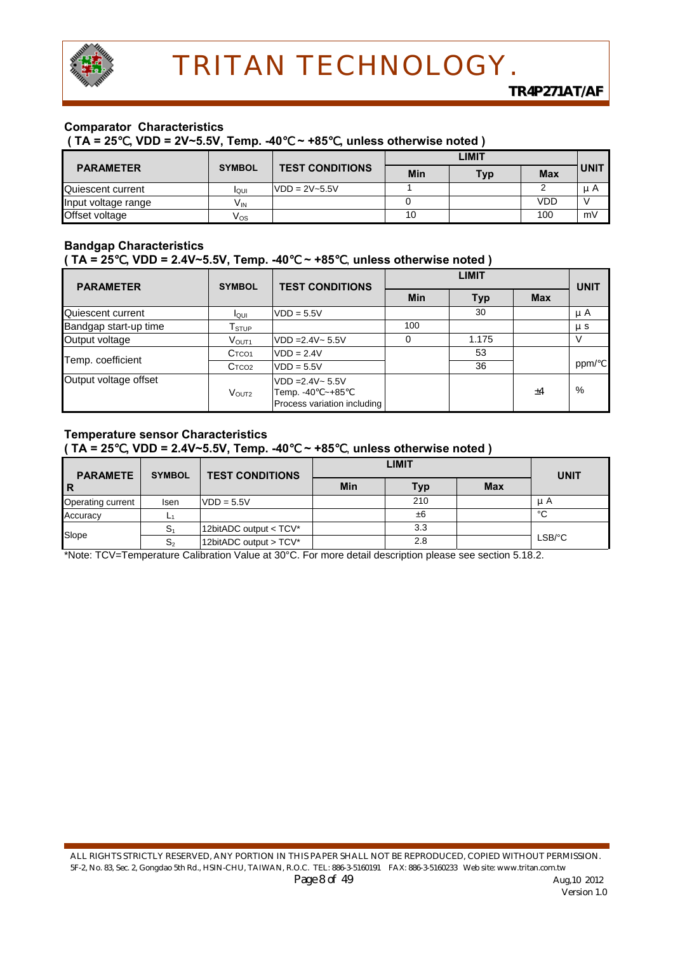

#### **Comparator Characteristics**

 **( TA = 25**℃**, VDD = 2V~5.5V, Temp. -40**℃ **~ +85**℃**, unless otherwise noted )** 

|                     |               |                        | LIMIT |            |            |             |
|---------------------|---------------|------------------------|-------|------------|------------|-------------|
| <b>PARAMETER</b>    | <b>SYMBOL</b> | <b>TEST CONDITIONS</b> | Min   | <b>Typ</b> | <b>Max</b> | <b>UNIT</b> |
| Quiescent current   | loui          | $VDD = 2V - 5.5V$      |       |            |            | u A         |
| Input voltage range | $V_{IN}$      |                        |       |            | <b>VDD</b> |             |
| Offset voltage      | Vos           |                        | 10    |            | 100        | mV          |

#### **Bandgap Characteristics ( TA = 25**℃**, VDD = 2.4V~5.5V, Temp. -40**℃ **~ +85**℃, **unless otherwise noted )**

| <b>PARAMETER</b>      | <b>SYMBOL</b>               | <b>TEST CONDITIONS</b>                                                     |     | <b>UNIT</b> |            |         |
|-----------------------|-----------------------------|----------------------------------------------------------------------------|-----|-------------|------------|---------|
|                       |                             |                                                                            | Min | <b>Typ</b>  | <b>Max</b> |         |
| Quiescent current     | loui                        | $VDD = 5.5V$                                                               |     | 30          |            | μA      |
| Bandgap start-up time | ${\mathsf T}_{\text{STUP}}$ |                                                                            | 100 |             |            | $\mu$ S |
| Output voltage        | VOUT <sub>1</sub>           | $VDD = 2.4V - 5.5V$                                                        |     | 1.175       |            |         |
|                       | C <sub>TCO1</sub>           | $VDD = 2.4V$                                                               |     | 53          |            |         |
| Temp. coefficient     | C <sub>TCO2</sub>           | $VDD = 5.5V$                                                               |     | 36          |            | ppm/    |
| Output voltage offset | $V_{\text{OUT2}}$           | $VDD = 2.4V - 5.5V$<br>Temp. $-40 \sim +85$<br>Process variation including |     |             | ±4         | $\%$    |

#### **Temperature sensor Characteristics ( TA = 25**℃**, VDD = 2.4V~5.5V, Temp. -40**℃ **~ +85**℃, **unless otherwise noted )**

| <b>PARAMETE</b>   | <b>SYMBOL</b>  | <b>TEST CONDITIONS</b> |     | <b>LIMIT</b> |            |             |  |
|-------------------|----------------|------------------------|-----|--------------|------------|-------------|--|
| l R               |                |                        | Min | <b>Typ</b>   | <b>Max</b> | <b>UNIT</b> |  |
| Operating current | <b>Isen</b>    | $VDD = 5.5V$           |     | 210          |            | μA          |  |
| Accuracy          | ∽              |                        |     | ±6           |            | °C          |  |
| Slope             | S.             | 12bitADC output < TCV* |     | 3.3          |            |             |  |
|                   | S <sub>2</sub> | 12bitADC output > TCV* |     | 2.8          |            | LSB/°C      |  |

\*Note: TCV=Temperature Calibration Value at 30°C. For more detail description please see section 5.18.2.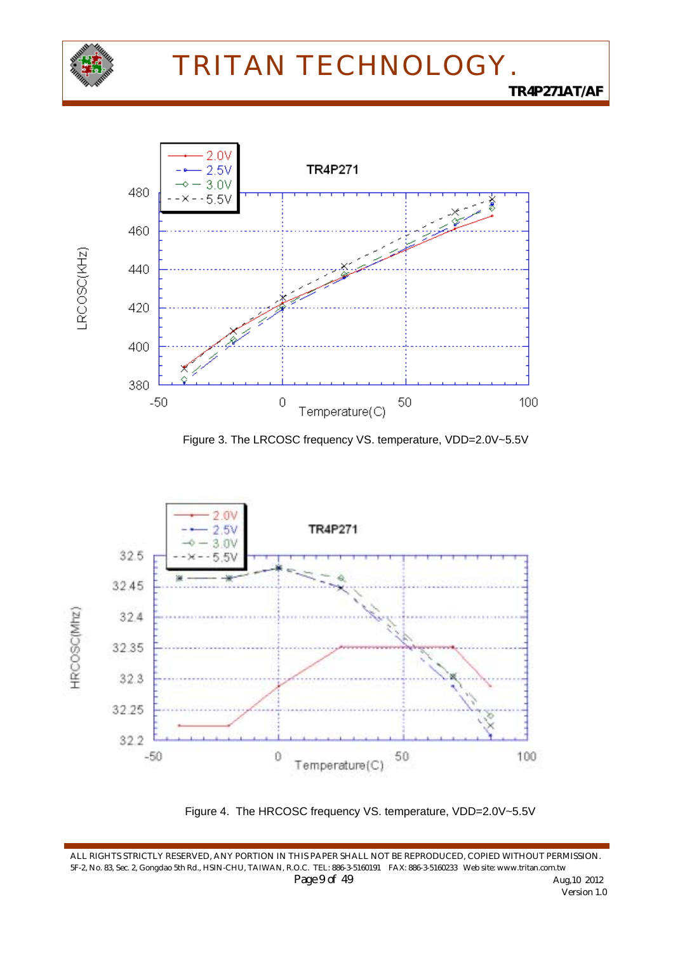









ALL RIGHTS STRICTLY RESERVED, ANY PORTION IN THIS PAPER SHALL NOT BE REPRODUCED, COPIED WITHOUT PERMISSION. 5F-2, No. 83, Sec. 2, Gongdao 5th Rd., HSIN-CHU, TAIWAN, R.O.C. TEL: 886-3-5160191 FAX: 886-3-5160233 Web site: www.tritan.com.tw *Page 9 of 49 Aug,10 2012 Aug,10 2012 Version 1.0*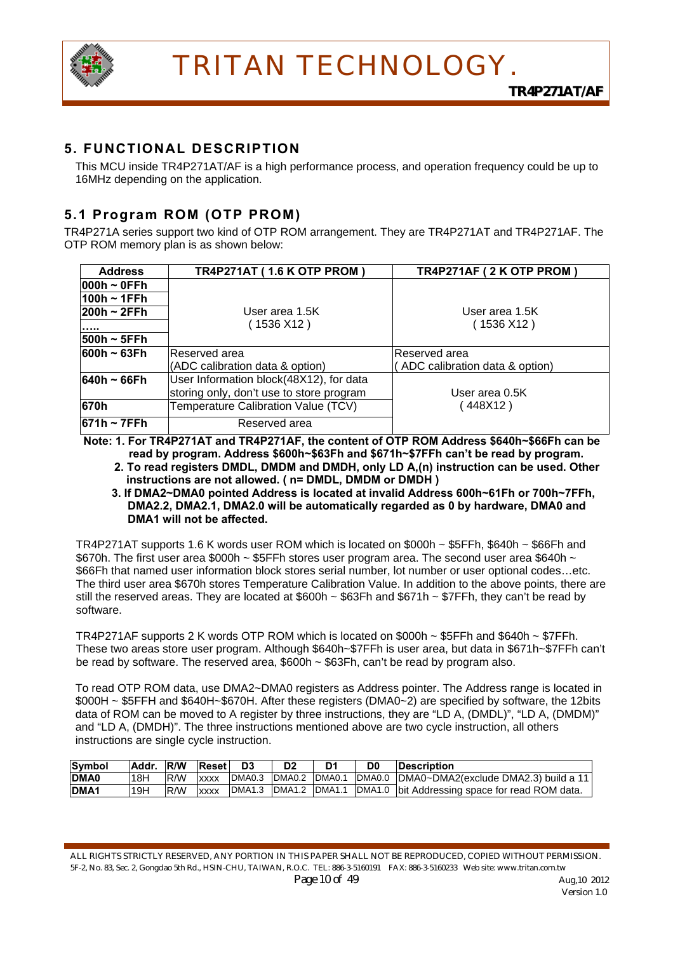

### **5. FUNCTIONAL DESCRIPTION**

This MCU inside TR4P271AT/AF is a high performance process, and operation frequency could be up to 16MHz depending on the application.

### **5.1 Program ROM (OTP PROM)**

TR4P271A series support two kind of OTP ROM arrangement. They are TR4P271AT and TR4P271AF. The OTP ROM memory plan is as shown below:

| <b>Address</b>  | <b>TR4P271AT (1.6 K OTP PROM)</b>        | TR4P271AF (2 K OTP PROM)        |
|-----------------|------------------------------------------|---------------------------------|
| $ 000h - 0$ FFh |                                          |                                 |
| $100h - 1FFh$   |                                          |                                 |
| $ 200h - 2FFh $ | User area 1.5K                           | User area 1.5K                  |
|                 | (1536 X12 )                              | (1536 X12 )                     |
| $ 500h - 5FFh $ |                                          |                                 |
| $1600h - 63Fh$  | Reserved area                            | lReserved area                  |
|                 | (ADC calibration data & option)          | (ADC calibration data & option) |
| $640h - 66Fh$   | User Information block(48X12), for data  |                                 |
|                 | storing only, don't use to store program | User area 0.5K                  |
| 670h            | Temperature Calibration Value (TCV)      | (448X12)                        |
| $ 671h - 7FFh $ | Reserved area                            |                                 |

**Note: 1. For TR4P271AT and TR4P271AF, the content of OTP ROM Address \$640h~\$66Fh can be read by program. Address \$600h~\$63Fh and \$671h~\$7FFh can't be read by program.** 

 **2. To read registers DMDL, DMDM and DMDH, only LD A,(n) instruction can be used. Other instructions are not allowed. ( n= DMDL, DMDM or DMDH )** 

**3. If DMA2~DMA0 pointed Address is located at invalid Address 600h~61Fh or 700h~7FFh, DMA2.2, DMA2.1, DMA2.0 will be automatically regarded as 0 by hardware, DMA0 and DMA1 will not be affected.** 

TR4P271AT supports 1.6 K words user ROM which is located on \$000h ~ \$5FFh, \$640h ~ \$66Fh and \$670h. The first user area \$000h ~ \$5FFh stores user program area. The second user area \$640h ~ \$66Fh that named user information block stores serial number, lot number or user optional codes…etc. The third user area \$670h stores Temperature Calibration Value. In addition to the above points, there are still the reserved areas. They are located at \$600h  $\sim$  \$63Fh and \$671h  $\sim$  \$7FFh, they can't be read by software.

TR4P271AF supports 2 K words OTP ROM which is located on \$000h ~ \$5FFh and \$640h ~ \$7FFh. These two areas store user program. Although \$640h~\$7FFh is user area, but data in \$671h~\$7FFh can't be read by software. The reserved area, \$600h ~ \$63Fh, can't be read by program also.

To read OTP ROM data, use DMA2~DMA0 registers as Address pointer. The Address range is located in \$000H ~ \$5FFH and \$640H~\$670H. After these registers (DMA0~2) are specified by software, the 12bits data of ROM can be moved to A register by three instructions, they are "LD A, (DMDL)", "LD A, (DMDM)" and "LD A, (DMDH)". The three instructions mentioned above are two cycle instruction, all others instructions are single cycle instruction.

| Symbol           | Addr. R/W |      | Reset       | D <sub>3</sub> | D <sub>2</sub> | D <sub>1</sub> | D <sub>0</sub> | <b>Description</b>                             |
|------------------|-----------|------|-------------|----------------|----------------|----------------|----------------|------------------------------------------------|
| <b>DMA0</b>      | 18H       | IR/W | <b>XXXX</b> | DMA0.3         | IDMA0.2        | DMA0.1         |                | DMA0.0  DMA0~DMA2(exclude DMA2.3) build a 11   |
| DMA <sub>1</sub> | 19H       | R/W  | <b>XXXX</b> | DMA1.3         | DMA1.2         | DMA1.1         |                | DMA1.0 bit Addressing space for read ROM data. |

ALL RIGHTS STRICTLY RESERVED, ANY PORTION IN THIS PAPER SHALL NOT BE REPRODUCED, COPIED WITHOUT PERMISSION. 5F-2, No. 83, Sec. 2, Gongdao 5th Rd., HSIN-CHU, TAIWAN, R.O.C. TEL: 886-3-5160191 FAX: 886-3-5160233 Web site: www.tritan.com.tw *Page 10 of 49* Aug,10 2012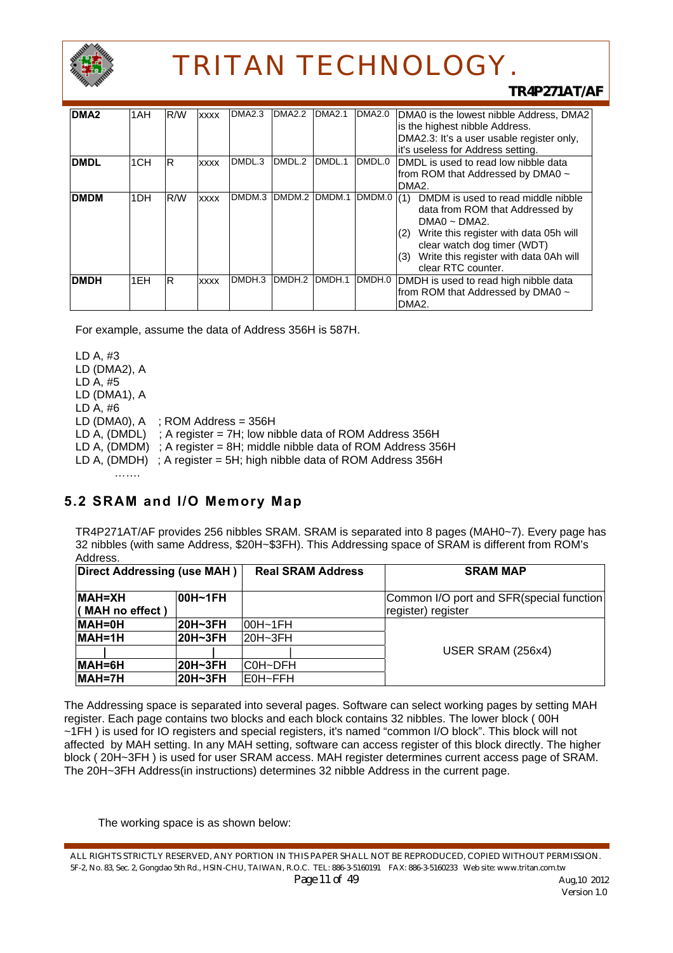

#### *TR4P271AT/AF*

| DMA <sub>2</sub> | 1AH             | R/W | <b>XXXX</b> | <b>DMA2.3</b> | <b>DMA2.2</b>      | <b>DMA2.1</b> | <b>DMA2.0</b> | DMA0 is the lowest nibble Address, DMA2<br>is the highest nibble Address.                                                                                                                                                                                 |
|------------------|-----------------|-----|-------------|---------------|--------------------|---------------|---------------|-----------------------------------------------------------------------------------------------------------------------------------------------------------------------------------------------------------------------------------------------------------|
|                  |                 |     |             |               |                    |               |               | DMA2.3: It's a user usable register only,<br>it's useless for Address setting.                                                                                                                                                                            |
| <b>DMDL</b>      | 1 <sub>CH</sub> | lR. | <b>XXXX</b> | DMDL.3        | DMDL.2             | DMDL.1        | DMDL.0        | DMDL is used to read low nibble data<br>from ROM that Addressed by DMA0 ~<br>DMA <sub>2</sub> .                                                                                                                                                           |
| <b>DMDM</b>      | 1 <sub>DH</sub> | R/W | <b>XXXX</b> | DMDM.3        | DMDM.2             | DMDM.1        | DMDM.0        | DMDM is used to read middle nibble<br>(1)<br>data from ROM that Addressed by<br>$DMAO \sim DMA2$ .<br>Write this register with data 05h will<br>(2)<br>clear watch dog timer (WDT)<br>Write this register with data 0Ah will<br>(3)<br>clear RTC counter. |
| <b>DMDH</b>      | 1EH             | IR. | <b>XXXX</b> | DMDH.3        | DMDH <sub>.2</sub> | DMDH.1        | DMDH.0        | DMDH is used to read high nibble data<br>from ROM that Addressed by DMA0 ~<br>DMA <sub>2</sub> .                                                                                                                                                          |

For example, assume the data of Address 356H is 587H.

LD A, #3 LD (DMA2), A LD A, #5 LD (DMA1), A LD A, #6 LD (DMA0),  $A$  ; ROM Address = 356H LD A, (DMDL) ; A register = 7H; low nibble data of ROM Address 356H LD A,  $(DMDM)$ ; A register = 8H; middle nibble data of ROM Address 356H LD A, (DMDH) ; A register = 5H; high nibble data of ROM Address 356H …….

## **5.2 SRAM and I/O Memory Map**

TR4P271AT/AF provides 256 nibbles SRAM. SRAM is separated into 8 pages (MAH0~7). Every page has 32 nibbles (with same Address, \$20H~\$3FH). This Addressing space of SRAM is different from ROM's Address.

| Direct Addressing (use MAH)      |          | <b>Real SRAM Address</b> | <b>SRAM MAP</b>                                                |
|----------------------------------|----------|--------------------------|----------------------------------------------------------------|
| <b>MAH=XH</b><br>(MAH no effect) | l00H~1FH |                          | Common I/O port and SFR(special function<br>register) register |
| $MAH = 0H$                       | 20H~3FH  | $100H - 1FH$             |                                                                |
| $MAH=1H$                         | 20H~3FH  | $20H - 3FH$              |                                                                |
|                                  |          |                          | USER SRAM (256x4)                                              |
| $MAH = 6H$                       | 20H~3FH  | C0H~DFH                  |                                                                |
| MAH=7H                           | 20H~3FH  | lE0H∼FFH                 |                                                                |

The Addressing space is separated into several pages. Software can select working pages by setting MAH register. Each page contains two blocks and each block contains 32 nibbles. The lower block ( 00H ~1FH ) is used for IO registers and special registers, it's named "common I/O block". This block will not affected by MAH setting. In any MAH setting, software can access register of this block directly. The higher block ( 20H~3FH ) is used for user SRAM access. MAH register determines current access page of SRAM. The 20H~3FH Address(in instructions) determines 32 nibble Address in the current page.

The working space is as shown below:

ALL RIGHTS STRICTLY RESERVED, ANY PORTION IN THIS PAPER SHALL NOT BE REPRODUCED, COPIED WITHOUT PERMISSION. 5F-2, No. 83, Sec. 2, Gongdao 5th Rd., HSIN-CHU, TAIWAN, R.O.C. TEL: 886-3-5160191 FAX: 886-3-5160233 Web site: www.tritan.com.tw *Page 11 of 49* Aug, 10 2012 Version 1.0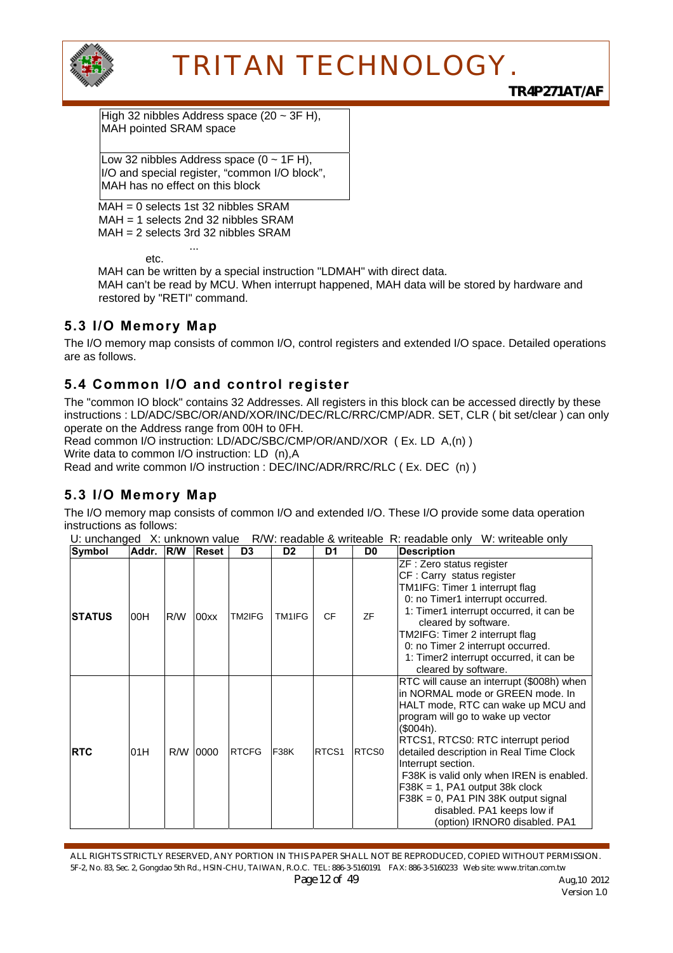

High 32 nibbles Address space (20 ~ 3F H), MAH pointed SRAM space

Low 32 nibbles Address space  $(0 - 1F H)$ , I/O and special register, "common I/O block", MAH has no effect on this block

 $MAH = 0$  selects 1st 32 nibbles SRAM MAH = 1 selects 2nd 32 nibbles SRAM MAH = 2 selects 3rd 32 nibbles SRAM

 ... etc.

MAH can be written by a special instruction "LDMAH" with direct data.

MAH can't be read by MCU. When interrupt happened, MAH data will be stored by hardware and restored by "RETI" command.

## **5.3 I/O Memory Map**

The I/O memory map consists of common I/O, control registers and extended I/O space. Detailed operations are as follows.

### **5.4 Common I/O and control register**

The "common IO block" contains 32 Addresses. All registers in this block can be accessed directly by these instructions : LD/ADC/SBC/OR/AND/XOR/INC/DEC/RLC/RRC/CMP/ADR. SET, CLR ( bit set/clear ) can only operate on the Address range from 00H to 0FH.

Read common I/O instruction: LD/ADC/SBC/CMP/OR/AND/XOR ( Ex. LD A,(n) ) Write data to common I/O instruction: LD (n).A

Read and write common I/O instruction : DEC/INC/ADR/RRC/RLC ( Ex. DEC (n) )

## **5.3 I/O Memory Map**

The I/O memory map consists of common I/O and extended I/O. These I/O provide some data operation instructions as follows:

U: unchanged X: unknown value R/W: readable & writeable R: readable only W: writeable only

| Symbol     | Addr. | R/W | <b>Reset</b> | D <sub>3</sub> | D <sub>2</sub> | D <sub>1</sub>    | D <sub>0</sub> | <b>Description</b>                                                                                                                                                                                                                                                                                                                                                                                                                                                     |
|------------|-------|-----|--------------|----------------|----------------|-------------------|----------------|------------------------------------------------------------------------------------------------------------------------------------------------------------------------------------------------------------------------------------------------------------------------------------------------------------------------------------------------------------------------------------------------------------------------------------------------------------------------|
| ISTATUS    | 00H   | R/W | 00xx         | TM2IFG         | TM1IFG         | <b>CF</b>         | ZF             | ZF : Zero status register<br>CF: Carry status register<br>TM1IFG: Timer 1 interrupt flag<br>0: no Timer1 interrupt occurred.<br>1: Timer1 interrupt occurred, it can be<br>cleared by software.<br>TM2IFG: Timer 2 interrupt flag<br>0: no Timer 2 interrupt occurred.<br>1: Timer2 interrupt occurred, it can be<br>cleared by software.                                                                                                                              |
| <b>RTC</b> | 01H   | R/W | 0000         | <b>RTCFG</b>   | <b>F38K</b>    | RTCS <sub>1</sub> | RTCS0          | RTC will cause an interrupt (\$008h) when<br>in NORMAL mode or GREEN mode. In<br>HALT mode, RTC can wake up MCU and<br>program will go to wake up vector<br>(\$004h).<br>RTCS1, RTCS0: RTC interrupt period<br>detailed description in Real Time Clock<br>Interrupt section.<br>F38K is valid only when IREN is enabled.<br>$F38K = 1$ , PA1 output 38k clock<br>$F38K = 0$ , PA1 PIN 38K output signal<br>disabled. PA1 keeps low if<br>(option) IRNOR0 disabled. PA1 |

ALL RIGHTS STRICTLY RESERVED, ANY PORTION IN THIS PAPER SHALL NOT BE REPRODUCED, COPIED WITHOUT PERMISSION. 5F-2, No. 83, Sec. 2, Gongdao 5th Rd., HSIN-CHU, TAIWAN, R.O.C. TEL: 886-3-5160191 FAX: 886-3-5160233 Web site: www.tritan.com.tw *Page 12 of 49* Aug,10 2012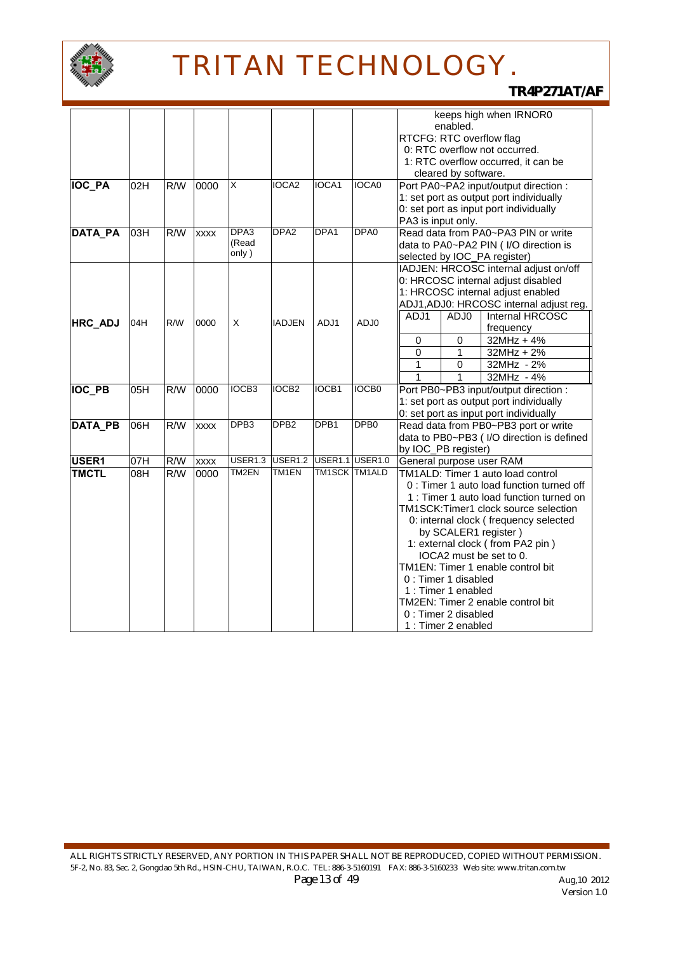

|                |     |     |             |                   |                   |                  |                   | keeps high when IRNOR0                     |
|----------------|-----|-----|-------------|-------------------|-------------------|------------------|-------------------|--------------------------------------------|
|                |     |     |             |                   |                   |                  |                   | enabled.                                   |
|                |     |     |             |                   |                   |                  |                   | RTCFG: RTC overflow flag                   |
|                |     |     |             |                   |                   |                  |                   | 0: RTC overflow not occurred.              |
|                |     |     |             |                   |                   |                  |                   | 1: RTC overflow occurred, it can be        |
|                |     |     |             |                   |                   |                  |                   | cleared by software.                       |
| <b>IOC_PA</b>  | 02H | R/W | 0000        | X                 | IOCA2             | IOCA1            | <b>IOCA0</b>      | Port PA0~PA2 input/output direction :      |
|                |     |     |             |                   |                   |                  |                   | 1: set port as output port individually    |
|                |     |     |             |                   |                   |                  |                   | 0: set port as input port individually     |
|                |     |     |             |                   |                   |                  |                   | PA3 is input only.                         |
| <b>DATA PA</b> | 03H | R/W | <b>XXXX</b> | DPA <sub>3</sub>  | DPA <sub>2</sub>  | DPA1             | DPA <sub>0</sub>  | Read data from PA0~PA3 PIN or write        |
|                |     |     |             | (Read             |                   |                  |                   | data to PA0~PA2 PIN ( I/O direction is     |
|                |     |     |             | only)             |                   |                  |                   | selected by IOC_PA register)               |
|                |     |     |             |                   |                   |                  |                   | IADJEN: HRCOSC internal adjust on/off      |
|                |     |     |             |                   |                   |                  |                   | 0: HRCOSC internal adjust disabled         |
|                |     |     |             |                   |                   |                  |                   | 1: HRCOSC internal adjust enabled          |
|                |     |     |             |                   |                   |                  |                   | ADJ1, ADJ0: HRCOSC internal adjust reg.    |
|                |     |     |             |                   |                   |                  |                   | Internal HRCOSC<br>ADJ1<br>ADJ0            |
| HRC_ADJ        | 04H | R/W | 0000        | X                 | <b>IADJEN</b>     | ADJ1             | ADJ0              | frequency                                  |
|                |     |     |             |                   |                   |                  |                   | $32MHz + 4%$<br>$\mathbf 0$<br>0           |
|                |     |     |             |                   |                   |                  |                   | $\overline{0}$<br>$32MHz + 2%$<br>1        |
|                |     |     |             |                   |                   |                  |                   | 1<br>32MHz - 2%<br>0                       |
|                |     |     |             |                   |                   |                  |                   | $\overline{1}$<br>1<br>32MHz - 4%          |
| <b>IOC_PB</b>  | 05H | R/W | 0000        | IOCB <sub>3</sub> | IOCB <sub>2</sub> | IOCB1            | IOCB <sub>0</sub> | Port PB0~PB3 input/output direction :      |
|                |     |     |             |                   |                   |                  |                   | 1: set port as output port individually    |
|                |     |     |             |                   |                   |                  |                   | 0: set port as input port individually     |
| <b>DATA PB</b> | 06H | R/W | <b>XXXX</b> | DPB <sub>3</sub>  | DPB <sub>2</sub>  | DPB <sub>1</sub> | DPB <sub>0</sub>  | Read data from PB0~PB3 port or write       |
|                |     |     |             |                   |                   |                  |                   | data to PB0~PB3 ( I/O direction is defined |
|                |     |     |             |                   |                   |                  |                   | by IOC_PB register)                        |
| USER1          | 07H | R/W | <b>XXXX</b> | USER1.3           | <b>USER1.2</b>    |                  | USER1.1 USER1.0   | General purpose user RAM                   |
| <b>TMCTL</b>   | 08H | R/W | 0000        | TM2EN             | TM1EN             | TM1SCK TM1ALD    |                   | TM1ALD: Timer 1 auto load control          |
|                |     |     |             |                   |                   |                  |                   | 0 : Timer 1 auto load function turned off  |
|                |     |     |             |                   |                   |                  |                   | 1 : Timer 1 auto load function turned on   |
|                |     |     |             |                   |                   |                  |                   | TM1SCK:Timer1 clock source selection       |
|                |     |     |             |                   |                   |                  |                   | 0: internal clock (frequency selected      |
|                |     |     |             |                   |                   |                  |                   | by SCALER1 register)                       |
|                |     |     |             |                   |                   |                  |                   | 1: external clock (from PA2 pin)           |
|                |     |     |             |                   |                   |                  |                   | IOCA2 must be set to 0.                    |
|                |     |     |             |                   |                   |                  |                   | TM1EN: Timer 1 enable control bit          |
|                |     |     |             |                   |                   |                  |                   | 0 : Timer 1 disabled                       |
|                |     |     |             |                   |                   |                  |                   | 1 : Timer 1 enabled                        |
|                |     |     |             |                   |                   |                  |                   | TM2EN: Timer 2 enable control bit          |
|                |     |     |             |                   |                   |                  |                   | 0 : Timer 2 disabled                       |
|                |     |     |             |                   |                   |                  |                   | 1 : Timer 2 enabled                        |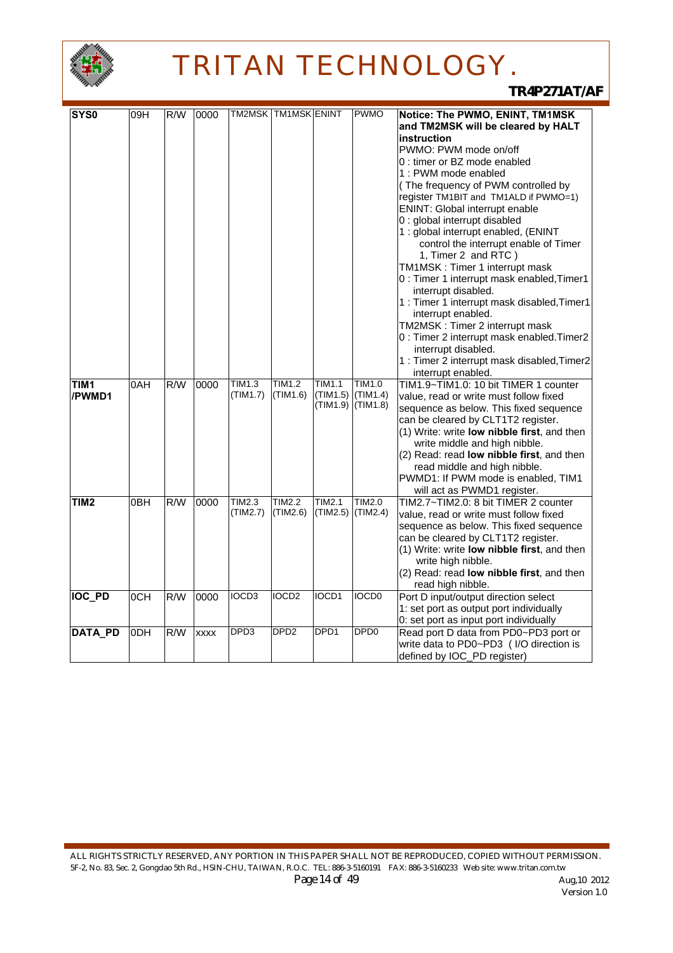

| <b>SYS0</b>                | 09H | R/W              | 0000        |                           | TM2MSK   TM1MSK   ENINT   |                                | <b>PWMO</b>                    | Notice: The PWMO, ENINT, TM1MSK                                                                                                                                                                                                                                                                                                                                                                    |
|----------------------------|-----|------------------|-------------|---------------------------|---------------------------|--------------------------------|--------------------------------|----------------------------------------------------------------------------------------------------------------------------------------------------------------------------------------------------------------------------------------------------------------------------------------------------------------------------------------------------------------------------------------------------|
|                            |     |                  |             |                           |                           |                                |                                | and TM2MSK will be cleared by HALT<br>instruction<br>PWMO: PWM mode on/off<br>0 : timer or BZ mode enabled<br>1 : PWM mode enabled<br>(The frequency of PWM controlled by<br>register TM1BIT and TM1ALD if PWMO=1)<br>ENINT: Global interrupt enable<br>0 : global interrupt disabled<br>1 : global interrupt enabled, (ENINT                                                                      |
|                            |     |                  |             |                           |                           |                                |                                | control the interrupt enable of Timer<br>1, Timer 2 and RTC)<br>TM1MSK: Timer 1 interrupt mask<br>0 : Timer 1 interrupt mask enabled, Timer1<br>interrupt disabled.<br>1 : Timer 1 interrupt mask disabled, Timer1                                                                                                                                                                                 |
|                            |     |                  |             |                           |                           |                                |                                | interrupt enabled.<br>TM2MSK: Timer 2 interrupt mask<br>0 : Timer 2 interrupt mask enabled. Timer2<br>interrupt disabled.<br>1 : Timer 2 interrupt mask disabled, Timer2<br>interrupt enabled.                                                                                                                                                                                                     |
| TIM <sub>1</sub><br>/PWMD1 | 0AH | R/W              | 0000        | <b>TIM1.3</b><br>(TIM1.7) | TIM1.2<br>(TIM1.6)        | TIM1.1<br>(TIM1.5)<br>(TIM1.9) | TIM1.0<br>(TIM1.4)<br>(TIM1.8) | TIM1.9~TIM1.0: 10 bit TIMER 1 counter<br>value, read or write must follow fixed<br>sequence as below. This fixed sequence<br>can be cleared by CLT1T2 register.<br>(1) Write: write low nibble first, and then<br>write middle and high nibble.<br>(2) Read: read low nibble first, and then<br>read middle and high nibble.<br>PWMD1: If PWM mode is enabled, TIM1<br>will act as PWMD1 register. |
| TIM <sub>2</sub>           | 0BH | $\overline{R/W}$ | 0000        | TIM2.3<br>(TIM2.7)        | <b>TIM2.2</b><br>(TIM2.6) | TIM2.1<br>(TIM2.5)             | <b>TIM2.0</b><br>(TIM2.4)      | TIM2.7~TIM2.0: 8 bit TIMER 2 counter<br>value, read or write must follow fixed<br>sequence as below. This fixed sequence<br>can be cleared by CLT1T2 register.<br>(1) Write: write low nibble first, and then<br>write high nibble.<br>(2) Read: read low nibble first, and then<br>read high nibble.                                                                                              |
| <b>IOC PD</b>              | 0CH | R/W              | 0000        | IOCD3                     | IOCD <sub>2</sub>         | IOCD1                          | <b>IOCD0</b>                   | Port D input/output direction select<br>1: set port as output port individually<br>0: set port as input port individually                                                                                                                                                                                                                                                                          |
| DATA_PD                    | 0DH | R/W              | <b>XXXX</b> | DPD3                      | DPD <sub>2</sub>          | DPD <sub>1</sub>               | DPD <sub>0</sub>               | Read port D data from PD0~PD3 port or<br>write data to PD0~PD3 ( I/O direction is<br>defined by IOC_PD register)                                                                                                                                                                                                                                                                                   |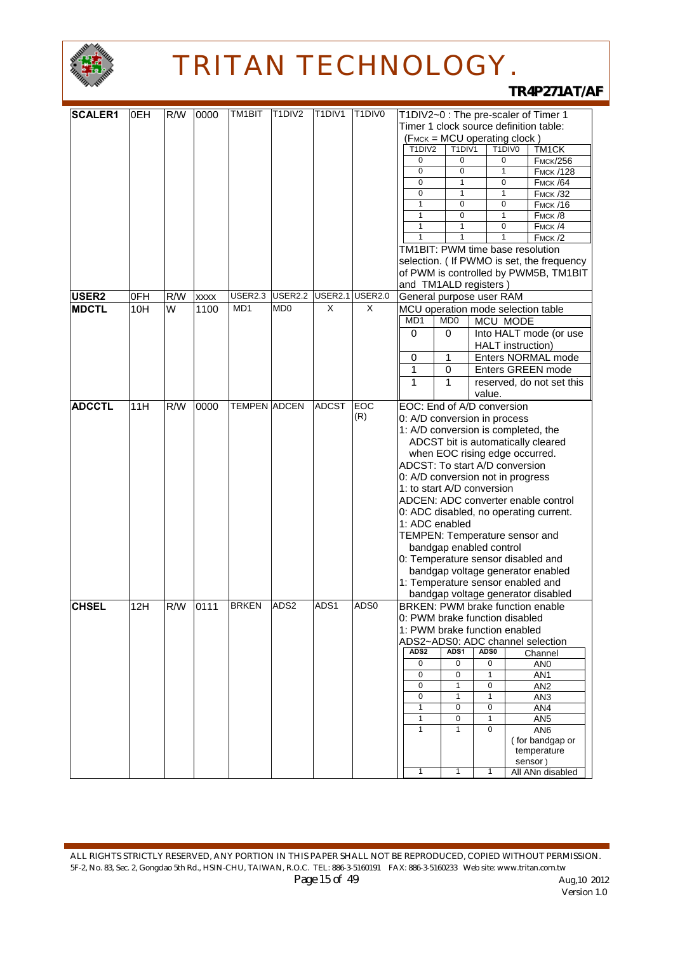

| <b>SCALER1</b>    | 0EH | R/W | 0000        | TM1BIT              | T1DIV2           | T <sub>1</sub> DIV <sub>1</sub> | T1DIV0         | T1DIV2~0 : The pre-scaler of Timer 1    |                                |                          |        |                                            |
|-------------------|-----|-----|-------------|---------------------|------------------|---------------------------------|----------------|-----------------------------------------|--------------------------------|--------------------------|--------|--------------------------------------------|
|                   |     |     |             |                     |                  |                                 |                | Timer 1 clock source definition table:  |                                |                          |        |                                            |
|                   |     |     |             |                     |                  |                                 |                | (FMCK = MCU operating clock)            |                                |                          |        |                                            |
|                   |     |     |             |                     |                  |                                 |                | T1DIV2                                  | T1DIV1                         |                          | T1DIV0 | TM1CK                                      |
|                   |     |     |             |                     |                  |                                 |                | $\mathbf 0$                             | 0                              |                          | 0      | <b>FMCK/256</b>                            |
|                   |     |     |             |                     |                  |                                 |                | $\pmb{0}$                               | $\mathbf 0$                    | $\mathbf{1}$             |        | <b>Гмск /128</b>                           |
|                   |     |     |             |                     |                  |                                 |                | $\mathbf 0$                             | 1                              | $\mathbf 0$              |        | <b>Гмск /64</b>                            |
|                   |     |     |             |                     |                  |                                 |                | $\overline{0}$                          | $\mathbf{1}$                   | $\mathbf{1}$             |        | <b>FMCK /32</b>                            |
|                   |     |     |             |                     |                  |                                 |                | $\mathbf{1}$                            | 0                              | $\mathbf 0$              |        | <b>FMCK/16</b>                             |
|                   |     |     |             |                     |                  |                                 |                | $\mathbf{1}$                            | $\mathbf 0$                    | $\mathbf{1}$             |        | $F$ MCK $/8$                               |
|                   |     |     |             |                     |                  |                                 |                | $\mathbf{1}$                            | 1                              | 0                        |        | FMCK/4                                     |
|                   |     |     |             |                     |                  |                                 |                | 1                                       |                                | 1                        |        | FMCK/2                                     |
|                   |     |     |             |                     |                  |                                 |                | TM1BIT: PWM time base resolution        |                                |                          |        |                                            |
|                   |     |     |             |                     |                  |                                 |                |                                         |                                |                          |        | selection. ( If PWMO is set, the frequency |
|                   |     |     |             |                     |                  |                                 |                |                                         |                                |                          |        | of PWM is controlled by PWM5B, TM1BIT      |
|                   |     |     |             |                     |                  |                                 |                | and TM1ALD registers)                   |                                |                          |        |                                            |
| USER <sub>2</sub> | 0FH | R/W | <b>XXXX</b> | USER2.3             | USER2.2          | <b>USER2.1</b>                  | <b>USER2.0</b> | General purpose user RAM                |                                |                          |        |                                            |
|                   |     | W   |             | MD1                 | M <sub>D</sub>   | X                               | X              |                                         |                                |                          |        |                                            |
| <b>MDCTL</b>      | 10H |     | 1100        |                     |                  |                                 |                | MCU operation mode selection table      |                                |                          |        |                                            |
|                   |     |     |             |                     |                  |                                 |                | MD1                                     | MD <sub>0</sub>                | MCU MODE                 |        |                                            |
|                   |     |     |             |                     |                  |                                 |                | 0                                       | 0                              |                          |        | Into HALT mode (or use                     |
|                   |     |     |             |                     |                  |                                 |                |                                         |                                | <b>HALT</b> instruction) |        |                                            |
|                   |     |     |             |                     |                  |                                 |                | 0                                       | 1                              |                          |        | Enters NORMAL mode                         |
|                   |     |     |             |                     |                  |                                 |                | 1                                       | 0                              |                          |        | Enters GREEN mode                          |
|                   |     |     |             |                     |                  |                                 |                | 1                                       | 1                              |                          |        | reserved, do not set this                  |
|                   |     |     |             |                     |                  |                                 |                |                                         |                                | value.                   |        |                                            |
| <b>ADCCTL</b>     | 11H | R/W | 0000        | <b>TEMPEN ADCEN</b> |                  | <b>ADCST</b>                    | EOC            | EOC: End of A/D conversion              |                                |                          |        |                                            |
|                   |     |     |             |                     |                  |                                 | (R)            | 0: A/D conversion in process            |                                |                          |        |                                            |
|                   |     |     |             |                     |                  |                                 |                | 1: A/D conversion is completed, the     |                                |                          |        |                                            |
|                   |     |     |             |                     |                  |                                 |                |                                         |                                |                          |        | ADCST bit is automatically cleared         |
|                   |     |     |             |                     |                  |                                 |                |                                         | when EOC rising edge occurred. |                          |        |                                            |
|                   |     |     |             |                     |                  |                                 |                | ADCST: To start A/D conversion          |                                |                          |        |                                            |
|                   |     |     |             |                     |                  |                                 |                | 0: A/D conversion not in progress       |                                |                          |        |                                            |
|                   |     |     |             |                     |                  |                                 |                |                                         |                                |                          |        |                                            |
|                   |     |     |             |                     |                  |                                 |                | 1: to start A/D conversion              |                                |                          |        |                                            |
|                   |     |     |             |                     |                  |                                 |                |                                         |                                |                          |        | ADCEN: ADC converter enable control        |
|                   |     |     |             |                     |                  |                                 |                |                                         |                                |                          |        | 0: ADC disabled, no operating current.     |
|                   |     |     |             |                     |                  |                                 |                | 1: ADC enabled                          |                                |                          |        |                                            |
|                   |     |     |             |                     |                  |                                 |                | TEMPEN: Temperature sensor and          |                                |                          |        |                                            |
|                   |     |     |             |                     |                  |                                 |                |                                         | bandgap enabled control        |                          |        |                                            |
|                   |     |     |             |                     |                  |                                 |                | 0: Temperature sensor disabled and      |                                |                          |        |                                            |
|                   |     |     |             |                     |                  |                                 |                |                                         |                                |                          |        | bandgap voltage generator enabled          |
|                   |     |     |             |                     |                  |                                 |                | 1: Temperature sensor enabled and       |                                |                          |        |                                            |
|                   |     |     |             |                     |                  |                                 |                |                                         |                                |                          |        | bandgap voltage generator disabled         |
| <b>CHSEL</b>      | 12H | R/W | 0111        | <b>BRKEN</b>        | ADS <sub>2</sub> | ADS1                            | ADS0           | <b>BRKEN: PWM brake function enable</b> |                                |                          |        |                                            |
|                   |     |     |             |                     |                  |                                 |                | 0: PWM brake function disabled          |                                |                          |        |                                            |
|                   |     |     |             |                     |                  |                                 |                | 1: PWM brake function enabled           |                                |                          |        |                                            |
|                   |     |     |             |                     |                  |                                 |                | ADS2~ADS0: ADC channel selection        |                                |                          |        |                                            |
|                   |     |     |             |                     |                  |                                 |                | ADS <sub>2</sub>                        | ADS <sub>1</sub>               | ADS0                     |        | Channel                                    |
|                   |     |     |             |                     |                  |                                 |                | $\mathbf 0$                             | $\mathbf 0$                    | 0                        |        | AN <sub>0</sub>                            |
|                   |     |     |             |                     |                  |                                 |                | $\mathbf 0$                             | 0                              | 1                        |        | AN <sub>1</sub>                            |
|                   |     |     |             |                     |                  |                                 |                | $\mathbf 0$                             | $\mathbf{1}$                   | 0                        |        | AN <sub>2</sub>                            |
|                   |     |     |             |                     |                  |                                 |                | $\mathbf 0$                             | $\mathbf{1}$                   | $\mathbf{1}$             |        | AN <sub>3</sub>                            |
|                   |     |     |             |                     |                  |                                 |                | 1                                       | 0                              | 0                        |        | AN4                                        |
|                   |     |     |             |                     |                  |                                 |                | $\mathbf{1}$                            | $\mathbf 0$                    | 1                        |        | AN <sub>5</sub>                            |
|                   |     |     |             |                     |                  |                                 |                | $\mathbf{1}$                            | $\mathbf{1}$                   | 0                        |        | AN <sub>6</sub>                            |
|                   |     |     |             |                     |                  |                                 |                |                                         |                                |                          |        | (for bandgap or                            |
|                   |     |     |             |                     |                  |                                 |                |                                         |                                |                          |        | temperature                                |
|                   |     |     |             |                     |                  |                                 |                |                                         |                                |                          |        | sensor)                                    |
|                   |     |     |             |                     |                  |                                 |                | $\mathbf{1}$                            | $\mathbf{1}$                   | $\mathbf{1}$             |        | All ANn disabled                           |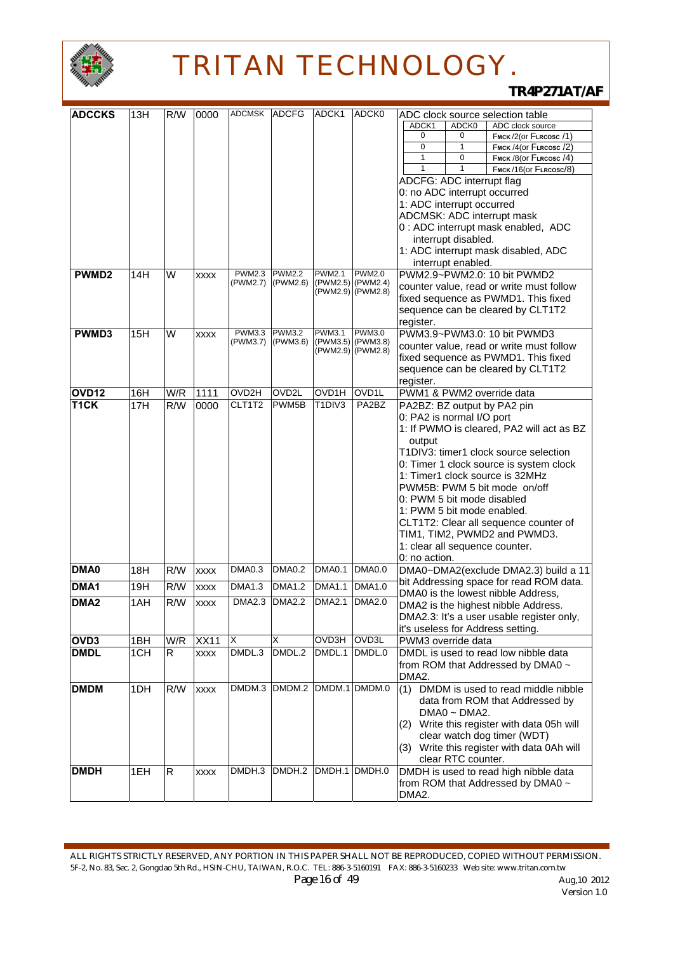

| <b>ADCCKS</b>     | 13H | R/W | 0000        | ADCMSK ADCFG  |               | ADCK1                           | ADCK0             | ADC clock source selection table                                                      |
|-------------------|-----|-----|-------------|---------------|---------------|---------------------------------|-------------------|---------------------------------------------------------------------------------------|
|                   |     |     |             |               |               |                                 |                   | ADCK0<br>ADC clock source<br>ADCK1                                                    |
|                   |     |     |             |               |               |                                 |                   | 0<br>FMCK/2(Or FLRCOSC/1)<br>0                                                        |
|                   |     |     |             |               |               |                                 |                   | $\mathbf 0$<br>$\mathbf{1}$<br>FMCK/4(or FLRCOSC/2)                                   |
|                   |     |     |             |               |               |                                 |                   | $\mathbf{1}$<br>$\mathbf 0$<br>FMCK /8(Or FLRCOSC /4)<br>$\mathbf{1}$<br>$\mathbf{1}$ |
|                   |     |     |             |               |               |                                 |                   | FMCK/16(or FLRCOSC/8)                                                                 |
|                   |     |     |             |               |               |                                 |                   | ADCFG: ADC interrupt flag                                                             |
|                   |     |     |             |               |               |                                 |                   | 0: no ADC interrupt occurred                                                          |
|                   |     |     |             |               |               |                                 |                   | 1: ADC interrupt occurred                                                             |
|                   |     |     |             |               |               |                                 |                   | ADCMSK: ADC interrupt mask                                                            |
|                   |     |     |             |               |               |                                 |                   | 0 : ADC interrupt mask enabled, ADC                                                   |
|                   |     |     |             |               |               |                                 |                   | interrupt disabled.                                                                   |
|                   |     |     |             |               |               |                                 |                   | 1: ADC interrupt mask disabled, ADC                                                   |
| PWMD <sub>2</sub> |     | W   |             | <b>PWM2.3</b> | <b>PWM2.2</b> | <b>PWM2.1</b>                   | <b>PWM2.0</b>     | interrupt enabled.<br>PWM2.9~PWM2.0: 10 bit PWMD2                                     |
|                   | 14H |     | <b>XXXX</b> | (PWM2.7)      | (PWM2.6)      |                                 | (PWM2.5) (PWM2.4) |                                                                                       |
|                   |     |     |             |               |               |                                 | (PWM2.9) (PWM2.8) | counter value, read or write must follow                                              |
|                   |     |     |             |               |               |                                 |                   | fixed sequence as PWMD1. This fixed                                                   |
|                   |     |     |             |               |               |                                 |                   | sequence can be cleared by CLT1T2                                                     |
| PWMD3             | 15H | W   | <b>XXXX</b> | <b>PWM3.3</b> | <b>PWM3.2</b> | <b>PWM3.1</b>                   | <b>PWM3.0</b>     | register.<br>PWM3.9~PWM3.0: 10 bit PWMD3                                              |
|                   |     |     |             | (PWM3.7)      | (PWM3.6)      | (PWM3.5)                        | (PWM3.8)          | counter value, read or write must follow                                              |
|                   |     |     |             |               |               |                                 | (PWM2.9) (PWM2.8) | fixed sequence as PWMD1. This fixed                                                   |
|                   |     |     |             |               |               |                                 |                   | sequence can be cleared by CLT1T2                                                     |
|                   |     |     |             |               |               |                                 |                   | register.                                                                             |
| OVD12             | 16H | W/R | 1111        | OVD2H         | OVD2L         | OVD1H                           | OVD1L             | PWM1 & PWM2 override data                                                             |
| T <sub>1</sub> CK | 17H | R/W | 0000        | CLT1T2        | PWM5B         | T <sub>1</sub> DIV <sub>3</sub> | PA2BZ             | PA2BZ: BZ output by PA2 pin                                                           |
|                   |     |     |             |               |               |                                 |                   | 0: PA2 is normal I/O port                                                             |
|                   |     |     |             |               |               |                                 |                   | 1: If PWMO is cleared, PA2 will act as BZ                                             |
|                   |     |     |             |               |               |                                 |                   | output                                                                                |
|                   |     |     |             |               |               |                                 |                   | T1DIV3: timer1 clock source selection                                                 |
|                   |     |     |             |               |               |                                 |                   | 0: Timer 1 clock source is system clock                                               |
|                   |     |     |             |               |               |                                 |                   | 1: Timer1 clock source is 32MHz                                                       |
|                   |     |     |             |               |               |                                 |                   | PWM5B: PWM 5 bit mode on/off                                                          |
|                   |     |     |             |               |               |                                 |                   | 0: PWM 5 bit mode disabled                                                            |
|                   |     |     |             |               |               |                                 |                   | 1: PWM 5 bit mode enabled.                                                            |
|                   |     |     |             |               |               |                                 |                   | CLT1T2: Clear all sequence counter of                                                 |
|                   |     |     |             |               |               |                                 |                   | TIM1, TIM2, PWMD2 and PWMD3.                                                          |
|                   |     |     |             |               |               |                                 |                   | 1: clear all sequence counter.                                                        |
|                   |     |     |             |               |               |                                 |                   | 0: no action.                                                                         |
| DMA0              | 18H | R/W | <b>XXXX</b> | DMA0.3        | <b>DMA0.2</b> | <b>DMA0.1</b>                   | <b>DMA0.0</b>     | DMA0~DMA2(exclude DMA2.3) build a 11                                                  |
| DMA1              | 19H | R/W | <b>XXXX</b> | DMA1.3        | <b>DMA1.2</b> | <b>DMA1.1</b>                   | <b>DMA1.0</b>     | bit Addressing space for read ROM data.                                               |
|                   |     |     |             |               |               |                                 |                   | DMA0 is the lowest nibble Address,                                                    |
| DMA <sub>2</sub>  | 1AH | R/W | <b>XXXX</b> |               | DMA2.3 DMA2.2 | <b>DMA2.1</b>                   | <b>DMA2.0</b>     | DMA2 is the highest nibble Address.                                                   |
|                   |     |     |             |               |               |                                 |                   | DMA2.3: It's a user usable register only,                                             |
|                   |     |     |             |               |               |                                 |                   | it's useless for Address setting.                                                     |
| OVD <sub>3</sub>  | 1BH | W/R | <b>XX11</b> | X             | X             | OVD3H                           | OVD3L             | PWM3 override data                                                                    |
| <b>DMDL</b>       | 1CH | R.  | <b>XXXX</b> | DMDL.3        | DMDL.2        | DMDL.1                          | DMDL.0            | DMDL is used to read low nibble data                                                  |
|                   |     |     |             |               |               |                                 |                   | from ROM that Addressed by DMA0 ~                                                     |
|                   |     |     |             |               |               |                                 |                   | DMA2.                                                                                 |
| <b>DMDM</b>       | 1DH | R/W | <b>XXXX</b> | DMDM.3        | DMDM.2        | DMDM.1                          | DMDM.0            | DMDM is used to read middle nibble<br>(1)                                             |
|                   |     |     |             |               |               |                                 |                   | data from ROM that Addressed by                                                       |
|                   |     |     |             |               |               |                                 |                   | $DMAO \sim DMA2$ .                                                                    |
|                   |     |     |             |               |               |                                 |                   | (2) Write this register with data 05h will                                            |
|                   |     |     |             |               |               |                                 |                   | clear watch dog timer (WDT)                                                           |
|                   |     |     |             |               |               |                                 |                   | (3) Write this register with data 0Ah will                                            |
|                   |     |     |             |               |               |                                 |                   | clear RTC counter.                                                                    |
| <b>DMDH</b>       | 1EH | R.  | <b>XXXX</b> | DMDH.3        | DMDH.2        |                                 | DMDH.1 DMDH.0     | DMDH is used to read high nibble data                                                 |
|                   |     |     |             |               |               |                                 |                   | from ROM that Addressed by DMA0 ~                                                     |
|                   |     |     |             |               |               |                                 |                   | DMA2.                                                                                 |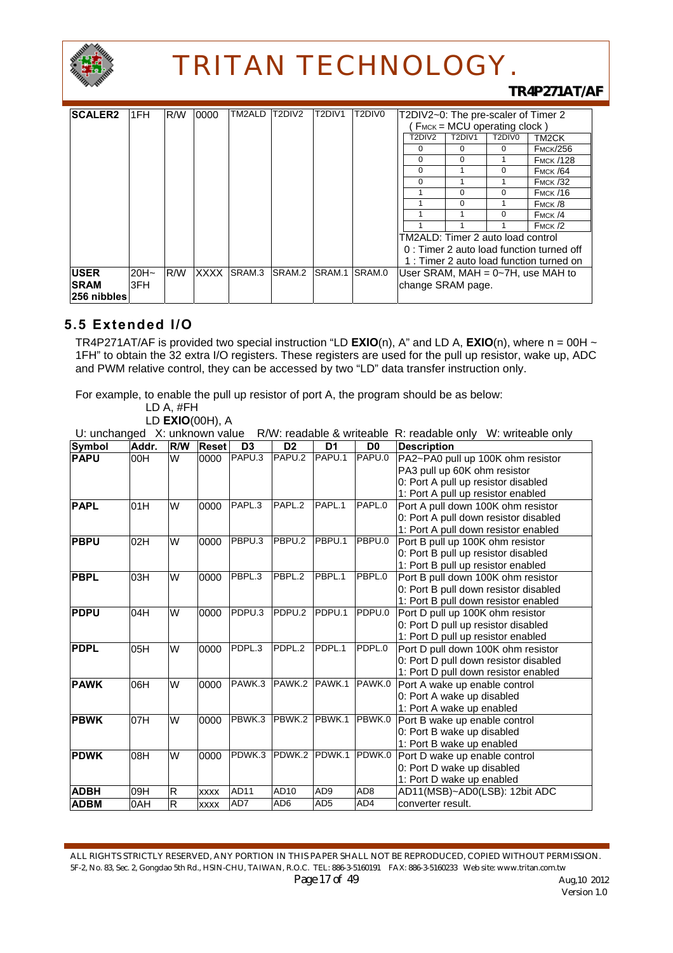

### *TR4P271AT/AF*

| <b>SCALER2</b> | 1FH     | R/W | 0000        | TM2ALD | T2DIV2 | T <sub>2</sub> DIV <sub>1</sub> | T2DIV0 | T2DIV2~0: The pre-scaler of Timer 2 |                             |        |                                          |
|----------------|---------|-----|-------------|--------|--------|---------------------------------|--------|-------------------------------------|-----------------------------|--------|------------------------------------------|
|                |         |     |             |        |        |                                 |        |                                     | FMCK = MCU operating clock) |        |                                          |
|                |         |     |             |        |        |                                 |        | T2DIV2                              | T2DIV1                      | T2DIV0 | TM <sub>2</sub> CK                       |
|                |         |     |             |        |        |                                 |        | 0                                   | 0                           | 0      | <b>FMCK/256</b>                          |
|                |         |     |             |        |        |                                 |        | 0                                   | 0                           |        | <b>FMCK /128</b>                         |
|                |         |     |             |        |        |                                 |        | 0                                   |                             | 0      | <b>FMCK /64</b>                          |
|                |         |     |             |        |        |                                 |        | 0                                   |                             |        | <b>FMCK /32</b>                          |
|                |         |     |             |        |        |                                 |        |                                     | $\Omega$                    | 0      | <b>FMCK /16</b>                          |
|                |         |     |             |        |        |                                 |        |                                     | $\Omega$                    |        | FMCK/8                                   |
|                |         |     |             |        |        |                                 |        |                                     |                             | 0      | FMCK/4                                   |
|                |         |     |             |        |        |                                 |        |                                     |                             |        | FMCK/2                                   |
|                |         |     |             |        |        |                                 |        | TM2ALD: Timer 2 auto load control   |                             |        |                                          |
|                |         |     |             |        |        |                                 |        |                                     |                             |        | 0: Timer 2 auto load function turned off |
|                |         |     |             |        |        |                                 |        |                                     |                             |        | 1: Timer 2 auto load function turned on  |
| <b>USER</b>    | $20H -$ | R/W | <b>XXXX</b> | SRAM.3 | SRAM.2 | SRAM.1                          | SRAM.0 |                                     |                             |        | User SRAM, $MAH = 0~7H$ , use MAH to     |
| <b>SRAM</b>    | 3FH     |     |             |        |        |                                 |        | change SRAM page.                   |                             |        |                                          |
| ∣256 nibbles l |         |     |             |        |        |                                 |        |                                     |                             |        |                                          |

### **5.5 Extended I/O**

TR4P271AT/AF is provided two special instruction "LD  $EXIO(n)$ , A" and LD A,  $EXIO(n)$ , where  $n = 00H \sim$ 1FH" to obtain the 32 extra I/O registers. These registers are used for the pull up resistor, wake up, ADC and PWM relative control, they can be accessed by two "LD" data transfer instruction only.

For example, to enable the pull up resistor of port A, the program should be as below:

LD A, #FH

LD **EXIO**(00H), A<br>Lit unchanged X: unknown value  $R/W$ : readable & writeable  $R$ : readable only W: writeable only

| $\sim$ . anonangoa 70. anni iown valuo<br><b>Symbol</b> | Addr. | R/W                     | <b>Reset</b> | D <sub>3</sub> | <b>IV IV.</b> I Cadable & <b>WIRCADIG</b><br>D <sub>2</sub> | D <sub>1</sub>  | D <sub>0</sub>  | <b>IV. IQUUDIO OIII</b> Y<br><b>TE.</b> WILLOWDIO OTHY |
|---------------------------------------------------------|-------|-------------------------|--------------|----------------|-------------------------------------------------------------|-----------------|-----------------|--------------------------------------------------------|
|                                                         |       |                         |              |                |                                                             |                 |                 | <b>Description</b>                                     |
| <b>PAPU</b>                                             | 00H   | W                       | 0000         | PAPU.3         | PAPU.2                                                      | PAPU.1          | PAPU.0          | PA2~PA0 pull up 100K ohm resistor                      |
|                                                         |       |                         |              |                |                                                             |                 |                 | PA3 pull up 60K ohm resistor                           |
|                                                         |       |                         |              |                |                                                             |                 |                 | 0: Port A pull up resistor disabled                    |
|                                                         |       |                         |              |                |                                                             |                 |                 | 1: Port A pull up resistor enabled                     |
| <b>PAPL</b>                                             | 01H   | W                       | 0000         | PAPL.3         | PAPL.2                                                      | PAPL.1          | PAPL.0          | Port A pull down 100K ohm resistor                     |
|                                                         |       |                         |              |                |                                                             |                 |                 | 0: Port A pull down resistor disabled                  |
|                                                         |       |                         |              |                |                                                             |                 |                 | 1: Port A pull down resistor enabled                   |
| <b>PBPU</b>                                             | 02H   | W                       | 0000         | PBPU.3         | PBPU.2                                                      | PBPU.1          | PBPU.0          | Port B pull up 100K ohm resistor                       |
|                                                         |       |                         |              |                |                                                             |                 |                 | 0: Port B pull up resistor disabled                    |
|                                                         |       |                         |              |                |                                                             |                 |                 | 1: Port B pull up resistor enabled                     |
| <b>PBPL</b>                                             | 03H   | W                       | 0000         | PBPL.3         | PBPL.2                                                      | PBPL.1          | PBPL.0          | Port B pull down 100K ohm resistor                     |
|                                                         |       |                         |              |                |                                                             |                 |                 | 0: Port B pull down resistor disabled                  |
|                                                         |       |                         |              |                |                                                             |                 |                 | 1: Port B pull down resistor enabled                   |
| <b>PDPU</b>                                             | 04H   | W                       | 0000         | PDPU.3         | PDPU.2                                                      | PDPU.1          | PDPU.0          | Port D pull up 100K ohm resistor                       |
|                                                         |       |                         |              |                |                                                             |                 |                 | 0: Port D pull up resistor disabled                    |
|                                                         |       |                         |              |                |                                                             |                 |                 | 1: Port D pull up resistor enabled                     |
| <b>PDPL</b>                                             | 05H   | W                       | 0000         | PDPL.3         | PDPL.2                                                      | PDPL.1          | PDPL.0          | Port D pull down 100K ohm resistor                     |
|                                                         |       |                         |              |                |                                                             |                 |                 | 0: Port D pull down resistor disabled                  |
|                                                         |       |                         |              |                |                                                             |                 |                 | 1: Port D pull down resistor enabled                   |
| <b>PAWK</b>                                             | 06H   | W                       | 0000         | PAWK.3         | PAWK.2                                                      | PAWK.1          | PAWK.0          | Port A wake up enable control                          |
|                                                         |       |                         |              |                |                                                             |                 |                 | 0: Port A wake up disabled                             |
|                                                         |       |                         |              |                |                                                             |                 |                 | 1: Port A wake up enabled                              |
| <b>PBWK</b>                                             | 07H   | W                       | 0000         | PBWK.3         | PBWK.2                                                      | PBWK.1          | PBWK.0          | Port B wake up enable control                          |
|                                                         |       |                         |              |                |                                                             |                 |                 | 0: Port B wake up disabled                             |
|                                                         |       |                         |              |                |                                                             |                 |                 | 1: Port B wake up enabled                              |
| <b>PDWK</b>                                             | 08H   | W                       | 0000         | PDWK.3         | PDWK.2                                                      | PDWK.1          | PDWK.0          | Port D wake up enable control                          |
|                                                         |       |                         |              |                |                                                             |                 |                 | 0: Port D wake up disabled                             |
|                                                         |       |                         |              |                |                                                             |                 |                 | 1: Port D wake up enabled                              |
| <b>ADBH</b>                                             | 09H   | $\mathsf{R}$            | <b>XXXX</b>  | AD11           | AD10                                                        | AD <sub>9</sub> | AD <sub>8</sub> | AD11(MSB)~AD0(LSB): 12bit ADC                          |
| <b>ADBM</b>                                             | 0AH   | $\overline{\mathsf{R}}$ | <b>XXXX</b>  | AD7            | AD <sub>6</sub>                                             | AD <sub>5</sub> | AD4             | converter result.                                      |

ALL RIGHTS STRICTLY RESERVED, ANY PORTION IN THIS PAPER SHALL NOT BE REPRODUCED, COPIED WITHOUT PERMISSION. 5F-2, No. 83, Sec. 2, Gongdao 5th Rd., HSIN-CHU, TAIWAN, R.O.C. TEL: 886-3-5160191 FAX: 886-3-5160233 Web site: www.tritan.com.tw *Page 17 of 49 Aug,10 2012*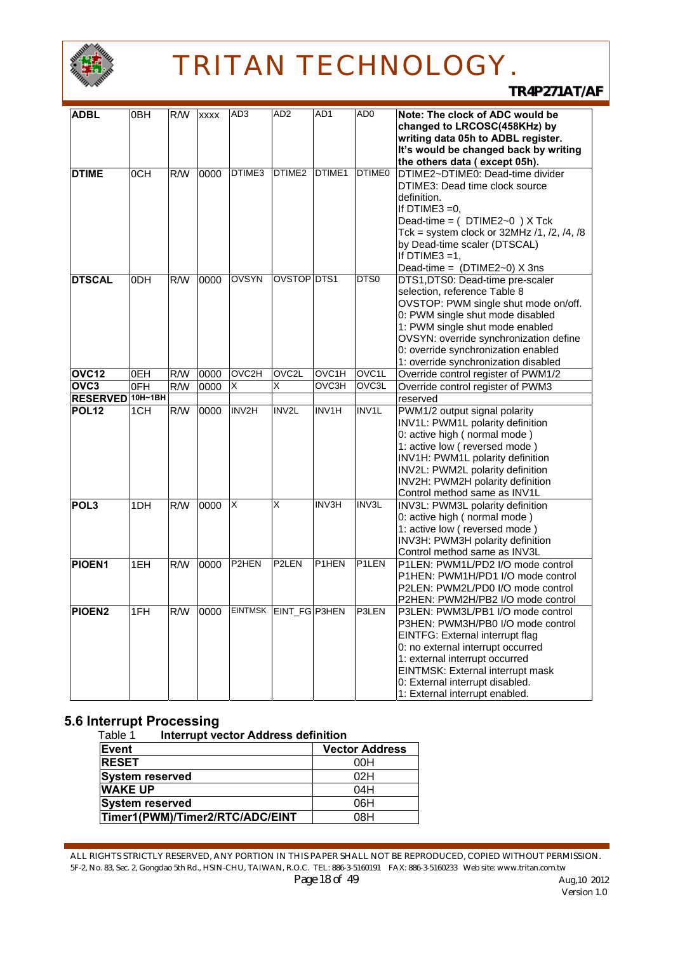

*TR4P271AT/AF*

| <b>ADBL</b>      | 0BH | R/W | <b>xxxx</b> | AD <sub>3</sub>                | AD <sub>2</sub>    | AD <sub>1</sub>                | AD <sub>0</sub>    | Note: The clock of ADC would be          |
|------------------|-----|-----|-------------|--------------------------------|--------------------|--------------------------------|--------------------|------------------------------------------|
|                  |     |     |             |                                |                    |                                |                    | changed to LRCOSC(458KHz) by             |
|                  |     |     |             |                                |                    |                                |                    | writing data 05h to ADBL register.       |
|                  |     |     |             |                                |                    |                                |                    | It's would be changed back by writing    |
|                  |     |     |             |                                |                    |                                |                    | the others data (except 05h).            |
| <b>DTIME</b>     | 0CH | R/W | 0000        | DTIME3                         | DTIME <sub>2</sub> | DTIME1                         | DTIME <sub>0</sub> | DTIME2~DTIME0: Dead-time divider         |
|                  |     |     |             |                                |                    |                                |                    | DTIME3: Dead time clock source           |
|                  |     |     |             |                                |                    |                                |                    | definition.                              |
|                  |     |     |             |                                |                    |                                |                    | If DTIME3 $=0$ ,                         |
|                  |     |     |             |                                |                    |                                |                    | Dead-time = (DTIME2~0) X Tck             |
|                  |     |     |             |                                |                    |                                |                    | Tck = system clock or $32MHz/1, 2, 4, 8$ |
|                  |     |     |             |                                |                    |                                |                    | by Dead-time scaler (DTSCAL)             |
|                  |     |     |             |                                |                    |                                |                    | If DTIME3 $=1$ ,                         |
|                  |     |     |             |                                |                    |                                |                    | Dead-time = $(DTIME2~0)$ X 3ns           |
| <b>DTSCAL</b>    | 0DH | R/W | 0000        | <b>OVSYN</b>                   | OVSTOP DTS1        |                                | DTS0               | DTS1, DTS0: Dead-time pre-scaler         |
|                  |     |     |             |                                |                    |                                |                    | selection, reference Table 8             |
|                  |     |     |             |                                |                    |                                |                    |                                          |
|                  |     |     |             |                                |                    |                                |                    | OVSTOP: PWM single shut mode on/off.     |
|                  |     |     |             |                                |                    |                                |                    | 0: PWM single shut mode disabled         |
|                  |     |     |             |                                |                    |                                |                    | 1: PWM single shut mode enabled          |
|                  |     |     |             |                                |                    |                                |                    | OVSYN: override synchronization define   |
|                  |     |     |             |                                |                    |                                |                    | 0: override synchronization enabled      |
|                  |     |     |             |                                | OVC <sub>2</sub> L |                                |                    | 1: override synchronization disabled     |
| OVC12            | 0EH | R/W | 0000        | OVC2H                          |                    | OVC1H                          | OVC <sub>1</sub> L | Override control register of PWM1/2      |
| OVC <sub>3</sub> | OFH | R/W | 0000        | X                              | X                  | OVC3H                          | OVC3L              | Override control register of PWM3        |
| RESERVED 10H~1BH |     |     |             |                                |                    |                                |                    | reserved                                 |
| <b>POL12</b>     | 1CH | R/W | 0000        | INV2H                          | INV2L              | INV1H                          | <b>INV1L</b>       | PWM1/2 output signal polarity            |
|                  |     |     |             |                                |                    |                                |                    | INV1L: PWM1L polarity definition         |
|                  |     |     |             |                                |                    |                                |                    | 0: active high (normal mode)             |
|                  |     |     |             |                                |                    |                                |                    | 1: active low (reversed mode)            |
|                  |     |     |             |                                |                    |                                |                    | INV1H: PWM1L polarity definition         |
|                  |     |     |             |                                |                    |                                |                    | INV2L: PWM2L polarity definition         |
|                  |     |     |             |                                |                    |                                |                    | INV2H: PWM2H polarity definition         |
|                  |     |     |             |                                |                    |                                |                    | Control method same as INV1L             |
| POL <sub>3</sub> | 1DH | R/W | 0000        | ΙX                             | X                  | <b>INV3H</b>                   | INV3L              | INV3L: PWM3L polarity definition         |
|                  |     |     |             |                                |                    |                                |                    | 0: active high (normal mode)             |
|                  |     |     |             |                                |                    |                                |                    | 1: active low (reversed mode)            |
|                  |     |     |             |                                |                    |                                |                    | INV3H: PWM3H polarity definition         |
|                  |     |     |             |                                |                    |                                |                    | Control method same as INV3L             |
| PIOEN1           | 1EH | R/W | 0000        | P <sub>2</sub> HEN             | P <sub>2</sub> LEN | P <sub>1</sub> H <sub>EN</sub> | P <sub>1</sub> LEN | P1LEN: PWM1L/PD2 I/O mode control        |
|                  |     |     |             |                                |                    |                                |                    | P1HEN: PWM1H/PD1 I/O mode control        |
|                  |     |     |             |                                |                    |                                |                    | P2LEN: PWM2L/PD0 I/O mode control        |
|                  |     |     |             |                                |                    |                                |                    | P2HEN: PWM2H/PB2 I/O mode control        |
| <b>PIOEN2</b>    | 1FH |     |             | R/W 0000 EINTMSK EINT_FG P3HEN |                    |                                | <b>IP3LEN</b>      | P3LEN: PWM3L/PB1 I/O mode control        |
|                  |     |     |             |                                |                    |                                |                    | P3HEN: PWM3H/PB0 I/O mode control        |
|                  |     |     |             |                                |                    |                                |                    | EINTFG: External interrupt flag          |
|                  |     |     |             |                                |                    |                                |                    | 0: no external interrupt occurred        |
|                  |     |     |             |                                |                    |                                |                    | 1: external interrupt occurred           |
|                  |     |     |             |                                |                    |                                |                    | EINTMSK: External interrupt mask         |
|                  |     |     |             |                                |                    |                                |                    | 0: External interrupt disabled.          |
|                  |     |     |             |                                |                    |                                |                    | 1: External interrupt enabled.           |

### **5.6 Interrupt Processing**

| Table 1<br><b>Interrupt vector Address definition</b> |                       |
|-------------------------------------------------------|-----------------------|
| Event                                                 | <b>Vector Address</b> |
| <b>RESET</b>                                          | 00H                   |
| <b>System reserved</b>                                | 02H                   |
| <b>WAKE UP</b>                                        | 04H                   |
| <b>System reserved</b>                                | 06H                   |
| Timer1(PWM)/Timer2/RTC/ADC/EINT                       | 08H                   |

ALL RIGHTS STRICTLY RESERVED, ANY PORTION IN THIS PAPER SHALL NOT BE REPRODUCED, COPIED WITHOUT PERMISSION. 5F-2, No. 83, Sec. 2, Gongdao 5th Rd., HSIN-CHU, TAIWAN, R.O.C. TEL: 886-3-5160191 FAX: 886-3-5160233 Web site: www.tritan.com.tw *Page 18 of 49 Aug,10 2012*<br>Version 1.0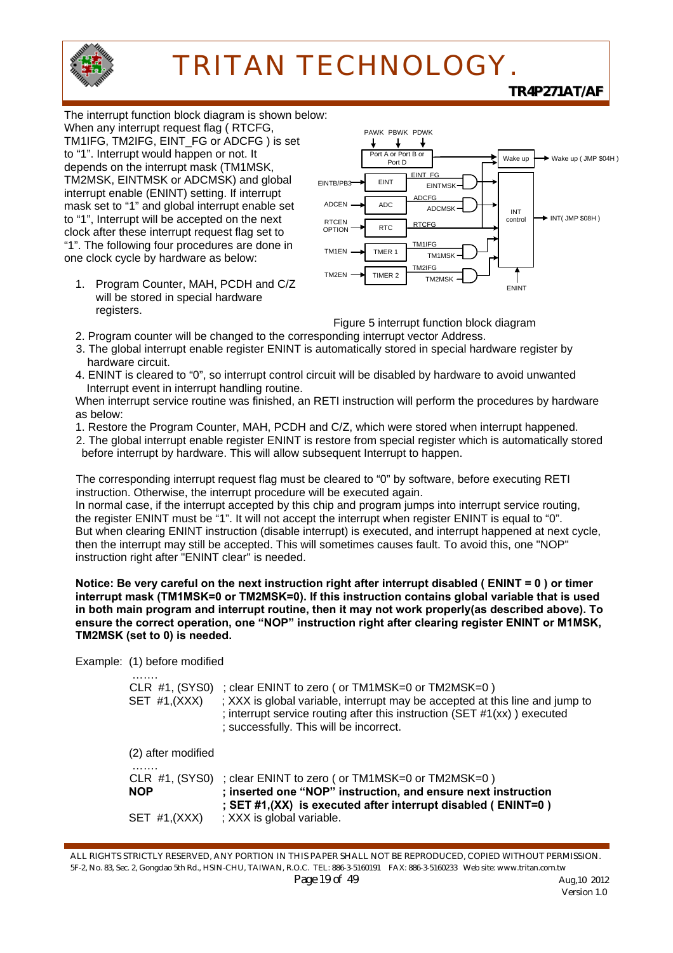

*TR4P271AT/AF*

The interrupt function block diagram is shown below: When any interrupt request flag ( RTCFG, TM1IFG, TM2IFG, EINT\_FG or ADCFG ) is set to "1". Interrupt would happen or not. It depends on the interrupt mask (TM1MSK, TM2MSK, EINTMSK or ADCMSK) and global interrupt enable (ENINT) setting. If interrupt mask set to "1" and global interrupt enable set to "1", Interrupt will be accepted on the next clock after these interrupt request flag set to "1". The following four procedures are done in one clock cycle by hardware as below:

1. Program Counter, MAH, PCDH and C/Z will be stored in special hardware registers.



Figure 5 interrupt function block diagram

- 2. Program counter will be changed to the corresponding interrupt vector Address. 3. The global interrupt enable register ENINT is automatically stored in special hardware register by hardware circuit.
- 4. ENINT is cleared to "0", so interrupt control circuit will be disabled by hardware to avoid unwanted Interrupt event in interrupt handling routine.

When interrupt service routine was finished, an RETI instruction will perform the procedures by hardware as below:

1. Restore the Program Counter, MAH, PCDH and C/Z, which were stored when interrupt happened.

2. The global interrupt enable register ENINT is restore from special register which is automatically stored before interrupt by hardware. This will allow subsequent Interrupt to happen.

The corresponding interrupt request flag must be cleared to "0" by software, before executing RETI instruction. Otherwise, the interrupt procedure will be executed again. In normal case, if the interrupt accepted by this chip and program jumps into interrupt service routing, the register ENINT must be "1". It will not accept the interrupt when register ENINT is equal to "0". But when clearing ENINT instruction (disable interrupt) is executed, and interrupt happened at next cycle, then the interrupt may still be accepted. This will sometimes causes fault. To avoid this, one "NOP" instruction right after "ENINT clear" is needed.

**Notice: Be very careful on the next instruction right after interrupt disabled ( ENINT = 0 ) or timer interrupt mask (TM1MSK=0 or TM2MSK=0). If this instruction contains global variable that is used in both main program and interrupt routine, then it may not work properly(as described above). To ensure the correct operation, one "NOP" instruction right after clearing register ENINT or M1MSK, TM2MSK (set to 0) is needed.**

Example: (1) before modified

| .<br>SET $#1,(XXX)$ | CLR #1, (SYS0) ; clear ENINT to zero (or TM1MSK=0 or TM2MSK=0)<br>; XXX is global variable, interrupt may be accepted at this line and jump to<br>; interrupt service routing after this instruction (SET #1(xx)) executed<br>; successfully. This will be incorrect. |
|---------------------|-----------------------------------------------------------------------------------------------------------------------------------------------------------------------------------------------------------------------------------------------------------------------|
| (2) after modified  |                                                                                                                                                                                                                                                                       |
| .<br><b>NOP</b>     | CLR $#1$ , (SYS0) ; clear ENINT to zero ( or TM1MSK=0 or TM2MSK=0)<br>; inserted one "NOP" instruction, and ensure next instruction<br>; SET #1, (XX) is executed after interrupt disabled (ENINT=0)                                                                  |
| $SET$ #1, $(XXX)$   | ; XXX is global variable.                                                                                                                                                                                                                                             |

ALL RIGHTS STRICTLY RESERVED, ANY PORTION IN THIS PAPER SHALL NOT BE REPRODUCED, COPIED WITHOUT PERMISSION. 5F-2, No. 83, Sec. 2, Gongdao 5th Rd., HSIN-CHU, TAIWAN, R.O.C. TEL: 886-3-5160191 FAX: 886-3-5160233 Web site: www.tritan.com.tw *Page 19 of 49* Aug, 10 2012 Version 1.0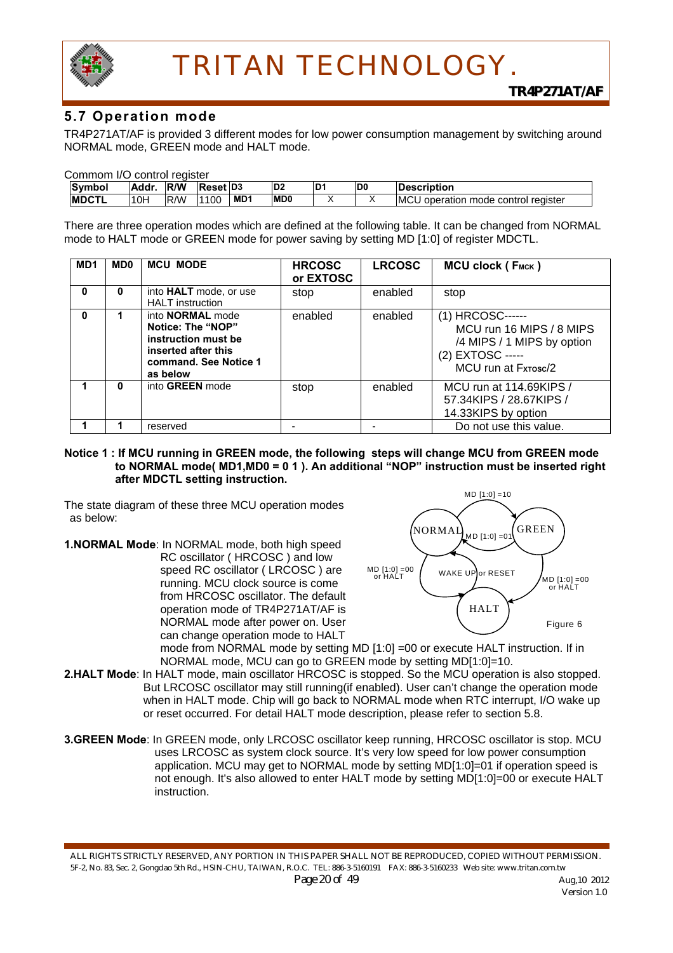

### **5.7 Operation mode**

TR4P271AT/AF is provided 3 different modes for low power consumption management by switching around NORMAL mode, GREEN mode and HALT mode.

| Commom I/O control register |  |  |  |
|-----------------------------|--|--|--|
|-----------------------------|--|--|--|

| <b>Symbol</b> | Addr | <b>IR/W</b> | Reset D <sub>3</sub> |                 | D <sub>2</sub> | D <sub>1</sub> | ID0 | <b>Description</b>                                  |
|---------------|------|-------------|----------------------|-----------------|----------------|----------------|-----|-----------------------------------------------------|
| <b>IMDCTL</b> | 10H  | <b>R/W</b>  | 1100                 | MD <sub>1</sub> | <b>MD0</b>     |                |     | <b>IMCU</b><br>∘ control reaister<br>operation mode |

There are three operation modes which are defined at the following table. It can be changed from NORMAL mode to HALT mode or GREEN mode for power saving by setting MD [1:0] of register MDCTL.

| MD <sub>1</sub> | MD <sub>0</sub> | <b>MCU MODE</b>                                                                                                                 | <b>HRCOSC</b><br>or EXTOSC | <b>LRCOSC</b> | MCU clock (FMCK)                                                                                                      |
|-----------------|-----------------|---------------------------------------------------------------------------------------------------------------------------------|----------------------------|---------------|-----------------------------------------------------------------------------------------------------------------------|
| 0               | 0               | into <b>HALT</b> mode, or use<br><b>HALT</b> instruction                                                                        | stop                       | enabled       | stop                                                                                                                  |
| O               |                 | into <b>NORMAL</b> mode<br>Notice: The "NOP"<br>instruction must be<br>inserted after this<br>command. See Notice 1<br>as below | enabled                    | enabled       | (1) HRCOSC------<br>MCU run 16 MIPS / 8 MIPS<br>/4 MIPS / 1 MIPS by option<br>(2) EXTOSC -----<br>MCU run at Fxrosc/2 |
|                 | O               | into GREEN mode                                                                                                                 | stop                       | enabled       | MCU run at 114.69KIPS /<br>57.34KIPS / 28.67KIPS /<br>14.33KIPS by option                                             |
|                 |                 | reserved                                                                                                                        |                            |               | Do not use this value.                                                                                                |

#### **Notice 1 : If MCU running in GREEN mode, the following steps will change MCU from GREEN mode to NORMAL mode( MD1,MD0 = 0 1 ). An additional "NOP" instruction must be inserted right after MDCTL setting instruction.**

The state diagram of these three MCU operation modes as below:

**1.NORMAL Mode**: In NORMAL mode, both high speed RC oscillator ( HRCOSC ) and low speed RC oscillator ( LRCOSC ) are running. MCU clock source is come from HRCOSC oscillator. The default operation mode of TR4P271AT/AF is NORMAL mode after power on. User can change operation mode to HALT



mode from NORMAL mode by setting MD [1:0] =00 or execute HALT instruction. If in NORMAL mode, MCU can go to GREEN mode by setting MD[1:0]=10.

- **2.HALT Mode**: In HALT mode, main oscillator HRCOSC is stopped. So the MCU operation is also stopped. But LRCOSC oscillator may still running(if enabled). User can't change the operation mode when in HALT mode. Chip will go back to NORMAL mode when RTC interrupt, I/O wake up or reset occurred. For detail HALT mode description, please refer to section 5.8.
- **3.GREEN Mode**: In GREEN mode, only LRCOSC oscillator keep running, HRCOSC oscillator is stop. MCU uses LRCOSC as system clock source. It's very low speed for low power consumption application. MCU may get to NORMAL mode by setting MD[1:0]=01 if operation speed is not enough. It's also allowed to enter HALT mode by setting MD[1:0]=00 or execute HALT instruction.

ALL RIGHTS STRICTLY RESERVED, ANY PORTION IN THIS PAPER SHALL NOT BE REPRODUCED, COPIED WITHOUT PERMISSION. 5F-2, No. 83, Sec. 2, Gongdao 5th Rd., HSIN-CHU, TAIWAN, R.O.C. TEL: 886-3-5160191 FAX: 886-3-5160233 Web site: www.tritan.com.tw *Page 20 of 49* Aug,10 2012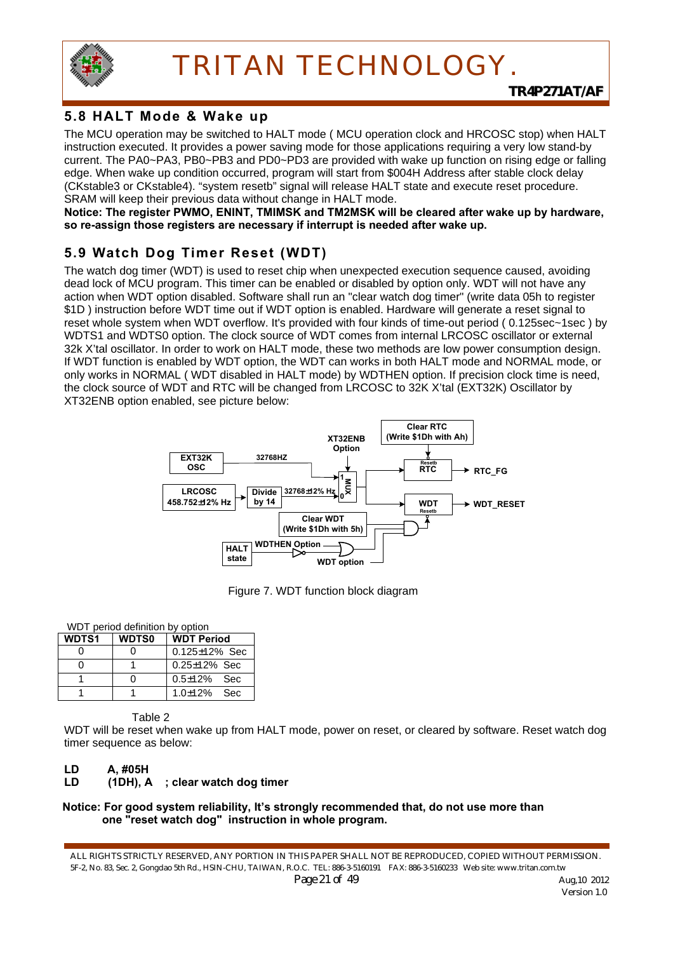

## **5.8 HALT Mode & Wake up**

The MCU operation may be switched to HALT mode ( MCU operation clock and HRCOSC stop) when HALT instruction executed. It provides a power saving mode for those applications requiring a very low stand-by current. The PA0~PA3, PB0~PB3 and PD0~PD3 are provided with wake up function on rising edge or falling edge. When wake up condition occurred, program will start from \$004H Address after stable clock delay (CKstable3 or CKstable4). "system resetb" signal will release HALT state and execute reset procedure. SRAM will keep their previous data without change in HALT mode.

**Notice: The register PWMO, ENINT, TMIMSK and TM2MSK will be cleared after wake up by hardware, so re-assign those registers are necessary if interrupt is needed after wake up.** 

## **5.9 Watch Dog Timer Reset (WDT)**

The watch dog timer (WDT) is used to reset chip when unexpected execution sequence caused, avoiding dead lock of MCU program. This timer can be enabled or disabled by option only. WDT will not have any action when WDT option disabled. Software shall run an "clear watch dog timer" (write data 05h to register \$1D ) instruction before WDT time out if WDT option is enabled. Hardware will generate a reset signal to reset whole system when WDT overflow. It's provided with four kinds of time-out period ( 0.125sec~1sec ) by WDTS1 and WDTS0 option. The clock source of WDT comes from internal LRCOSC oscillator or external 32k X'tal oscillator. In order to work on HALT mode, these two methods are low power consumption design. If WDT function is enabled by WDT option, the WDT can works in both HALT mode and NORMAL mode, or only works in NORMAL ( WDT disabled in HALT mode) by WDTHEN option. If precision clock time is need, the clock source of WDT and RTC will be changed from LRCOSC to 32K X'tal (EXT32K) Oscillator by XT32ENB option enabled, see picture below:



Figure 7. WDT function block diagram

#### WDT period definition by option

| <b>WDTS1</b> | <b>WDTS0</b> | <b>WDT Period</b>    |
|--------------|--------------|----------------------|
|              |              | $0.125 \pm 12\%$ Sec |
|              |              | $0.25 \pm 12\%$ Sec  |
|              |              | $0.5 \pm 12\%$ Sec   |
|              |              | $1.0 \pm 12\%$ Sec   |

Table 2

WDT will be reset when wake up from HALT mode, power on reset, or cleared by software. Reset watch dog timer sequence as below:

#### **LD A, #05H**

**LD (1DH), A ; clear watch dog timer** 

#### **Notice: For good system reliability, It's strongly recommended that, do not use more than one "reset watch dog" instruction in whole program.**

ALL RIGHTS STRICTLY RESERVED, ANY PORTION IN THIS PAPER SHALL NOT BE REPRODUCED, COPIED WITHOUT PERMISSION. 5F-2, No. 83, Sec. 2, Gongdao 5th Rd., HSIN-CHU, TAIWAN, R.O.C. TEL: 886-3-5160191 FAX: 886-3-5160233 Web site: www.tritan.com.tw *Page 21 of 49* Aug,10 2012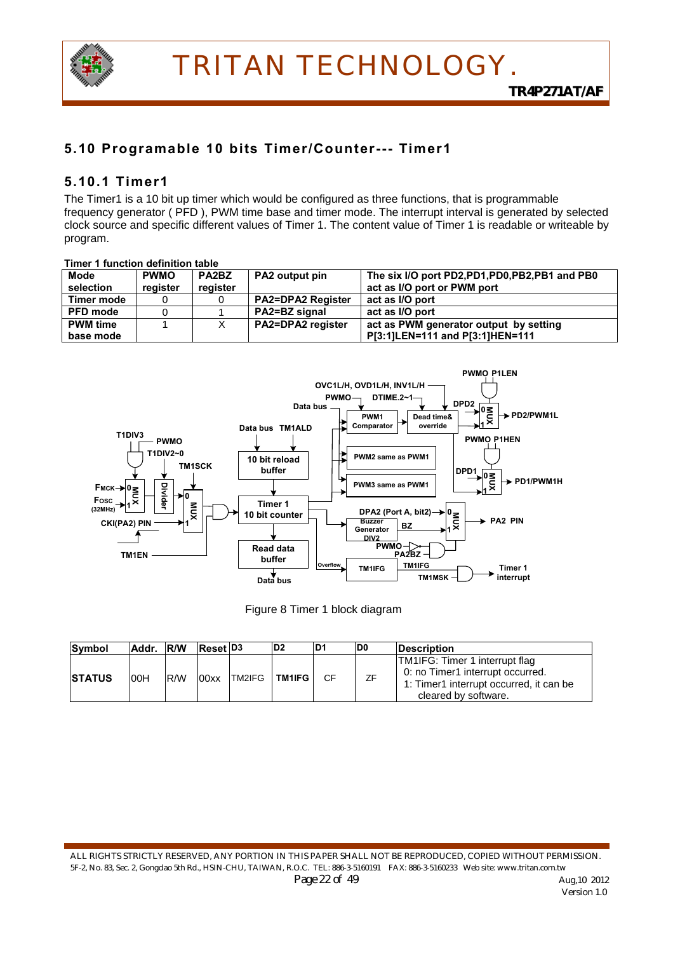

## **5.10 Programable 10 bits Timer/Counter--- Timer1**

### **5.10.1 Timer1**

The Timer1 is a 10 bit up timer which would be configured as three functions, that is programmable frequency generator ( PFD ), PWM time base and timer mode. The interrupt interval is generated by selected clock source and specific different values of Timer 1. The content value of Timer 1 is readable or writeable by program.

#### **Timer 1 function definition table Mode selection PWMO register PA2BZ register PA2 output pin The six I/O port PD2,PD1,PD0,PB2,PB1 and PB0 act as I/O port or PWM port Timer mode** 0 0 **PA2=DPA2 Register act as I/O port PFD mode** | 0 | 1 | **PA2=BZ signal | act as I/O port PWM time base mode**  1 X **PA2=DPA2 register act as PWM generator output by setting P[3:1]LEN=111 and P[3:1]HEN=111**



|  |  |  | Figure 8 Timer 1 block diagram |
|--|--|--|--------------------------------|
|--|--|--|--------------------------------|

| Symbol         | Addr. R/W |            | <b>Reset D3</b> |               | D <sub>2</sub> | ID1 | D <sub>0</sub> | <b>IDescription</b>                                                                                                                   |
|----------------|-----------|------------|-----------------|---------------|----------------|-----|----------------|---------------------------------------------------------------------------------------------------------------------------------------|
| <b>ISTATUS</b> | 00H       | <b>R/W</b> | 00xx            | <b>TM2IFG</b> | <b>TM1IFG</b>  | CF. | ΖF             | TM1IFG: Timer 1 interrupt flag<br>0: no Timer1 interrupt occurred.<br>1: Timer1 interrupt occurred, it can be<br>cleared by software. |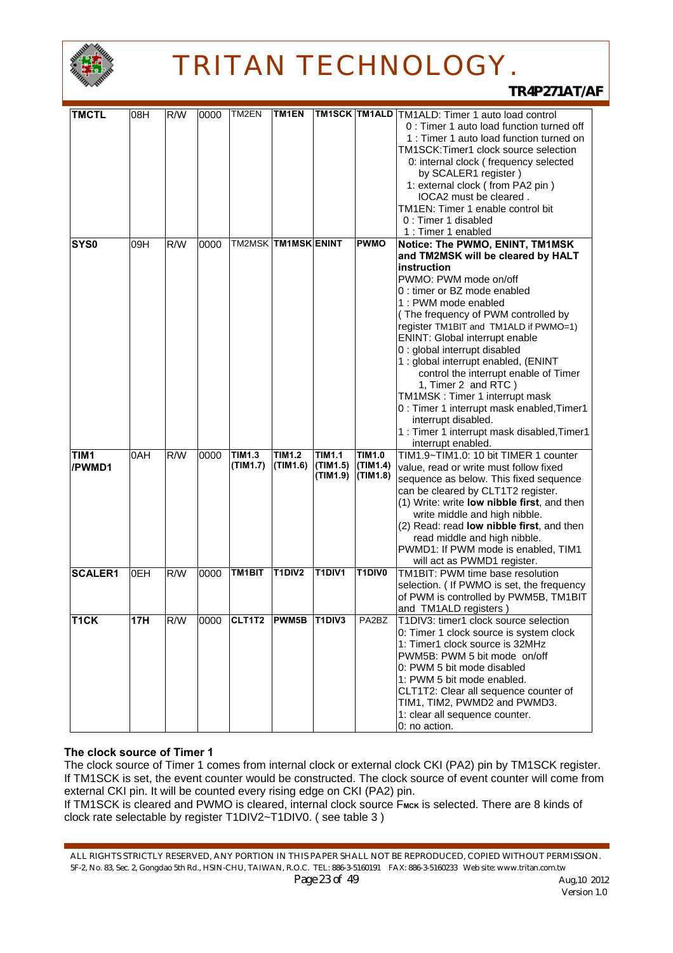

*TR4P271AT/AF*

| <b>TMCTL</b>      | 08H | R/W              | 0000 | TM2EN               | TM1EN                      |                                 |               | <b>TM1SCK TM1ALD</b> TM1ALD: Timer 1 auto load control |
|-------------------|-----|------------------|------|---------------------|----------------------------|---------------------------------|---------------|--------------------------------------------------------|
|                   |     |                  |      |                     |                            |                                 |               | 0 : Timer 1 auto load function turned off              |
|                   |     |                  |      |                     |                            |                                 |               | 1 : Timer 1 auto load function turned on               |
|                   |     |                  |      |                     |                            |                                 |               | TM1SCK:Timer1 clock source selection                   |
|                   |     |                  |      |                     |                            |                                 |               | 0: internal clock (frequency selected                  |
|                   |     |                  |      |                     |                            |                                 |               | by SCALER1 register)                                   |
|                   |     |                  |      |                     |                            |                                 |               | 1: external clock (from PA2 pin)                       |
|                   |     |                  |      |                     |                            |                                 |               | IOCA2 must be cleared.                                 |
|                   |     |                  |      |                     |                            |                                 |               | TM1EN: Timer 1 enable control bit                      |
|                   |     |                  |      |                     |                            |                                 |               | 0 : Timer 1 disabled                                   |
|                   |     |                  |      |                     |                            |                                 |               | 1 : Timer 1 enabled                                    |
| <b>SYS0</b>       | 09H | R/W              | 0000 |                     | <b>TM2MSK TM1MSK ENINT</b> |                                 | <b>PWMO</b>   | Notice: The PWMO, ENINT, TM1MSK                        |
|                   |     |                  |      |                     |                            |                                 |               | and TM2MSK will be cleared by HALT                     |
|                   |     |                  |      |                     |                            |                                 |               | instruction                                            |
|                   |     |                  |      |                     |                            |                                 |               | PWMO: PWM mode on/off                                  |
|                   |     |                  |      |                     |                            |                                 |               | 0 : timer or BZ mode enabled                           |
|                   |     |                  |      |                     |                            |                                 |               | 1 : PWM mode enabled                                   |
|                   |     |                  |      |                     |                            |                                 |               | (The frequency of PWM controlled by                    |
|                   |     |                  |      |                     |                            |                                 |               | register TM1BIT and TM1ALD if PWMO=1)                  |
|                   |     |                  |      |                     |                            |                                 |               | <b>ENINT: Global interrupt enable</b>                  |
|                   |     |                  |      |                     |                            |                                 |               | 0 : global interrupt disabled                          |
|                   |     |                  |      |                     |                            |                                 |               | 1 : global interrupt enabled, (ENINT                   |
|                   |     |                  |      |                     |                            |                                 |               | control the interrupt enable of Timer                  |
|                   |     |                  |      |                     |                            |                                 |               | 1, Timer 2 and RTC)                                    |
|                   |     |                  |      |                     |                            |                                 |               | TM1MSK: Timer 1 interrupt mask                         |
|                   |     |                  |      |                     |                            |                                 |               | 0 : Timer 1 interrupt mask enabled, Timer1             |
|                   |     |                  |      |                     |                            |                                 |               | interrupt disabled.                                    |
|                   |     |                  |      |                     |                            |                                 |               | 1 : Timer 1 interrupt mask disabled, Timer1            |
|                   |     |                  |      |                     |                            |                                 |               | interrupt enabled.                                     |
| TIM1              | 0AH | R/W              | 0000 | <b>TIM1.3</b>       | <b>TIM1.2</b>              | <b>TIM1.1</b>                   | <b>TIM1.0</b> | TIM1.9~TIM1.0: 10 bit TIMER 1 counter                  |
| /PWMD1            |     |                  |      | (TIM1.7)            | (TIM1.6)                   | (TIM1.5)                        | (TIM1.4)      | value, read or write must follow fixed                 |
|                   |     |                  |      |                     |                            | (TIM1.9)                        | (TIM1.8)      | sequence as below. This fixed sequence                 |
|                   |     |                  |      |                     |                            |                                 |               | can be cleared by CLT1T2 register.                     |
|                   |     |                  |      |                     |                            |                                 |               | (1) Write: write low nibble first, and then            |
|                   |     |                  |      |                     |                            |                                 |               | write middle and high nibble.                          |
|                   |     |                  |      |                     |                            |                                 |               | (2) Read: read <b>low nibble first</b> , and then      |
|                   |     |                  |      |                     |                            |                                 |               | read middle and high nibble.                           |
|                   |     |                  |      |                     |                            |                                 |               | PWMD1: If PWM mode is enabled, TIM1                    |
|                   |     |                  |      |                     |                            |                                 |               | will act as PWMD1 register.                            |
| <b>SCALER1</b>    | 0EH | R/W              | 0000 | TM <sub>1</sub> BIT | T1DIV2                     | <b>T1DIV1</b>                   | T1DIV0        | TM1BIT: PWM time base resolution                       |
|                   |     |                  |      |                     |                            |                                 |               | selection. ( If PWMO is set, the frequency             |
|                   |     |                  |      |                     |                            |                                 |               | of PWM is controlled by PWM5B, TM1BIT                  |
|                   |     |                  |      |                     |                            |                                 |               | and TM1ALD registers)                                  |
| T <sub>1</sub> CK | 17H | $R/\overline{W}$ | 0000 | CLT1T2              | <b>PWM5B</b>               | T <sub>1</sub> DIV <sub>3</sub> | PA2BZ         | T1DIV3: timer1 clock source selection                  |
|                   |     |                  |      |                     |                            |                                 |               | 0: Timer 1 clock source is system clock                |
|                   |     |                  |      |                     |                            |                                 |               | 1: Timer1 clock source is 32MHz                        |
|                   |     |                  |      |                     |                            |                                 |               | PWM5B: PWM 5 bit mode on/off                           |
|                   |     |                  |      |                     |                            |                                 |               | 0: PWM 5 bit mode disabled                             |
|                   |     |                  |      |                     |                            |                                 |               | 1: PWM 5 bit mode enabled.                             |
|                   |     |                  |      |                     |                            |                                 |               | CLT1T2: Clear all sequence counter of                  |
|                   |     |                  |      |                     |                            |                                 |               | TIM1, TIM2, PWMD2 and PWMD3.                           |
|                   |     |                  |      |                     |                            |                                 |               |                                                        |
|                   |     |                  |      |                     |                            |                                 |               | 1: clear all sequence counter.<br>0: no action.        |

#### **The clock source of Timer 1**

The clock source of Timer 1 comes from internal clock or external clock CKI (PA2) pin by TM1SCK register. If TM1SCK is set, the event counter would be constructed. The clock source of event counter will come from external CKI pin. It will be counted every rising edge on CKI (PA2) pin.

If TM1SCK is cleared and PWMO is cleared, internal clock source FMCK is selected. There are 8 kinds of clock rate selectable by register T1DIV2~T1DIV0. ( see table 3 )

ALL RIGHTS STRICTLY RESERVED, ANY PORTION IN THIS PAPER SHALL NOT BE REPRODUCED, COPIED WITHOUT PERMISSION. 5F-2, No. 83, Sec. 2, Gongdao 5th Rd., HSIN-CHU, TAIWAN, R.O.C. TEL: 886-3-5160191 FAX: 886-3-5160233 Web site: www.tritan.com.tw *Page 23 of 49 Aug, 10 2012*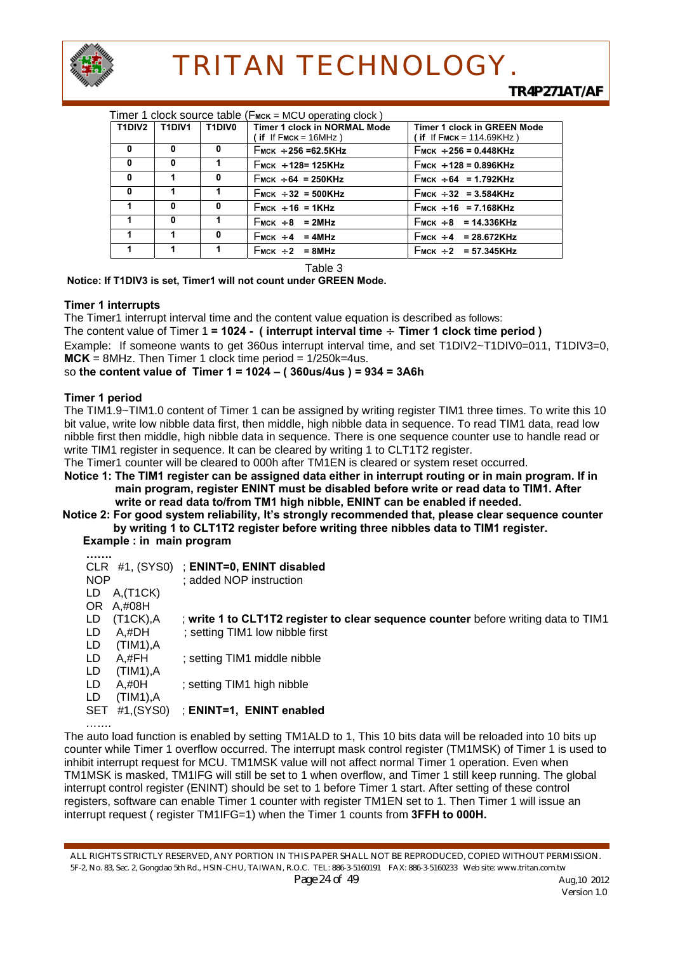

| Timer 1 clock source table (F <sub>MCK</sub> = MCU operating clock) |              |               |                              |                                    |  |  |  |  |  |
|---------------------------------------------------------------------|--------------|---------------|------------------------------|------------------------------------|--|--|--|--|--|
| T1DIV2                                                              | T1DIV1       | <b>T1DIV0</b> | Timer 1 clock in NORMAL Mode | <b>Timer 1 clock in GREEN Mode</b> |  |  |  |  |  |
|                                                                     |              |               | $($ if If FMCK = 16MHz)      | (if If FMCK = $114.69$ KHz)        |  |  |  |  |  |
| 0                                                                   | 0            | 0             | $F_{MCK}$ ÷ 256 = 62.5KHz    | $F_{MCK}$ ÷ 256 = 0.448KHz         |  |  |  |  |  |
| $\mathbf{0}$                                                        | 0            | 1             | $F_{MCK}$ + 128= 125KHz      | $F_{MCK}$ + 128 = 0.896KHz         |  |  |  |  |  |
| $\mathbf{0}$                                                        | 1            | 0             | $F_{MCK}$ + 64 = 250KHz      | $F_{MCK}$ + 64 = 1.792KHz          |  |  |  |  |  |
| $\mathbf{0}$                                                        | 1            |               | $F_{MCK}$ + 32 = 500KHz      | $F_{MCK}$ + 32 = 3.584KHz          |  |  |  |  |  |
|                                                                     | $\mathbf{0}$ | 0             | $F_{MCK}$ + 16 = 1KHz        | $F_{MCK}$ + 16 = 7.168KHz          |  |  |  |  |  |
|                                                                     | $\mathbf{0}$ |               | $F_{MCK}$ + 8 = 2MHz         | $F_{MCK}$ + 8 = 14.336KHz          |  |  |  |  |  |
|                                                                     | 1            | 0             | $F_{MCK}$ + 4 = 4MHz         | $F_{MCK}$ + 4 = 28.672KHz          |  |  |  |  |  |
|                                                                     | 1            |               | $F_{MCK}$ + 2 = 8MHz         | $F_{MCK}$ + 2 = 57.345KHz          |  |  |  |  |  |

Table 3

 **Notice: If T1DIV3 is set, Timer1 will not count under GREEN Mode.** 

#### **Timer 1 interrupts**

The Timer1 interrupt interval time and the content value equation is described as follows: The content value of Timer 1 **= 1024 - ( interrupt interval time** ÷ **Timer 1 clock time period )**  Example: If someone wants to get 360us interrupt interval time, and set T1DIV2~T1DIV0=011, T1DIV3=0, **MCK** = 8MHz. Then Timer 1 clock time period = 1/250k=4us.

so **the content value of Timer 1 = 1024 – ( 360us/4us ) = 934 = 3A6h**

#### **Timer 1 period**

The TIM1.9~TIM1.0 content of Timer 1 can be assigned by writing register TIM1 three times. To write this 10 bit value, write low nibble data first, then middle, high nibble data in sequence. To read TIM1 data, read low nibble first then middle, high nibble data in sequence. There is one sequence counter use to handle read or write TIM1 register in sequence. It can be cleared by writing 1 to CLT1T2 register.

The Timer1 counter will be cleared to 000h after TM1EN is cleared or system reset occurred.

**Notice 1: The TIM1 register can be assigned data either in interrupt routing or in main program. If in main program, register ENINT must be disabled before write or read data to TIM1. After write or read data to/from TM1 high nibble, ENINT can be enabled if needed.** 

**Notice 2: For good system reliability, It's strongly recommended that, please clear sequence counter by writing 1 to CLT1T2 register before writing three nibbles data to TIM1 register.** 

 **Example : in main program** 

| <br>NOP<br>$A$ , $(T1CK)$<br>LD<br>A,#08H<br>OR.     | CLR #1, (SYS0) ; ENINT=0, ENINT disabled<br>; added NOP instruction |                                                                                    |
|------------------------------------------------------|---------------------------------------------------------------------|------------------------------------------------------------------------------------|
| $(T1CK)$ , A<br>LD<br>LD<br>A.#DH<br>(TIM1), A<br>LD | ; setting TIM1 low nibble first                                     | ; write 1 to CLT1T2 register to clear sequence counter before writing data to TIM1 |
| LD<br>A,#FH<br>LD<br>(TIM1), A                       | ; setting TIM1 middle nibble                                        |                                                                                    |
| LD<br>$A, \#OH$<br>LD<br>(TIM1), A                   | setting TIM1 high nibble                                            |                                                                                    |
| <b>SET</b><br>.                                      | #1,(SYS0)<br>: ENINT=1, ENINT enabled                               |                                                                                    |

The auto load function is enabled by setting TM1ALD to 1, This 10 bits data will be reloaded into 10 bits up counter while Timer 1 overflow occurred. The interrupt mask control register (TM1MSK) of Timer 1 is used to inhibit interrupt request for MCU. TM1MSK value will not affect normal Timer 1 operation. Even when TM1MSK is masked, TM1IFG will still be set to 1 when overflow, and Timer 1 still keep running. The global interrupt control register (ENINT) should be set to 1 before Timer 1 start. After setting of these control registers, software can enable Timer 1 counter with register TM1EN set to 1. Then Timer 1 will issue an interrupt request ( register TM1IFG=1) when the Timer 1 counts from **3FFH to 000H.** 

ALL RIGHTS STRICTLY RESERVED, ANY PORTION IN THIS PAPER SHALL NOT BE REPRODUCED, COPIED WITHOUT PERMISSION. 5F-2, No. 83, Sec. 2, Gongdao 5th Rd., HSIN-CHU, TAIWAN, R.O.C. TEL: 886-3-5160191 FAX: 886-3-5160233 Web site: www.tritan.com.tw *Page 24 of 49* Aug, 10 2012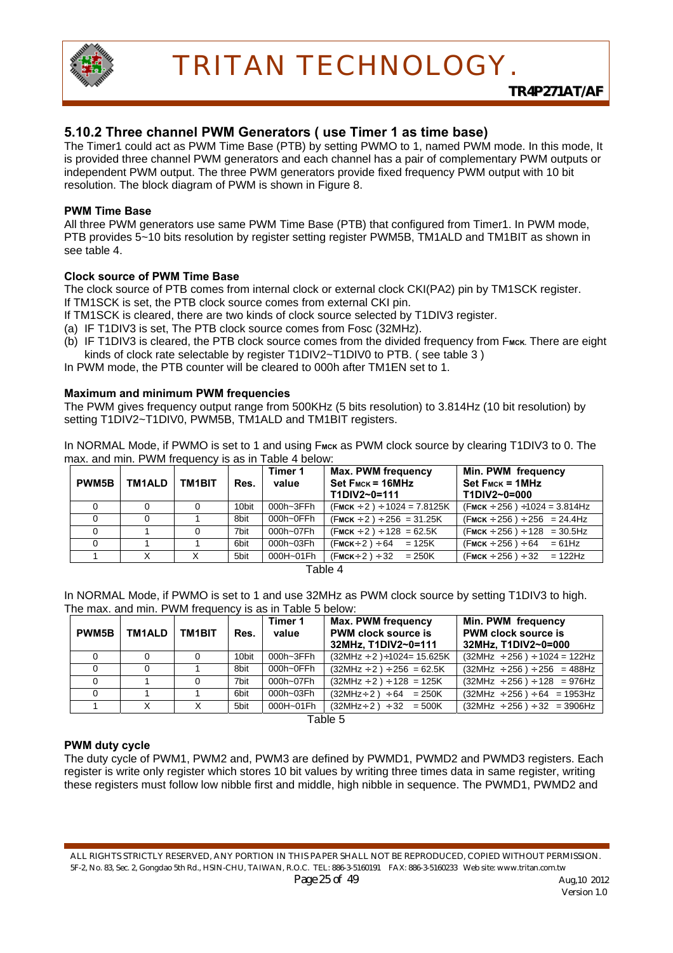

### **5.10.2 Three channel PWM Generators ( use Timer 1 as time base)**

The Timer1 could act as PWM Time Base (PTB) by setting PWMO to 1, named PWM mode. In this mode, It is provided three channel PWM generators and each channel has a pair of complementary PWM outputs or independent PWM output. The three PWM generators provide fixed frequency PWM output with 10 bit resolution. The block diagram of PWM is shown in Figure 8.

#### **PWM Time Base**

All three PWM generators use same PWM Time Base (PTB) that configured from Timer1. In PWM mode, PTB provides 5~10 bits resolution by register setting register PWM5B, TM1ALD and TM1BIT as shown in see table 4.

#### **Clock source of PWM Time Base**

The clock source of PTB comes from internal clock or external clock CKI(PA2) pin by TM1SCK register. If TM1SCK is set, the PTB clock source comes from external CKI pin.

If TM1SCK is cleared, there are two kinds of clock source selected by T1DIV3 register.

(a) IF T1DIV3 is set, The PTB clock source comes from Fosc (32MHz).

(b) IF T1DIV3 is cleared, the PTB clock source comes from the divided frequency from F<sub>MCK</sub>. There are eight kinds of clock rate selectable by register T1DIV2~T1DIV0 to PTB. (see table 3)

In PWM mode, the PTB counter will be cleared to 000h after TM1EN set to 1.

#### **Maximum and minimum PWM frequencies**

The PWM gives frequency output range from 500KHz (5 bits resolution) to 3.814Hz (10 bit resolution) by setting T1DIV2~T1DIV0, PWM5B, TM1ALD and TM1BIT registers.

In NORMAL Mode, if PWMO is set to 1 and using F<sub>MCK</sub> as PWM clock source by clearing T1DIV3 to 0. The max. and min. PWM frequency is as in Table 4 below:

| <b>PWM5B</b> | TM1ALD | <b>TM1BIT</b> | Res.  | Timer 1<br>value | <b>Max. PWM frequency</b><br>$Set$ $F_{MCK} = 16MHz$<br>T1DIV2~0=111 | Min. PWM frequency<br>$Set$ $F_{MCK} = 1$ MHz<br>T1DIV2~0=000 |
|--------------|--------|---------------|-------|------------------|----------------------------------------------------------------------|---------------------------------------------------------------|
|              |        | 0             | 10bit | 000h~3FFh        | $(FMCK \div 2) \div 1024 = 7.8125K$                                  | $(FMCK \div 256) \div 1024 = 3.814 Hz$                        |
|              | 0      |               | 8bit  | 000h~0FFh        | $(FMCK \div 2) \div 256 = 31.25K$                                    | $(FMCK \div 256) \div 256 = 24.4 Hz$                          |
|              |        | 0             | 7bit  | 000h~07Fh        | $(FMCK \div 2) \div 128 = 62.5K$                                     | $(FMCK \div 256) \div 128 = 30.5 Hz$                          |
|              |        |               | 6bit  | 000h~03Fh        | $(FMCK \div 2) \div 64 = 125K$                                       | $(FMCK \div 256) \div 64 = 61 Hz$                             |
|              |        |               | 5bit  | 000H~01Fh        | $(FMCK \div 2) \div 32 = 250K$                                       | $(FMCK \div 256) \div 32 = 122 Hz$                            |

Table 4

In NORMAL Mode, if PWMO is set to 1 and use 32MHz as PWM clock source by setting T1DIV3 to high. The max. and min. PWM frequency is as in Table 5 below:

| <b>PWM5B</b> | TM1ALD | <b>TM1BIT</b> | Res.  | Timer 1<br>value | Max. PWM frequency<br><b>PWM clock source is</b><br>32MHz. T1DIV2~0=111 | Min. PWM frequency<br><b>PWM clock source is</b><br>32MHz, T1DIV2~0=000 |
|--------------|--------|---------------|-------|------------------|-------------------------------------------------------------------------|-------------------------------------------------------------------------|
|              |        | 0             | 10bit | 000h~3FFh        | $(32MHz + 2) + 1024 = 15.625K$                                          | $(32MHz \div 256) \div 1024 = 122Hz$                                    |
|              |        |               | 8bit  | 000h~0FFh        | $(32MHz \div 2) \div 256 = 62.5K$                                       | $(32MHz \div 256) \div 256 = 488Hz$                                     |
|              |        | 0             | 7bit  | 000h~07Fh        | $(32MHz + 2) \div 128 = 125K$                                           | $(32MHz \div 256) \div 128 = 976Hz$                                     |
|              |        |               | 6bit  | 000h~03Fh        | $(32MHz \div 2) \div 64 = 250K$                                         | $(32MHz + 256) \div 64 = 1953Hz$                                        |
|              |        |               | 5bit  | 000H~01Fh        | $(32MHz \div 2) \div 32 = 500K$                                         | $(32MHz \div 256) \div 32 = 3906Hz$                                     |

Table 5

#### **PWM duty cycle**

The duty cycle of PWM1, PWM2 and, PWM3 are defined by PWMD1, PWMD2 and PWMD3 registers. Each register is write only register which stores 10 bit values by writing three times data in same register, writing these registers must follow low nibble first and middle, high nibble in sequence. The PWMD1, PWMD2 and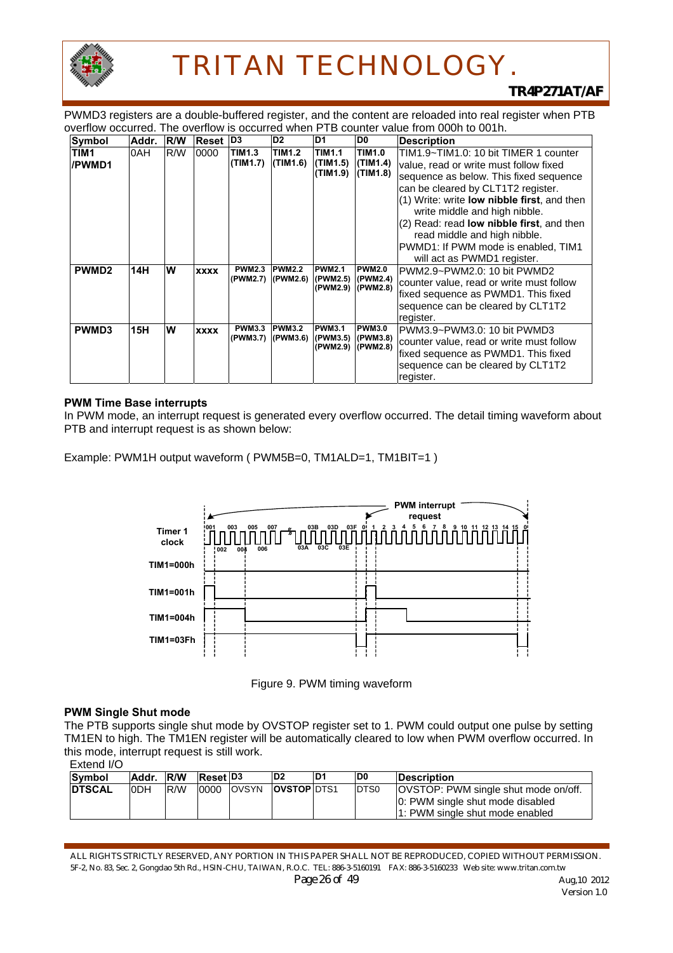

PWMD3 registers are a double-buffered register, and the content are reloaded into real register when PTB overflow occurred. The overflow is occurred when PTB counter value from 000h to 001h.

| Symbol                     | Addr. | <b>R/W</b> | Reset D <sub>3</sub> |                           | D <sub>2</sub>                            | ID1                                            | D0                                    | <b>Description</b>                                                                                                                                                                                                                                                                                                                                                                                 |
|----------------------------|-------|------------|----------------------|---------------------------|-------------------------------------------|------------------------------------------------|---------------------------------------|----------------------------------------------------------------------------------------------------------------------------------------------------------------------------------------------------------------------------------------------------------------------------------------------------------------------------------------------------------------------------------------------------|
| TIM <sub>1</sub><br>/PWMD1 | 0AH   | R/W        | 0000                 | <b>TIM1.3</b><br>(TIM1.7) | <b>TIM1.2</b><br>$ $ (TIM1.6)             | <b>TIM1.1</b><br>(TIM1.5)<br>(TIM1.9)          | <b>TIM1.0</b><br>(TIM1.4)<br>(TIM1.8) | TIM1.9~TIM1.0: 10 bit TIMER 1 counter<br>value, read or write must follow fixed<br>sequence as below. This fixed sequence<br>can be cleared by CLT1T2 register.<br>(1) Write: write low nibble first, and then<br>write middle and high nibble.<br>(2) Read: read low nibble first, and then<br>read middle and high nibble.<br>PWMD1: If PWM mode is enabled, TIM1<br>will act as PWMD1 register. |
| PWMD <sub>2</sub>          | 14H   | W          | <b>XXXX</b>          | <b>PWM2.3</b>             | <b>PWM2.2</b><br>(PWM2.7) (PWM2.6)        | <b>PWM2.1</b><br>(PWM2.5)<br>(PWM2.9) (PWM2.8) | <b>PWM2.0</b><br>(PWM2.4)             | PWM2.9~PWM2.0: 10 bit PWMD2<br>counter value, read or write must follow<br>fixed sequence as PWMD1. This fixed<br>sequence can be cleared by CLT1T2<br>register.                                                                                                                                                                                                                                   |
| PWMD3                      | 15H   | W          | <b>XXXX</b>          | <b>PWM3.3</b>             | T <sub>P</sub> WM3.2<br>(PWM3.7) (PWM3.6) | <b>PWM3.1</b><br>(PWM3.5)<br>(PWM2.9) (PWM2.8) | <b>PWM3.0</b><br>(PWM3.8)             | PWM3.9~PWM3.0: 10 bit PWMD3<br>counter value, read or write must follow<br>fixed sequence as PWMD1. This fixed<br>sequence can be cleared by CLT1T2<br>register.                                                                                                                                                                                                                                   |

#### **PWM Time Base interrupts**

In PWM mode, an interrupt request is generated every overflow occurred. The detail timing waveform about PTB and interrupt request is as shown below:

Example: PWM1H output waveform ( PWM5B=0, TM1ALD=1, TM1BIT=1 )



Figure 9. PWM timing waveform

#### **PWM Single Shut mode**

The PTB supports single shut mode by OVSTOP register set to 1. PWM could output one pulse by setting TM1EN to high. The TM1EN register will be automatically cleared to low when PWM overflow occurred. In this mode, interrupt request is still work.

```
Extend I/O
```

| Symbol        | Addr.      | <b>R/W</b> | <b>Reset D3</b> |              | D <sub>2</sub>     | ID1 | ID0          | <b>IDescription</b>                                                                                                |
|---------------|------------|------------|-----------------|--------------|--------------------|-----|--------------|--------------------------------------------------------------------------------------------------------------------|
| <b>DTSCAL</b> | <b>ODH</b> | <b>R/W</b> | 0000            | <b>OVSYN</b> | <b>OVSTOP DTS1</b> |     | <b>IDTS0</b> | <b>OVSTOP: PWM single shut mode on/off.</b><br>0: PWM single shut mode disabled<br>1: PWM single shut mode enabled |

ALL RIGHTS STRICTLY RESERVED, ANY PORTION IN THIS PAPER SHALL NOT BE REPRODUCED, COPIED WITHOUT PERMISSION. 5F-2, No. 83, Sec. 2, Gongdao 5th Rd., HSIN-CHU, TAIWAN, R.O.C. TEL: 886-3-5160191 FAX: 886-3-5160233 Web site: www.tritan.com.tw *Page 26 of 49 Aug,10 2012*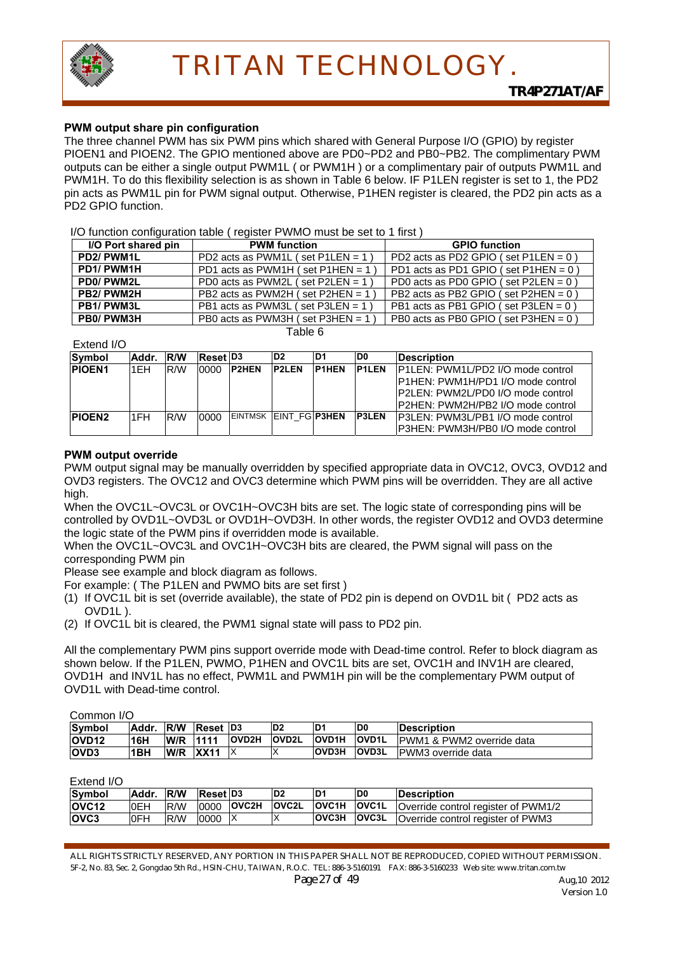

#### **PWM output share pin configuration**

The three channel PWM has six PWM pins which shared with General Purpose I/O (GPIO) by register PIOEN1 and PIOEN2. The GPIO mentioned above are PD0~PD2 and PB0~PB2. The complimentary PWM outputs can be either a single output PWM1L ( or PWM1H ) or a complimentary pair of outputs PWM1L and PWM1H. To do this flexibility selection is as shown in Table 6 below. IF P1LEN register is set to 1, the PD2 pin acts as PWM1L pin for PWM signal output. Otherwise, P1HEN register is cleared, the PD2 pin acts as a PD2 GPIO function.

#### $I/O$  function configuration table ( register PWMO must be set to 1 first)

| I/O Port shared pin | <b>PWM</b> function               | <b>GPIO function</b>                    |
|---------------------|-----------------------------------|-----------------------------------------|
| PD2/PWM1L           | PD2 acts as PWM1L (set P1LEN = 1) | PD2 acts as PD2 GPIO (set P1LEN = $0$ ) |
| PD1/PWM1H           | PD1 acts as PWM1H (set P1HEN = 1) | PD1 acts as PD1 GPIO (set P1HEN = $0$ ) |
| PD0/PWM2L           | PD0 acts as PWM2L (set P2LEN = 1) | PD0 acts as PD0 GPIO (set P2LEN = $0$ ) |
| PB2/PWM2H           | PB2 acts as PWM2H (set P2HEN = 1) | PB2 acts as PB2 GPIO (set P2HEN = $0$ ) |
| PB1/PWM3L           | PB1 acts as PWM3L (set P3LEN = 1) | PB1 acts as PB1 GPIO (set P3LEN = $0$ ) |
| PB0/PWM3H           | PB0 acts as PWM3H (set P3HEN = 1) | PB0 acts as PB0 GPIO (set P3HEN = $0$ ) |

Extend I/O

Table 6

| <b>Symbol</b> | Addr. | <b>R/W</b> | <b>Reset D3</b> |                       | D <sub>2</sub> | ID1          | D <sub>0</sub> | <b>Description</b>                       |
|---------------|-------|------------|-----------------|-----------------------|----------------|--------------|----------------|------------------------------------------|
| <b>PIOEN1</b> | 1EH   | R/W        | 0000            | <b>P2HEN</b>          | <b>IP2LEN</b>  | <b>P1HEN</b> | <b>P1LEN</b>   | <b>P1LEN: PWM1L/PD2 I/O mode control</b> |
|               |       |            |                 |                       |                |              |                | P1HEN: PWM1H/PD1 I/O mode control        |
|               |       |            |                 |                       |                |              |                | IP2LEN: PWM2L/PD0 I/O mode control       |
|               |       |            |                 |                       |                |              |                | P2HEN: PWM2H/PB2 I/O mode control        |
| <b>PIOEN2</b> | 1FH   | R/W        | 0000            | EINTMSK EINT FG P3HEN |                |              | <b>IP3LEN</b>  | P3LEN: PWM3L/PB1 I/O mode control        |
|               |       |            |                 |                       |                |              |                | IP3HEN: PWM3H/PB0 I/O mode control       |

#### **PWM output override**

PWM output signal may be manually overridden by specified appropriate data in OVC12, OVC3, OVD12 and OVD3 registers. The OVC12 and OVC3 determine which PWM pins will be overridden. They are all active high.

When the OVC1L~OVC3L or OVC1H~OVC3H bits are set. The logic state of corresponding pins will be controlled by OVD1L~OVD3L or OVD1H~OVD3H. In other words, the register OVD12 and OVD3 determine the logic state of the PWM pins if overridden mode is available.

When the OVC1L~OVC3L and OVC1H~OVC3H bits are cleared, the PWM signal will pass on the corresponding PWM pin

Please see example and block diagram as follows.

For example: ( The P1LEN and PWMO bits are set first )

- (1) If OVC1L bit is set (override available), the state of PD2 pin is depend on OVD1L bit ( PD2 acts as OVD1L ).
- (2) If OVC1L bit is cleared, the PWM1 signal state will pass to PD2 pin.

All the complementary PWM pins support override mode with Dead-time control. Refer to block diagram as shown below. If the P1LEN, PWMO, P1HEN and OVC1L bits are set, OVC1H and INV1H are cleared, OVD1H and INV1L has no effect, PWM1L and PWM1H pin will be the complementary PWM output of OVD1L with Dead-time control.

Common I/O

| Symbol       | Addr. | <b>IR/W</b> | <b>Reset</b> | ID3          | D <sub>2</sub> | ID1          | D0           | <b>IDescription</b>        |
|--------------|-------|-------------|--------------|--------------|----------------|--------------|--------------|----------------------------|
| <b>OVD12</b> | 16H   | W/R         | 1111         | <b>OVD2H</b> | <b>OVD2L</b>   | <b>OVD1H</b> | <b>OVD1L</b> | IPWM1 & PWM2 override data |
| <b>OVD3</b>  | l1BH  | W/R         | <b>XX11</b>  |              |                | <b>OVD3H</b> | <b>OVD3L</b> | IPWM3 override data        |

Extend I/O

| Symbol             | Addr.      | <b>IR/W</b> | <b>Reset D3</b> |              | D <sub>2</sub> | D <sub>1</sub>     | D <sub>0</sub> | <b>IDescription</b>                        |
|--------------------|------------|-------------|-----------------|--------------|----------------|--------------------|----------------|--------------------------------------------|
| lOVC <sub>12</sub> | <b>OEH</b> | <b>R/W</b>  | 0000            | <b>OVC2H</b> | <b>OVC2L</b>   | <b>OVC1H OVC1L</b> |                | <b>Override control register of PWM1/2</b> |
| <b>OVC3</b>        | <b>OFH</b> | R/W         | 0000            |              |                | <b>OVC3H</b>       | <b>OVC3L</b>   | Override control register of PWM3          |

ALL RIGHTS STRICTLY RESERVED, ANY PORTION IN THIS PAPER SHALL NOT BE REPRODUCED, COPIED WITHOUT PERMISSION. 5F-2, No. 83, Sec. 2, Gongdao 5th Rd., HSIN-CHU, TAIWAN, R.O.C. TEL: 886-3-5160191 FAX: 886-3-5160233 Web site: www.tritan.com.tw *Page 27 of 49* Aug,10 2012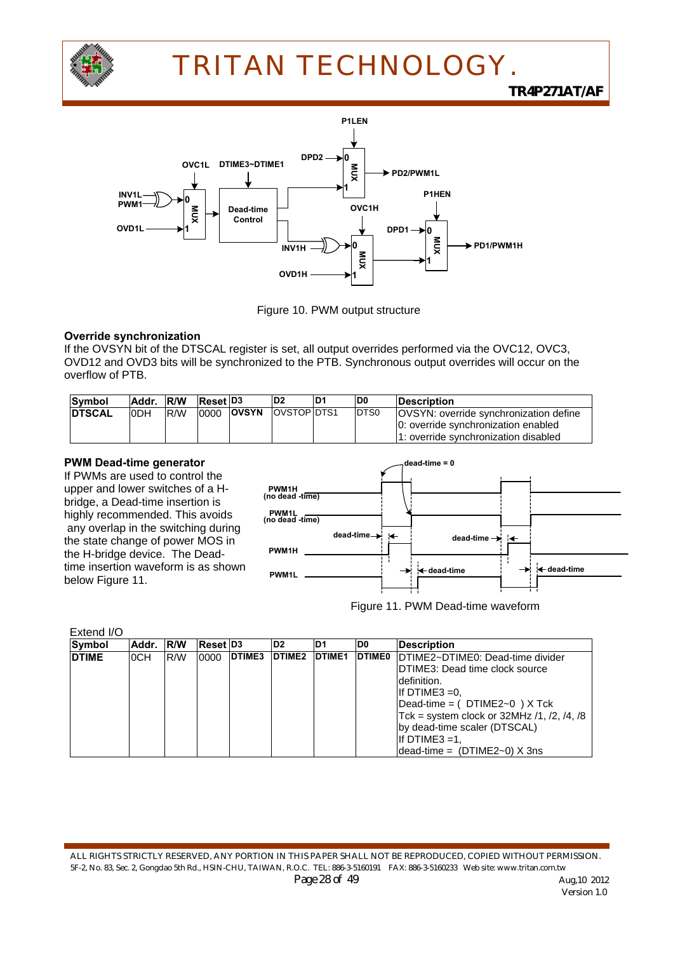

*TR4P271AT/AF*





#### **Override synchronization**

If the OVSYN bit of the DTSCAL register is set, all output overrides performed via the OVC12, OVC3, OVD12 and OVD3 bits will be synchronized to the PTB. Synchronous output overrides will occur on the overflow of PTB.

| Symbol         | Addr. R/W |      | Reset D <sub>3</sub> |              | ID <sub>2</sub>    | ID1 | D <sub>0</sub> | <b>Description</b>                            |
|----------------|-----------|------|----------------------|--------------|--------------------|-----|----------------|-----------------------------------------------|
| <b>IDTSCAL</b> | IODH      | IR/W | 0000                 | <b>OVSYN</b> | <b>OVSTOP DTS1</b> |     | DTS0           | <b>OVSYN:</b> override synchronization define |
|                |           |      |                      |              |                    |     |                | 0: override synchronization enabled           |
|                |           |      |                      |              |                    |     |                | 1: override synchronization disabled          |

#### **PWM Dead-time generator**

If PWMs are used to control the upper and lower switches of a Hbridge, a Dead-time insertion is highly recommended. This avoids any overlap in the switching during the state change of power MOS in the H-bridge device. The Deadtime insertion waveform is as shown below Figure 11.



Figure 11. PWM Dead-time waveform

| Extend I/O   |       |             |                 |               |                    |                |               |                                             |
|--------------|-------|-------------|-----------------|---------------|--------------------|----------------|---------------|---------------------------------------------|
| Symbol       | Addr. | <b>IR/W</b> | <b>Reset D3</b> |               | D <sub>2</sub>     | D <sub>1</sub> | ID0           | <b>IDescription</b>                         |
| <b>DTIME</b> | 0CH   | R/W         | 0000            | <b>DTIME3</b> | DTIME <sub>2</sub> | <b>DTIME1</b>  | <b>DTIME0</b> | DTIME2~DTIME0: Dead-time divider            |
|              |       |             |                 |               |                    |                |               | IDTIME3: Dead time clock source             |
|              |       |             |                 |               |                    |                |               | definition.                                 |
|              |       |             |                 |               |                    |                |               | If DTIME3 $=0$ .                            |
|              |       |             |                 |               |                    |                |               | Dead-time = $(DTIME2~0)$ X Tck              |
|              |       |             |                 |               |                    |                |               | Tck = system clock or $32MHz/1, /2, /4, /8$ |
|              |       |             |                 |               |                    |                |               | by dead-time scaler (DTSCAL)                |
|              |       |             |                 |               |                    |                |               | If DTIME3 $=1$ .                            |
|              |       |             |                 |               |                    |                |               | $dead-time = (DTIME2~0)$ X 3ns              |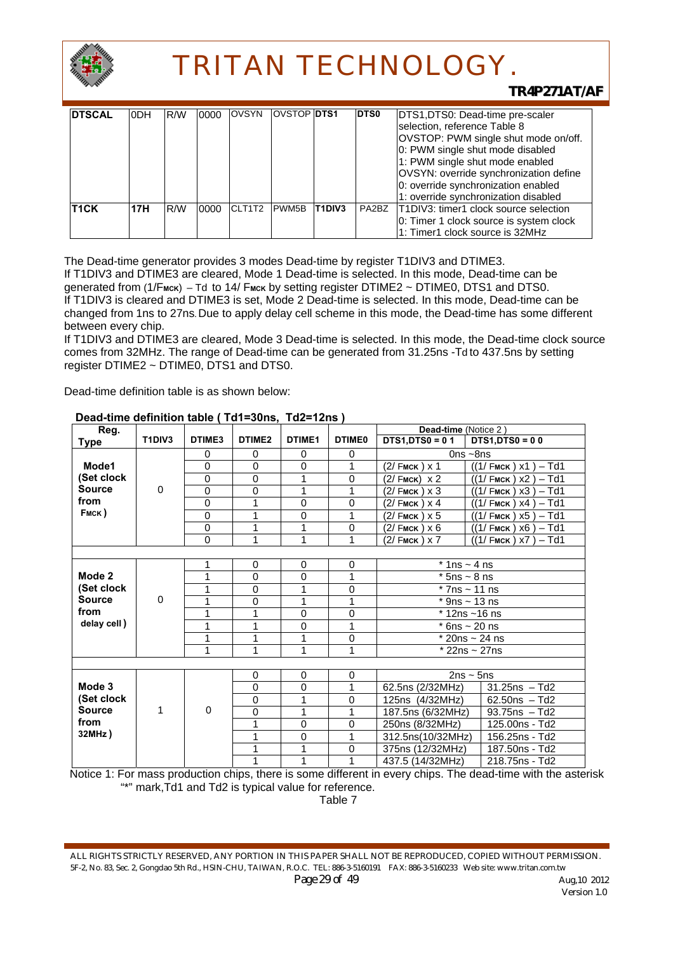

### *TR4P271AT/AF*

| <b>DTSCAL</b>     | <b>ODH</b> | R/W | 0000 | <b>OVSYN</b> | <b>OVSTOP DTS1</b> |               | <b>DTS0</b> | DTS1, DTS0: Dead-time pre-scaler                                                                                                                                                                                                                                     |
|-------------------|------------|-----|------|--------------|--------------------|---------------|-------------|----------------------------------------------------------------------------------------------------------------------------------------------------------------------------------------------------------------------------------------------------------------------|
|                   |            |     |      |              |                    |               |             | selection, reference Table 8<br>OVSTOP: PWM single shut mode on/off.<br>0: PWM single shut mode disabled<br>1: PWM single shut mode enabled<br>OVSYN: override synchronization define<br>0: override synchronization enabled<br>1: override synchronization disabled |
| T <sub>1</sub> CK | 17H        | R/W | 0000 | CLT1T2       | PWM5B              | <b>T1DIV3</b> | PA2BZ       | T1DIV3: timer1 clock source selection<br>0: Timer 1 clock source is system clock<br>11: Timer1 clock source is 32MHz                                                                                                                                                 |

The Dead-time generator provides 3 modes Dead-time by register T1DIV3 and DTIME3. If T1DIV3 and DTIME3 are cleared, Mode 1 Dead-time is selected. In this mode, Dead-time can be generated from (1/F<sub>MCK</sub>) – Td to 14/ F<sub>MCK</sub> by setting register DTIME2 ~ DTIME0, DTS1 and DTS0. If T1DIV3 is cleared and DTIME3 is set, Mode 2 Dead-time is selected. In this mode, Dead-time can be changed from 1ns to 27ns**.** Due to apply delay cell scheme in this mode, the Dead-time has some different between every chip.

If T1DIV3 and DTIME3 are cleared, Mode 3 Dead-time is selected. In this mode, the Dead-time clock source comes from 32MHz. The range of Dead-time can be generated from 31.25ns -Td to 437.5ns by setting register DTIME2 ~ DTIME0, DTS1 and DTS0.

Dead-time definition table is as shown below:

| Reg.          |                                 |             |             |             |               | Dead-time (Notice 2)        |                                  |
|---------------|---------------------------------|-------------|-------------|-------------|---------------|-----------------------------|----------------------------------|
| Type          | T <sub>1</sub> DIV <sub>3</sub> | DTIME3      | DTIME2      | DTIME1      | <b>DTIME0</b> | $DTS1.DTS0 = 01$            | $DTS1,DTS0 = 00$                 |
|               |                                 | 0           | $\Omega$    | 0           | 0             |                             | $0ns$ ~8ns                       |
| Mode1         |                                 | 0           | 0           | $\mathbf 0$ | 1             | (2/ Fмск ) х 1              | $-$ Td1<br>$((1/FmcK)$ $x1)$     |
| (Set clock    |                                 | $\mathbf 0$ | $\mathbf 0$ | 1           | $\mathbf 0$   | (2/ Fмск)<br>x <sub>2</sub> | $-$ Td1<br>$((1/FmcK)$ X2        |
| <b>Source</b> | $\Omega$                        | $\Omega$    | $\Omega$    | 1           | 1             | (2/ Fмск ) х З              | $-$ Td1<br>$((1/FmcK)$ X3)       |
| from          |                                 | 0           | 1           | 0           | 0             | (2/ Fмск ) х 4              | – Td1<br>((1/ Емск ) х4          |
| FMCK)         |                                 | $\mathbf 0$ | 1           | $\mathbf 0$ | 1             | (2/ Fмск ) х 5              | $((1/FmcK)$ $x5)$<br>$-$ Td1     |
|               |                                 | $\Omega$    | 1           | 1           | $\Omega$      | (2/ Fмск ) х 6              | $-$ Td1<br>$((1/FmcK) \times 6)$ |
|               |                                 | $\Omega$    | 1           | 1           | 1             | $(2/FMCK) \times 7$         | $-$ Td1<br>$((1/FmcK) \times 7)$ |
|               |                                 |             |             |             |               |                             |                                  |
|               |                                 | 1           | $\mathbf 0$ | 0           | $\mathbf 0$   | $*$ 1ns ~ 4 ns              |                                  |
| Mode 2        |                                 | 1           | 0           | 0           | 1             | $*$ 5ns $\sim$ 8 ns         |                                  |
| (Set clock    | $\Omega$                        | 1           | 0           | 1           | $\mathbf 0$   |                             | $*7ns \sim 11$ ns                |
| <b>Source</b> |                                 | 1           | $\Omega$    | 1           | 1             |                             | $*$ 9ns ~ 13 ns                  |
| from          |                                 | 1           | 1           | 0           | $\mathbf 0$   | $*$ 12ns ~16 ns             |                                  |
| delay cell)   |                                 | 1           | 1           | $\mathbf 0$ | 1             |                             | $*$ 6ns ~ 20 ns                  |
|               |                                 | 1           | 1           | 1           | $\Omega$      |                             | $*$ 20ns ~ 24 ns                 |
|               |                                 | 1           | 1           | 1           | 1             |                             | $*$ 22ns ~ 27ns                  |
|               |                                 |             |             |             |               |                             |                                  |
|               |                                 |             | $\Omega$    | $\Omega$    | $\Omega$      |                             | $2ns \sim 5ns$                   |
| Mode 3        |                                 |             | $\Omega$    | $\mathbf 0$ | 1             | 62.5ns (2/32MHz)            | $31.25ns - Td2$                  |
| (Set clock    |                                 |             | 0           | 1           | 0             | 125ns (4/32MHz)             | $62.50ns - Td2$                  |
| <b>Source</b> | 1                               | $\mathbf 0$ | 0           | 1           | 1             | 187.5ns (6/32MHz)           | $93.75$ ns $- Td2$               |
| from          |                                 |             | 1           | $\Omega$    | $\Omega$      | 250ns (8/32MHz)             | 125,00ns - Td2                   |
| 32MHz)        |                                 |             | 1           | $\Omega$    | 1             | 312.5ns(10/32MHz)           | 156.25ns - Td2                   |
|               |                                 |             | 1           | 1           | 0             | 375ns (12/32MHz)            | 187.50ns - Td2                   |
|               |                                 |             | 1           | 1           | 1             | 437.5 (14/32MHz)            | 218.75ns - Td2                   |

#### **Dead-time definition table ( Td1=30ns, Td2=12ns )**

Notice 1: For mass production chips, there is some different in every chips. The dead-time with the asterisk "\*" mark,Td1 and Td2 is typical value for reference.

Table 7

ALL RIGHTS STRICTLY RESERVED, ANY PORTION IN THIS PAPER SHALL NOT BE REPRODUCED, COPIED WITHOUT PERMISSION. 5F-2, No. 83, Sec. 2, Gongdao 5th Rd., HSIN-CHU, TAIWAN, R.O.C. TEL: 886-3-5160191 FAX: 886-3-5160233 Web site: www.tritan.com.tw *Page 29 of 49* Aug, 10 2012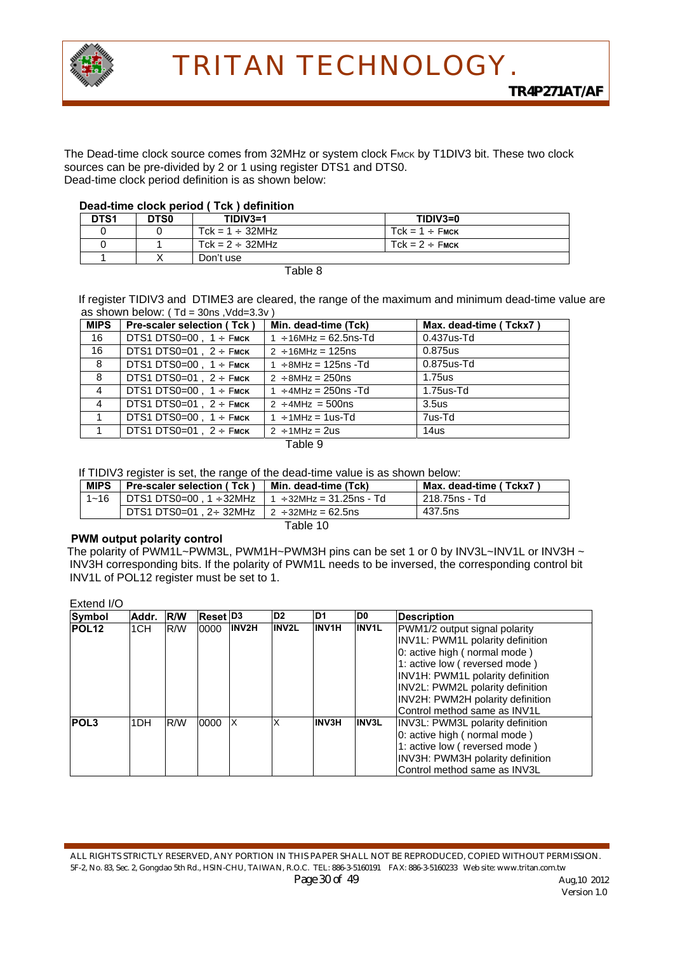

The Dead-time clock source comes from 32MHz or system clock FMCK by T1DIV3 bit. These two clock sources can be pre-divided by 2 or 1 using register DTS1 and DTS0. Dead-time clock period definition is as shown below:

#### **Dead-time clock period ( Tck ) definition**

| DTS <sub>1</sub> | DTS0 | $TIDIV3=1$            | TIDIV3=0            |
|------------------|------|-----------------------|---------------------|
|                  |      | Tck = $1 \div 32$ MHz | $Tck = 1 \div Fmck$ |
|                  |      | Tck = $2 \div 32$ MHz | $Tck = 2 \div$ FMCK |
|                  |      | Don't use             |                     |

Table 8

If register TIDIV3 and DTIME3 are cleared, the range of the maximum and minimum dead-time value are as shown below: ( $Td = 30$ ns, Vdd= $3.3v$ )

| <b>MIPS</b>    | <b>Pre-scaler selection (Tck)</b> | Min. dead-time (Tck)        | Max. dead-time (Tckx7) |
|----------------|-----------------------------------|-----------------------------|------------------------|
| 16             | DTS1 DTS0=00, $1 \div$ Fmck       | $1 \div 16$ MHz = 62.5ns-Td | $0.437$ us-Td          |
| 16             | DTS1 DTS0=01, $2 \div$ Fmck       | $2 \div 16$ MHz = 125ns     | 0.875us                |
| 8              | DTS1 DTS0=00, $1 \div$ Fmck       | $1 \div 8$ MHz = 125ns - Td | $0.875$ us-Td          |
| 8              | DTS1 DTS0=01 . $2 \div$ Fmck      | $2 \div 8$ MHz = 250ns      | 1.75us                 |
| $\overline{4}$ | DTS1 DTS0=00, $1 \div$ Fmck       | $1 \div 4$ MHz = 250ns -Td  | $1.75$ us-Td           |
| $\overline{4}$ | DTS1 DTS0=01, $2 \div$ Fmck       | $2 \div 4$ MHz = 500ns      | 3.5 <sub>us</sub>      |
|                | DTS1 DTS0=00, $1 \div$ FMCK       | $1 \div 1$ MHz = 1 us-Td    | 7us-Td                 |
|                | DTS1 DTS0=01, $2 \div$ Fmck       | $2 \div 1$ MHz = 2us        | 14us                   |
|                |                                   | Table 9                     |                        |

If TIDIV3 register is set, the range of the dead-time value is as shown below:

| <b>MIPS</b> | Pre-scaler selection (Tck)                        | l Min. dead-time (Tck). | Max. dead-time (Tckx7) |
|-------------|---------------------------------------------------|-------------------------|------------------------|
| $1 - 16$    |                                                   |                         | 218.75ns - Td          |
|             | DTS1 DTS0=01. 2÷ 32MHz $\vert$ 2 ÷ 32MHz = 62.5ns |                         | 437.5ns                |
|             |                                                   | Table 10                |                        |

#### **PWM output polarity control**

The polarity of PWM1L~PWM3L, PWM1H~PWM3H pins can be set 1 or 0 by INV3L~INV1L or INV3H ~ INV3H corresponding bits. If the polarity of PWM1L needs to be inversed, the corresponding control bit INV1L of POL12 register must be set to 1.

Extend I/O

| <b>Symbol</b>     | Addr.           | <b>RW</b> | Reset  D3 |              | D <sub>2</sub> | D <sub>1</sub> | ID0          | Description                             |
|-------------------|-----------------|-----------|-----------|--------------|----------------|----------------|--------------|-----------------------------------------|
| POL <sub>12</sub> | 1CH             | R/W       | 0000      | <b>INV2H</b> | <b>INV2L</b>   | <b>INV1H</b>   | <b>INV1L</b> | PWM1/2 output signal polarity           |
|                   |                 |           |           |              |                |                |              | INV1L: PWM1L polarity definition        |
|                   |                 |           |           |              |                |                |              | 0: active high ( normal mode )          |
|                   |                 |           |           |              |                |                |              | 1: active low (reversed mode)           |
|                   |                 |           |           |              |                |                |              | INV1H: PWM1L polarity definition        |
|                   |                 |           |           |              |                |                |              | <b>INV2L: PWM2L polarity definition</b> |
|                   |                 |           |           |              |                |                |              | INV2H: PWM2H polarity definition        |
|                   |                 |           |           |              |                |                |              | Control method same as INV1L            |
| <b>POL3</b>       | 1 <sub>DH</sub> | R/W       | 0000      | IX           | $\times$       | <b>INV3H</b>   | <b>INV3L</b> | <b>INV3L: PWM3L polarity definition</b> |
|                   |                 |           |           |              |                |                |              | 0: active high ( normal mode )          |
|                   |                 |           |           |              |                |                |              | 1: active low (reversed mode)           |
|                   |                 |           |           |              |                |                |              | INV3H: PWM3H polarity definition        |
|                   |                 |           |           |              |                |                |              | Control method same as INV3L            |

ALL RIGHTS STRICTLY RESERVED, ANY PORTION IN THIS PAPER SHALL NOT BE REPRODUCED, COPIED WITHOUT PERMISSION. 5F-2, No. 83, Sec. 2, Gongdao 5th Rd., HSIN-CHU, TAIWAN, R.O.C. TEL: 886-3-5160191 FAX: 886-3-5160233 Web site: www.tritan.com.tw *Page 30 of 49 Aug,10 2012*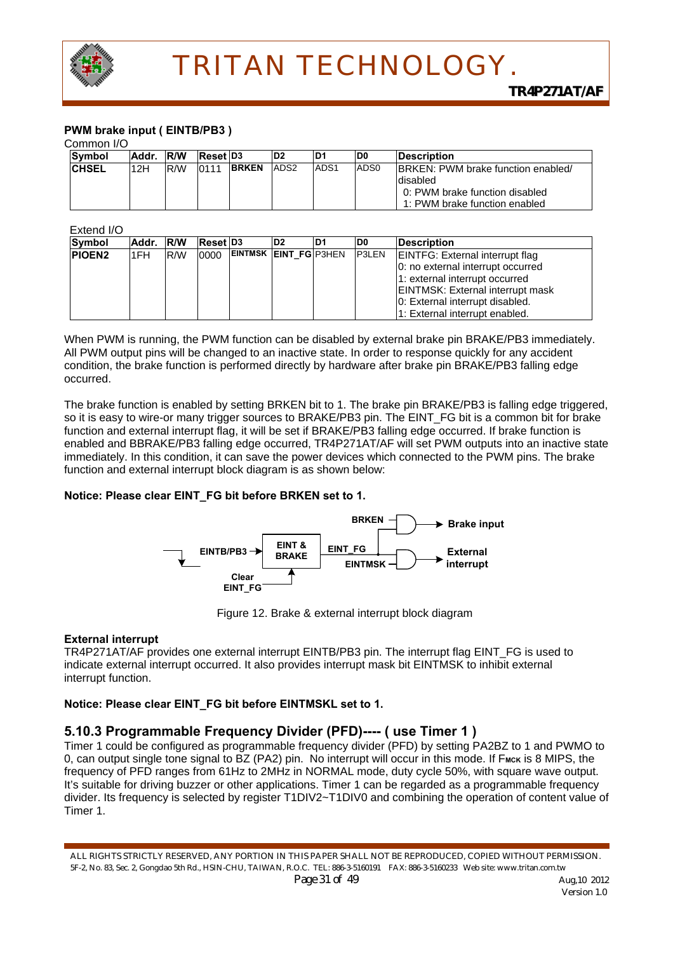

#### **PWM brake input ( EINTB/PB3 )**

#### Common I/O

| ----------    |       |             |                 |              |                  |                  |                  |                                    |
|---------------|-------|-------------|-----------------|--------------|------------------|------------------|------------------|------------------------------------|
| <b>Symbol</b> | Addr. | <b>IR/W</b> | <b>Reset D3</b> |              | D2               | D <sub>1</sub>   | ID0              | <b>IDescription</b>                |
| <b>CHSEL</b>  | 12H   | R/W         | 0111            | <b>BRKEN</b> | ADS <sub>2</sub> | ADS <sub>1</sub> | ADS <sub>0</sub> | BRKEN: PWM brake function enabled/ |
|               |       |             |                 |              |                  |                  |                  | disabled                           |
|               |       |             |                 |              |                  |                  |                  | 0: PWM brake function disabled     |
|               |       |             |                 |              |                  |                  |                  | 1: PWM brake function enabled      |

#### Extend I/O

| -------       |           |     |                     |                              |                |     |               |                                   |
|---------------|-----------|-----|---------------------|------------------------------|----------------|-----|---------------|-----------------------------------|
| Symbol        | Addr. R/W |     | Reset <sup>D3</sup> |                              | D <sub>2</sub> | ID1 | ID0           | <b>IDescription</b>               |
| <b>PIOEN2</b> | I1FH.     | R/W | 0000                | <b>EINTMSK EINT FG P3HEN</b> |                |     | <b>IP3LEN</b> | EINTFG: External interrupt flag   |
|               |           |     |                     |                              |                |     |               | 0: no external interrupt occurred |
|               |           |     |                     |                              |                |     |               | 1: external interrupt occurred    |
|               |           |     |                     |                              |                |     |               | EINTMSK: External interrupt mask  |
|               |           |     |                     |                              |                |     |               | 10: External interrupt disabled.  |
|               |           |     |                     |                              |                |     |               | 1: External interrupt enabled.    |

When PWM is running, the PWM function can be disabled by external brake pin BRAKE/PB3 immediately. All PWM output pins will be changed to an inactive state. In order to response quickly for any accident condition, the brake function is performed directly by hardware after brake pin BRAKE/PB3 falling edge occurred.

The brake function is enabled by setting BRKEN bit to 1. The brake pin BRAKE/PB3 is falling edge triggered, so it is easy to wire-or many trigger sources to BRAKE/PB3 pin. The EINT\_FG bit is a common bit for brake function and external interrupt flag, it will be set if BRAKE/PB3 falling edge occurred. If brake function is enabled and BBRAKE/PB3 falling edge occurred, TR4P271AT/AF will set PWM outputs into an inactive state immediately. In this condition, it can save the power devices which connected to the PWM pins. The brake function and external interrupt block diagram is as shown below:

#### **Notice: Please clear EINT\_FG bit before BRKEN set to 1.**



Figure 12. Brake & external interrupt block diagram

#### **External interrupt**

TR4P271AT/AF provides one external interrupt EINTB/PB3 pin. The interrupt flag EINT\_FG is used to indicate external interrupt occurred. It also provides interrupt mask bit EINTMSK to inhibit external interrupt function.

#### **Notice: Please clear EINT\_FG bit before EINTMSKL set to 1.**

#### **5.10.3 Programmable Frequency Divider (PFD)---- ( use Timer 1 )**

Timer 1 could be configured as programmable frequency divider (PFD) by setting PA2BZ to 1 and PWMO to 0, can output single tone signal to BZ (PA2) pin. No interrupt will occur in this mode. If F<sub>MCK</sub> is 8 MIPS, the frequency of PFD ranges from 61Hz to 2MHz in NORMAL mode, duty cycle 50%, with square wave output. It's suitable for driving buzzer or other applications. Timer 1 can be regarded as a programmable frequency divider. Its frequency is selected by register T1DIV2~T1DIV0 and combining the operation of content value of Timer 1.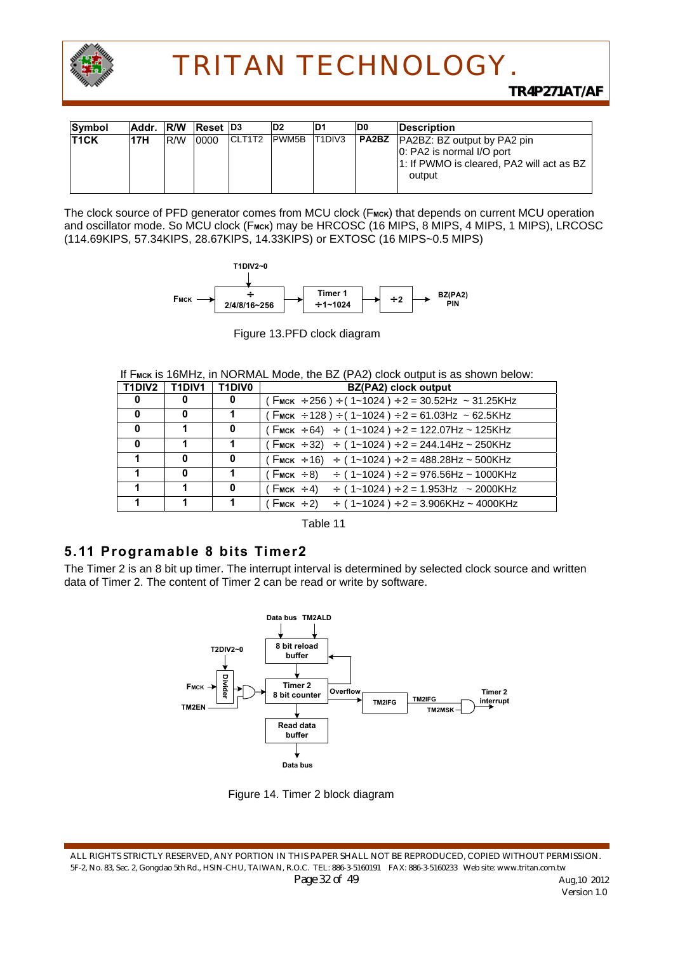

| <b>Symbol</b> | Addr. R/W |     | Reset <sup>D3</sup> |         | ID2           | ID1     | ID0          | <b>IDescription</b>                                                              |
|---------------|-----------|-----|---------------------|---------|---------------|---------|--------------|----------------------------------------------------------------------------------|
| <b>T1CK</b>   | 17H       | R/W | 0000                | ICLT1T2 | <b>IPWM5B</b> | IT1DIV3 | <b>PA2BZ</b> | <b>PA2BZ: BZ output by PA2 pin</b>                                               |
|               |           |     |                     |         |               |         |              | 0: PA2 is normal I/O port<br>1: If PWMO is cleared, PA2 will act as BZ<br>output |

The clock source of PFD generator comes from MCU clock (F<sub>MCK</sub>) that depends on current MCU operation and oscillator mode. So MCU clock (F<sub>MCK</sub>) may be HRCOSC (16 MIPS, 8 MIPS, 4 MIPS, 1 MIPS), LRCOSC (114.69KIPS, 57.34KIPS, 28.67KIPS, 14.33KIPS) or EXTOSC (16 MIPS~0.5 MIPS)



Figure 13.PFD clock diagram

|  | If F <sub>MCK</sub> is 16MHz, in NORMAL Mode, the BZ (PA2) clock output is as shown below: |  |  |  |
|--|--------------------------------------------------------------------------------------------|--|--|--|
|--|--------------------------------------------------------------------------------------------|--|--|--|

|              | T1DIV2   T1DIV1   T1DIV0 |   | BZ(PA2) clock output                                                                                        |
|--------------|--------------------------|---|-------------------------------------------------------------------------------------------------------------|
| 0            | 0                        | 0 | $\int$ (Fmck ÷ 256) ÷ (1~1024) ÷ 2 = 30.52Hz ~ 31.25KHz                                                     |
| $\bf{0}$     | o                        |   | $(F_{\text{MCK}} \div 128) \div (1 \times 1024) \div 2 = 61.03 \text{ Hz} \approx 62.5 \text{K} \text{ Hz}$ |
| $\mathbf{0}$ |                          | 0 | $(F_{MCK} \div 64)$ ÷ $(1~1024)$ ÷ 2 = 122.07Hz ~ 125KHz                                                    |
| $\mathbf{0}$ |                          |   | $(F_{\text{MCK}} \div 32)$ $\div$ (1~1024) $\div$ 2 = 244.14Hz ~ 250KHz                                     |
|              | o                        | 0 | $(F_{\text{MCK}} \div 16) \div (1 \times 1024) \div 2 = 488.28$ Hz ~ 500KHz                                 |
|              | o                        |   | $(F_{\text{MCK}} \div 8)$ $\div (1 \sim 1024) \div 2 = 976.56$ Hz ~ 1000KHz                                 |
|              |                          |   | $(F_{MCK} \div 4)$ $\div (1 \sim 1024) \div 2 = 1.953 Hz$ ~ 2000KHz                                         |
|              |                          |   | (Fмск $\div$ 2)<br>$\div$ (1~1024) $\div$ 2 = 3.906KHz ~ 4000KHz                                            |



### **5.11 Programable 8 bits Timer2**

The Timer 2 is an 8 bit up timer. The interrupt interval is determined by selected clock source and written data of Timer 2. The content of Timer 2 can be read or write by software.



Figure 14. Timer 2 block diagram

ALL RIGHTS STRICTLY RESERVED, ANY PORTION IN THIS PAPER SHALL NOT BE REPRODUCED, COPIED WITHOUT PERMISSION. 5F-2, No. 83, Sec. 2, Gongdao 5th Rd., HSIN-CHU, TAIWAN, R.O.C. TEL: 886-3-5160191 FAX: 886-3-5160233 Web site: www.tritan.com.tw *Page 32 of 49 Aug,10 2012*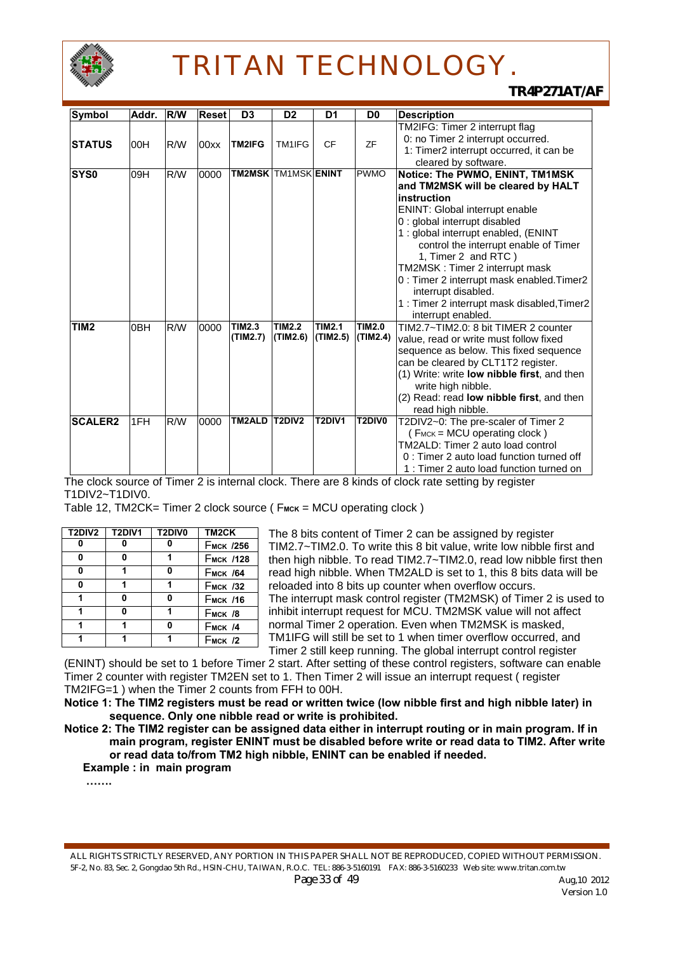

*TR4P271AT/AF*

| <b>Symbol</b>    | Addr.           | <b>R/W</b> | <b>Reset</b> | D <sub>3</sub>             | D <sub>2</sub> | D <sub>1</sub> | D <sub>0</sub> | <b>Description</b>                                                |
|------------------|-----------------|------------|--------------|----------------------------|----------------|----------------|----------------|-------------------------------------------------------------------|
|                  |                 |            |              |                            |                |                |                | TM2IFG: Timer 2 interrupt flag                                    |
| ISTATUS          | 00H             | R/W        | 00xx         | TM2IFG                     | TM1IFG         | <b>CF</b>      | <b>ZF</b>      | 0: no Timer 2 interrupt occurred.                                 |
|                  |                 |            |              |                            |                |                |                | 1: Timer2 interrupt occurred, it can be                           |
|                  |                 |            |              |                            |                |                |                | cleared by software.                                              |
| SYS0             | 09H             | R/W        | 0000         | <b>TM2MSK TM1MSK ENINT</b> |                |                | <b>PWMO</b>    | Notice: The PWMO, ENINT, TM1MSK                                   |
|                  |                 |            |              |                            |                |                |                | and TM2MSK will be cleared by HALT                                |
|                  |                 |            |              |                            |                |                |                | instruction                                                       |
|                  |                 |            |              |                            |                |                |                | <b>ENINT: Global interrupt enable</b>                             |
|                  |                 |            |              |                            |                |                |                | 0 : global interrupt disabled                                     |
|                  |                 |            |              |                            |                |                |                | 1 : global interrupt enabled, (ENINT                              |
|                  |                 |            |              |                            |                |                |                | control the interrupt enable of Timer                             |
|                  |                 |            |              |                            |                |                |                | 1, Timer 2 and RTC)                                               |
|                  |                 |            |              |                            |                |                |                | TM2MSK: Timer 2 interrupt mask                                    |
|                  |                 |            |              |                            |                |                |                | 0 : Timer 2 interrupt mask enabled. Timer2                        |
|                  |                 |            |              |                            |                |                |                | interrupt disabled.                                               |
|                  |                 |            |              |                            |                |                |                | 1 : Timer 2 interrupt mask disabled, Timer2                       |
|                  |                 |            |              | TIM2.3                     | <b>TIM2.2</b>  | <b>TIM2.1</b>  | <b>TIM2.0</b>  | interrupt enabled.                                                |
| TIM <sub>2</sub> | 0 <sub>BH</sub> | R/W        | 0000         | (TIM2.7)                   | (TIM2.6)       | (TIM2.5)       | (TIM2.4)       | TIM2.7~TIM2.0: 8 bit TIMER 2 counter                              |
|                  |                 |            |              |                            |                |                |                | value, read or write must follow fixed                            |
|                  |                 |            |              |                            |                |                |                | sequence as below. This fixed sequence                            |
|                  |                 |            |              |                            |                |                |                | can be cleared by CLT1T2 register.                                |
|                  |                 |            |              |                            |                |                |                | (1) Write: write low nibble first, and then<br>write high nibble. |
|                  |                 |            |              |                            |                |                |                | (2) Read: read low nibble first, and then                         |
|                  |                 |            |              |                            |                |                |                | read high nibble.                                                 |
| <b>SCALER2</b>   | 1FH             | R/W        | 0000         | TM2ALD                     | T2DIV2         | T2DIV1         | T2DIV0         | T2DIV2~0: The pre-scaler of Timer 2                               |
|                  |                 |            |              |                            |                |                |                | (FMCK = MCU operating clock)                                      |
|                  |                 |            |              |                            |                |                |                | TM2ALD: Timer 2 auto load control                                 |
|                  |                 |            |              |                            |                |                |                | 0 : Timer 2 auto load function turned off                         |
|                  |                 |            |              |                            |                |                |                | 1: Timer 2 auto load function turned on                           |

The clock source of Timer 2 is internal clock. There are 8 kinds of clock rate setting by register T1DIV2~T1DIV0.

Table 12, TM2CK= Timer 2 clock source ( F<sub>MCK</sub> = MCU operating clock )

| <b>T2DIV2</b> | T2DIV1 | T2DIV0 | TM <sub>2</sub> CK |
|---------------|--------|--------|--------------------|
|               |        |        | <b>Гмск /256</b>   |
|               |        |        | <b>Емск /128</b>   |
| O             |        | 0      | <b>Емск /64</b>    |
| 0             |        |        | <b>Емск /32</b>    |
|               | n      | 0      | <b>Емск /16</b>    |
|               |        |        | <b>Емск /8</b>     |
|               |        |        | <b>Емск /4</b>     |
|               |        |        | <b>Емск /2</b>     |

The 8 bits content of Timer 2 can be assigned by register TIM2.7~TIM2.0. To write this 8 bit value, write low nibble first and then high nibble. To read TIM2.7~TIM2.0, read low nibble first then read high nibble. When TM2ALD is set to 1, this 8 bits data will be reloaded into 8 bits up counter when overflow occurs. The interrupt mask control register (TM2MSK) of Timer 2 is used to inhibit interrupt request for MCU. TM2MSK value will not affect normal Timer 2 operation. Even when TM2MSK is masked, TM1IFG will still be set to 1 when timer overflow occurred, and Timer 2 still keep running. The global interrupt control register

(ENINT) should be set to 1 before Timer 2 start. After setting of these control registers, software can enable Timer 2 counter with register TM2EN set to 1. Then Timer 2 will issue an interrupt request ( register TM2IFG=1 ) when the Timer 2 counts from FFH to 00H.

**Notice 1: The TIM2 registers must be read or written twice (low nibble first and high nibble later) in sequence. Only one nibble read or write is prohibited.** 

**Notice 2: The TIM2 register can be assigned data either in interrupt routing or in main program. If in main program, register ENINT must be disabled before write or read data to TIM2. After write or read data to/from TM2 high nibble, ENINT can be enabled if needed.** 

 **Example : in main program** 

 **…….**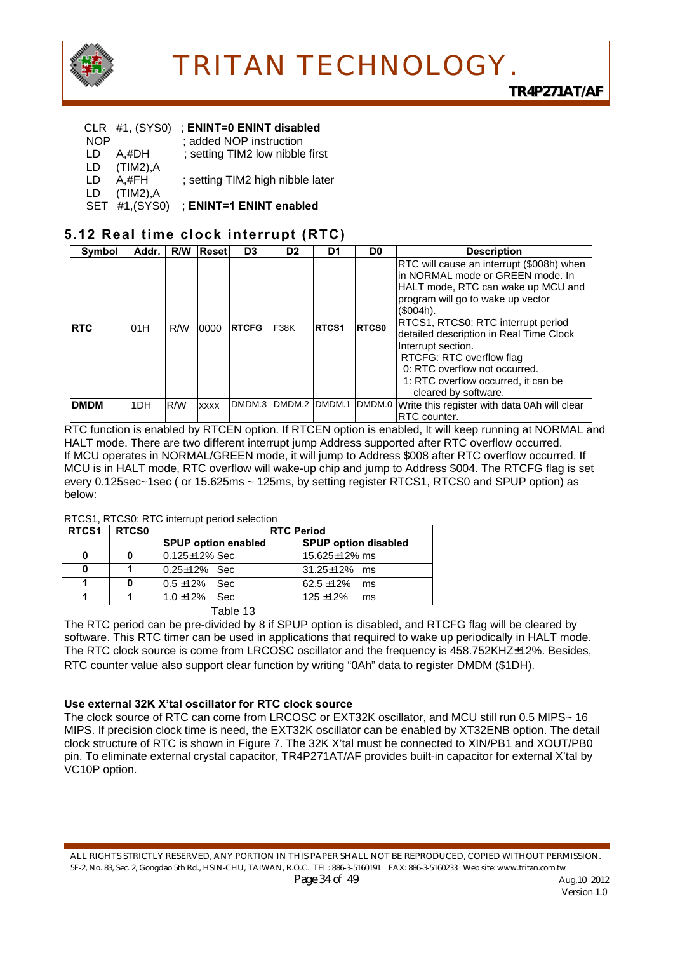

#### CLR #1, (SYS0) ; **ENINT=0 ENINT disabled**

- NOP ; added NOP instruction
- LD  $A, H$ DH ; setting TIM2 low nibble first<br>LD  $(THM2)$ .A
- $(TIM2)$ , $A$
- LD A,#FH ; setting TIM2 high nibble later
- LD (TIM2),A SET #1,(SYS0) ; **ENINT=1 ENINT enabled**

### **5.12 Real time clock interrupt (RTC)**

| Symbol      | Addr. | R/W | <b>Reset</b> | D <sub>3</sub> | D <sub>2</sub>  | D1           | D <sub>0</sub> | <b>Description</b>                                                                                                                                                                                                                                                                                                                                                                                         |
|-------------|-------|-----|--------------|----------------|-----------------|--------------|----------------|------------------------------------------------------------------------------------------------------------------------------------------------------------------------------------------------------------------------------------------------------------------------------------------------------------------------------------------------------------------------------------------------------------|
| <b>RTC</b>  | 01H   | R/W | 0000         | <b>IRTCFG</b>  | <b>F38K</b>     | <b>RTCS1</b> | <b>RTCS0</b>   | RTC will cause an interrupt (\$008h) when<br>in NORMAL mode or GREEN mode. In<br>HALT mode, RTC can wake up MCU and<br>program will go to wake up vector<br>$($004h)$ .<br>RTCS1, RTCS0: RTC interrupt period<br>detailed description in Real Time Clock<br>Interrupt section.<br>RTCFG: RTC overflow flag<br>0: RTC overflow not occurred.<br>1: RTC overflow occurred, it can be<br>cleared by software. |
| <b>DMDM</b> | 1DH   | R/W | <b>XXXX</b>  | DMDM.3         | IDMDM.2 IDMDM.1 |              | DMDM.0         | Write this register with data 0Ah will clear<br><b>RTC</b> counter.                                                                                                                                                                                                                                                                                                                                        |

RTC function is enabled by RTCEN option. If RTCEN option is enabled, It will keep running at NORMAL and HALT mode. There are two different interrupt jump Address supported after RTC overflow occurred. If MCU operates in NORMAL/GREEN mode, it will jump to Address \$008 after RTC overflow occurred. If MCU is in HALT mode, RTC overflow will wake-up chip and jump to Address \$004. The RTCFG flag is set every 0.125sec~1sec ( or 15.625ms ~ 125ms, by setting register RTCS1, RTCS0 and SPUP option) as below:

#### RTCS1, RTCS0: RTC interrupt period selection

| RTCS <sub>1</sub> | RTCS0  | <b>RTC Period</b>          |                             |  |  |  |  |  |  |
|-------------------|--------|----------------------------|-----------------------------|--|--|--|--|--|--|
|                   |        | <b>SPUP option enabled</b> | <b>SPUP option disabled</b> |  |  |  |  |  |  |
|                   |        | $0.125 \pm 12\%$ Sec       | 15.625 $\pm$ 12% ms         |  |  |  |  |  |  |
|                   |        | $0.25 \pm 12\%$ Sec        | $31.25 \pm 12\%$ ms         |  |  |  |  |  |  |
|                   |        | $0.5 \pm 12\%$ Sec         | $62.5 \pm 12\%$<br>ms       |  |  |  |  |  |  |
|                   |        | $1.0 + 12\%$ Sec.          | $125 + 12%$<br>ms           |  |  |  |  |  |  |
|                   | $\sim$ |                            |                             |  |  |  |  |  |  |

Table 13

The RTC period can be pre-divided by 8 if SPUP option is disabled, and RTCFG flag will be cleared by software. This RTC timer can be used in applications that required to wake up periodically in HALT mode. The RTC clock source is come from LRCOSC oscillator and the frequency is 458.752KHZ±12%. Besides, RTC counter value also support clear function by writing "0Ah" data to register DMDM (\$1DH).

#### **Use external 32K X'tal oscillator for RTC clock source**

The clock source of RTC can come from LRCOSC or EXT32K oscillator, and MCU still run 0.5 MIPS~ 16 MIPS. If precision clock time is need, the EXT32K oscillator can be enabled by XT32ENB option. The detail clock structure of RTC is shown in Figure 7. The 32K X'tal must be connected to XIN/PB1 and XOUT/PB0 pin. To eliminate external crystal capacitor, TR4P271AT/AF provides built-in capacitor for external X'tal by VC10P option.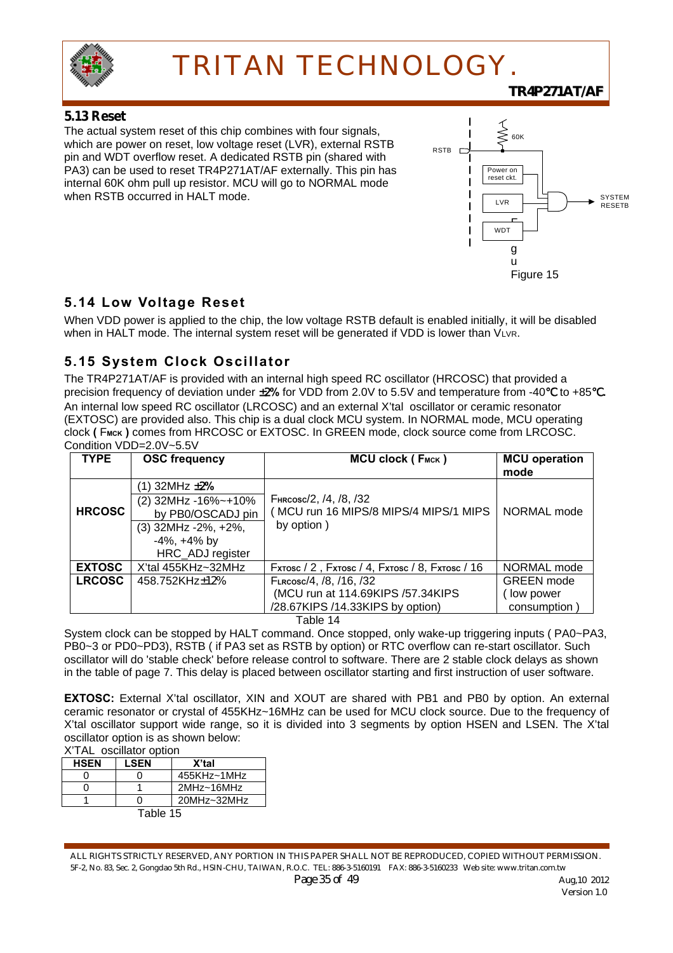

### **5.13 Reset**

The actual system reset of this chip combines with four signals, which are power on reset, low voltage reset (LVR), external RSTB pin and WDT overflow reset. A dedicated RSTB pin (shared with PA3) can be used to reset TR4P271AT/AF externally. This pin has internal 60K ohm pull up resistor. MCU will go to NORMAL mode when RSTB occurred in HALT mode.



*TR4P271AT/AF*

### **5.14 Low Voltage Reset**

When VDD power is applied to the chip, the low voltage RSTB default is enabled initially, it will be disabled when in HALT mode. The internal system reset will be generated if VDD is lower than VLVR.

## **5.15 System Clock Oscillator**

The TR4P271AT/AF is provided with an internal high speed RC oscillator (HRCOSC) that provided a precision frequency of deviation under  $\pm 2\%$  for VDD from 2.0V to 5.5V and temperature from -40 to +85 **.** An internal low speed RC oscillator (LRCOSC) and an external X'tal oscillator or ceramic resonator (EXTOSC) are provided also. This chip is a dual clock MCU system. In NORMAL mode, MCU operating clock **(** F**MCK )** comes from HRCOSC or EXTOSC. In GREEN mode, clock source come from LRCOSC. Condition VDD=2.0V~5.5V

| <b>TYPE</b>   | <b>OSC frequency</b>                                                                                                              | MCU clock (FMCK)                                                                                 | <b>MCU</b> operation<br>mode                   |
|---------------|-----------------------------------------------------------------------------------------------------------------------------------|--------------------------------------------------------------------------------------------------|------------------------------------------------|
| <b>HRCOSC</b> | (1) 32MHz <b>±2%</b><br>(2) 32MHz -16%~+10%<br>by PB0/OSCADJ pin<br>(3) 32MHz -2%, +2%,<br>$-4\%$ , $+4\%$ by<br>HRC_ADJ register | FHRCOSC/2, /4, /8, /32<br>MCU run 16 MIPS/8 MIPS/4 MIPS/1 MIPS<br>by option)                     | NORMAL mode                                    |
| <b>EXTOSC</b> | X'tal 455KHz~32MHz                                                                                                                | Fxrosc / 2, Fxrosc / 4, Fxrosc / 8, Fxrosc / 16                                                  | NORMAL mode                                    |
| <b>LRCOSC</b> | 458.752KHz±12%                                                                                                                    | FLRCOSC/4, /8, /16, /32<br>(MCU run at 114.69KIPS /57.34KIPS<br>/28.67KIPS /14.33KIPS by option) | <b>GREEN</b> mode<br>low power<br>consumption) |

Table 14

System clock can be stopped by HALT command. Once stopped, only wake-up triggering inputs ( PA0~PA3, PB0~3 or PD0~PD3), RSTB ( if PA3 set as RSTB by option) or RTC overflow can re-start oscillator. Such oscillator will do 'stable check' before release control to software. There are 2 stable clock delays as shown in the table of page 7. This delay is placed between oscillator starting and first instruction of user software.

**EXTOSC:** External X'tal oscillator, XIN and XOUT are shared with PB1 and PB0 by option. An external ceramic resonator or crystal of 455KHz~16MHz can be used for MCU clock source. Due to the frequency of X'tal oscillator support wide range, so it is divided into 3 segments by option HSEN and LSEN. The X'tal oscillator option is as shown below:

| X'TAL oscillator option |             |                |  |  |  |  |  |  |  |  |
|-------------------------|-------------|----------------|--|--|--|--|--|--|--|--|
| <b>HSEN</b>             | <b>LSEN</b> | X'tal          |  |  |  |  |  |  |  |  |
|                         |             | $455$ KHz~1MHz |  |  |  |  |  |  |  |  |
|                         |             | 2MHz~16MHz     |  |  |  |  |  |  |  |  |
|                         | ∩           | 20MHz~32MHz    |  |  |  |  |  |  |  |  |
|                         | Table 15    |                |  |  |  |  |  |  |  |  |

ALL RIGHTS STRICTLY RESERVED, ANY PORTION IN THIS PAPER SHALL NOT BE REPRODUCED, COPIED WITHOUT PERMISSION. 5F-2, No. 83, Sec. 2, Gongdao 5th Rd., HSIN-CHU, TAIWAN, R.O.C. TEL: 886-3-5160191 FAX: 886-3-5160233 Web site: www.tritan.com.tw *Page 35 of 49* Aug,10 2012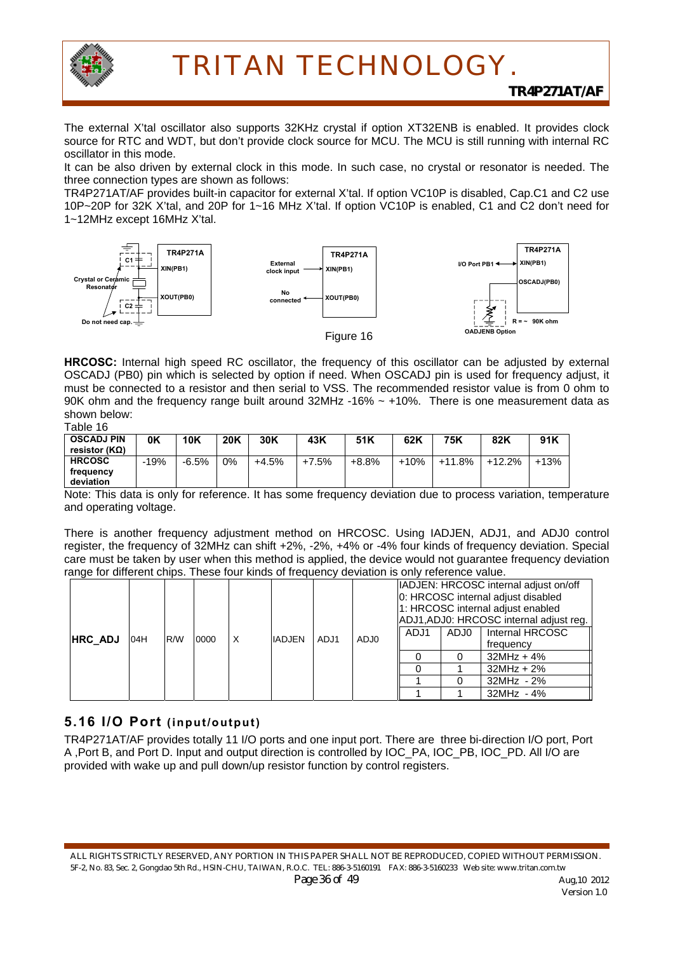

The external X'tal oscillator also supports 32KHz crystal if option XT32ENB is enabled. It provides clock source for RTC and WDT, but don't provide clock source for MCU. The MCU is still running with internal RC oscillator in this mode.

It can be also driven by external clock in this mode. In such case, no crystal or resonator is needed. The three connection types are shown as follows:

TR4P271AT/AF provides built-in capacitor for external X'tal. If option VC10P is disabled, Cap.C1 and C2 use 10P~20P for 32K X'tal, and 20P for 1~16 MHz X'tal. If option VC10P is enabled, C1 and C2 don't need for 1~12MHz except 16MHz X'tal.



**HRCOSC:** Internal high speed RC oscillator, the frequency of this oscillator can be adjusted by external OSCADJ (PB0) pin which is selected by option if need. When OSCADJ pin is used for frequency adjust, it must be connected to a resistor and then serial to VSS. The recommended resistor value is from 0 ohm to 90K ohm and the frequency range built around 32MHz -16% ~ +10%. There is one measurement data as shown below:

| Table 16 |  |
|----------|--|
|----------|--|

| .                                  |        |            |            |       |       |       |        |        |        |        |
|------------------------------------|--------|------------|------------|-------|-------|-------|--------|--------|--------|--------|
| <b>OSCADJ PIN</b><br>resistor (ΚΩ) | 0K     | <b>10K</b> | <b>20K</b> | 30K   | 43K   | 51K   | 62K    | 75K    | 82K    | 91K    |
| <b>HRCOSC</b>                      | $-19%$ | $-6.5%$    | $0\%$      | +4.5% | +7.5% | +8.8% | $+10%$ | +11.8% | +12.2% | $+13%$ |
| freauencv<br>deviation             |        |            |            |       |       |       |        |        |        |        |

Note: This data is only for reference. It has some frequency deviation due to process variation, temperature and operating voltage.

There is another frequency adjustment method on HRCOSC. Using IADJEN, ADJ1, and ADJ0 control register, the frequency of 32MHz can shift +2%, -2%, +4% or -4% four kinds of frequency deviation. Special care must be taken by user when this method is applied, the device would not guarantee frequency deviation range for different chips. These four kinds of frequency deviation is only reference value.

| <b>HRC ADJ</b> | 04H | R/W | 0000 | X | <b>IADJEN</b> | ADJ1 | ADJ0 | ADJ1 | ADJ0 | IADJEN: HRCOSC internal adjust on/off<br>0: HRCOSC internal adjust disabled<br>1: HRCOSC internal adjust enabled<br>ADJ1, ADJ0: HRCOSC internal adjust reg.<br>Internal HRCOSC<br>frequency<br>$32MHz + 4%$ |
|----------------|-----|-----|------|---|---------------|------|------|------|------|-------------------------------------------------------------------------------------------------------------------------------------------------------------------------------------------------------------|
|                |     |     |      |   |               |      |      |      |      | $32MHz + 2%$                                                                                                                                                                                                |
|                |     |     |      |   |               |      |      |      |      | 32MHz - 2%                                                                                                                                                                                                  |
|                |     |     |      |   |               |      |      |      |      | $32MHz - 4%$                                                                                                                                                                                                |

### **5.16 I/O Port (input/output)**

TR4P271AT/AF provides totally 11 I/O ports and one input port. There are three bi-direction I/O port, Port A ,Port B, and Port D. Input and output direction is controlled by IOC\_PA, IOC\_PB, IOC\_PD. All I/O are provided with wake up and pull down/up resistor function by control registers.

ALL RIGHTS STRICTLY RESERVED, ANY PORTION IN THIS PAPER SHALL NOT BE REPRODUCED, COPIED WITHOUT PERMISSION. 5F-2, No. 83, Sec. 2, Gongdao 5th Rd., HSIN-CHU, TAIWAN, R.O.C. TEL: 886-3-5160191 FAX: 886-3-5160233 Web site: www.tritan.com.tw *Page 36 of 49* Aug,10 2012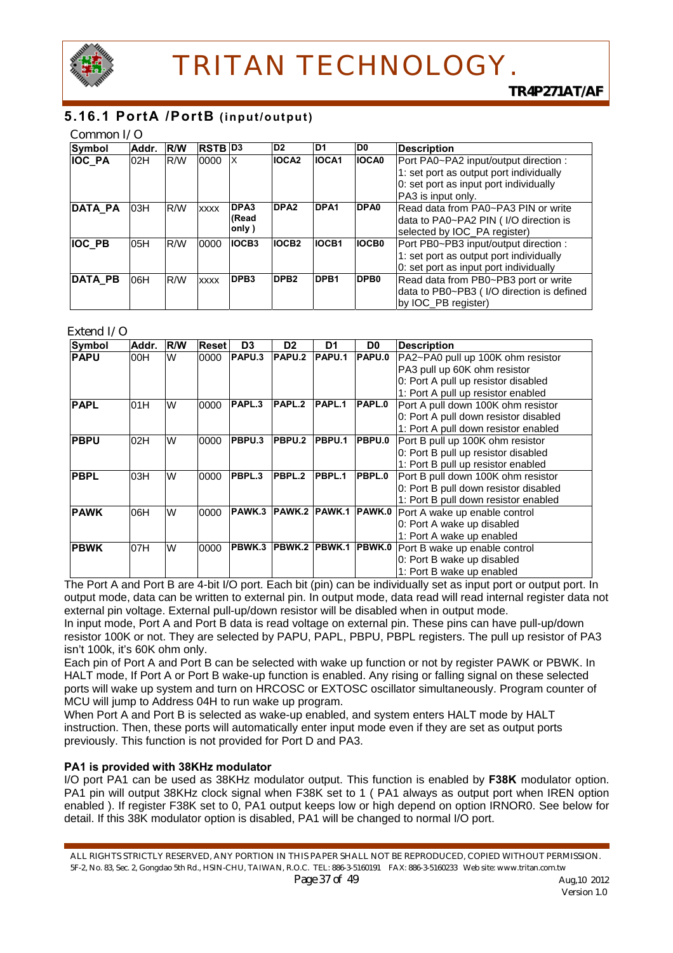

### **5.16.1 PortA /PortB (input/output)**

#### Common I/O

| Symbol         | Addr. | <b>R/W</b> | <b>RSTB D3</b> |                  | D <sub>2</sub>   | ID1              | D <sub>0</sub>   | <b>Description</b>                        |
|----------------|-------|------------|----------------|------------------|------------------|------------------|------------------|-------------------------------------------|
| <b>IOC PA</b>  | 02H   | R/W        | 0000           | ΙX               | <b>IOCA2</b>     | IOCA1            | <b>IOCA0</b>     | Port PA0~PA2 input/output direction :     |
|                |       |            |                |                  |                  |                  |                  | 1: set port as output port individually   |
|                |       |            |                |                  |                  |                  |                  | 0: set port as input port individually    |
|                |       |            |                |                  |                  |                  |                  | PA3 is input only.                        |
| <b>DATA PA</b> | 03H   | R/W        | <b>XXXX</b>    | DPA3             | DPA <sub>2</sub> | DPA <sub>1</sub> | DPA0             | Read data from PA0~PA3 PIN or write       |
|                |       |            |                | (Read            |                  |                  |                  | data to PA0~PA2 PIN (I/O direction is     |
|                |       |            |                | only)            |                  |                  |                  | selected by IOC_PA register)              |
| <b>IOC PB</b>  | 05H   | R/W        | 0000           | <b>IOCB3</b>     | <b>IOCB2</b>     | <b>IOCB1</b>     | <b>IOCB0</b>     | Port PB0~PB3 input/output direction :     |
|                |       |            |                |                  |                  |                  |                  | 1: set port as output port individually   |
|                |       |            |                |                  |                  |                  |                  | 0: set port as input port individually    |
| <b>DATA PB</b> | 06H   | R/W        | <b>XXXX</b>    | DPB <sub>3</sub> | DPB <sub>2</sub> | DPB1             | DPB <sub>0</sub> | Read data from PB0~PB3 port or write      |
|                |       |            |                |                  |                  |                  |                  | data to PB0~PB3 (I/O direction is defined |
|                |       |            |                |                  |                  |                  |                  | by IOC PB register)                       |

#### Extend I/O

| Symbol      | Addr. | <b>R/W</b> | <b>Reset</b> | D <sub>3</sub>    | D <sub>2</sub> | D1                   | D <sub>0</sub> | <b>Description</b>                    |
|-------------|-------|------------|--------------|-------------------|----------------|----------------------|----------------|---------------------------------------|
| <b>PAPU</b> | 00H   | W          | 0000         | PAPU.3            | PAPU.2         | <b>PAPU.1</b>        | PAPU.0         | PA2~PA0 pull up 100K ohm resistor     |
|             |       |            |              |                   |                |                      |                | PA3 pull up 60K ohm resistor          |
|             |       |            |              |                   |                |                      |                | 0: Port A pull up resistor disabled   |
|             |       |            |              |                   |                |                      |                | 1: Port A pull up resistor enabled    |
| <b>PAPL</b> | 01H   | W          | 0000         | PAPL <sub>3</sub> | PAPL.2         | PAPL.1               | PAPL.0         | Port A pull down 100K ohm resistor    |
|             |       |            |              |                   |                |                      |                | 0: Port A pull down resistor disabled |
|             |       |            |              |                   |                |                      |                | 1: Port A pull down resistor enabled  |
| <b>PBPU</b> | 02H   | W          | 0000         | PBPU.3            | PBPU.2         | <b>PBPU.1</b>        | PBPU.0         | Port B pull up 100K ohm resistor      |
|             |       |            |              |                   |                |                      |                | 0: Port B pull up resistor disabled   |
|             |       |            |              |                   |                |                      |                | 1: Port B pull up resistor enabled    |
| <b>PBPL</b> | 03H   | W          | 0000         | PBPL.3            | PBPL.2         | PBPL.1               | PBPL.0         | Port B pull down 100K ohm resistor    |
|             |       |            |              |                   |                |                      |                | 0: Port B pull down resistor disabled |
|             |       |            |              |                   |                |                      |                | 1: Port B pull down resistor enabled  |
| <b>PAWK</b> | 06H   | W          | 0000         | PAWK.3            |                | PAWK.2 PAWK.1 PAWK.0 |                | Port A wake up enable control         |
|             |       |            |              |                   |                |                      |                | 0: Port A wake up disabled            |
|             |       |            |              |                   |                |                      |                | 1: Port A wake up enabled             |
| <b>PBWK</b> | 07H   | W          | 0000         | PBWK.3            |                | PBWK.2 PBWK.1 PBWK.0 |                | Port B wake up enable control         |
|             |       |            |              |                   |                |                      |                | 0: Port B wake up disabled            |
|             |       |            |              |                   |                |                      |                | 1: Port B wake up enabled             |

The Port A and Port B are 4-bit I/O port. Each bit (pin) can be individually set as input port or output port. In output mode, data can be written to external pin. In output mode, data read will read internal register data not external pin voltage. External pull-up/down resistor will be disabled when in output mode.

In input mode, Port A and Port B data is read voltage on external pin. These pins can have pull-up/down resistor 100K or not. They are selected by PAPU, PAPL, PBPU, PBPL registers. The pull up resistor of PA3 isn't 100k, it's 60K ohm only.

Each pin of Port A and Port B can be selected with wake up function or not by register PAWK or PBWK. In HALT mode, If Port A or Port B wake-up function is enabled. Any rising or falling signal on these selected ports will wake up system and turn on HRCOSC or EXTOSC oscillator simultaneously. Program counter of MCU will jump to Address 04H to run wake up program.

When Port A and Port B is selected as wake-up enabled, and system enters HALT mode by HALT instruction. Then, these ports will automatically enter input mode even if they are set as output ports previously. This function is not provided for Port D and PA3.

#### **PA1 is provided with 38KHz modulator**

I/O port PA1 can be used as 38KHz modulator output. This function is enabled by **F38K** modulator option. PA1 pin will output 38KHz clock signal when F38K set to 1 ( PA1 always as output port when IREN option enabled ). If register F38K set to 0, PA1 output keeps low or high depend on option IRNOR0. See below for detail. If this 38K modulator option is disabled, PA1 will be changed to normal I/O port.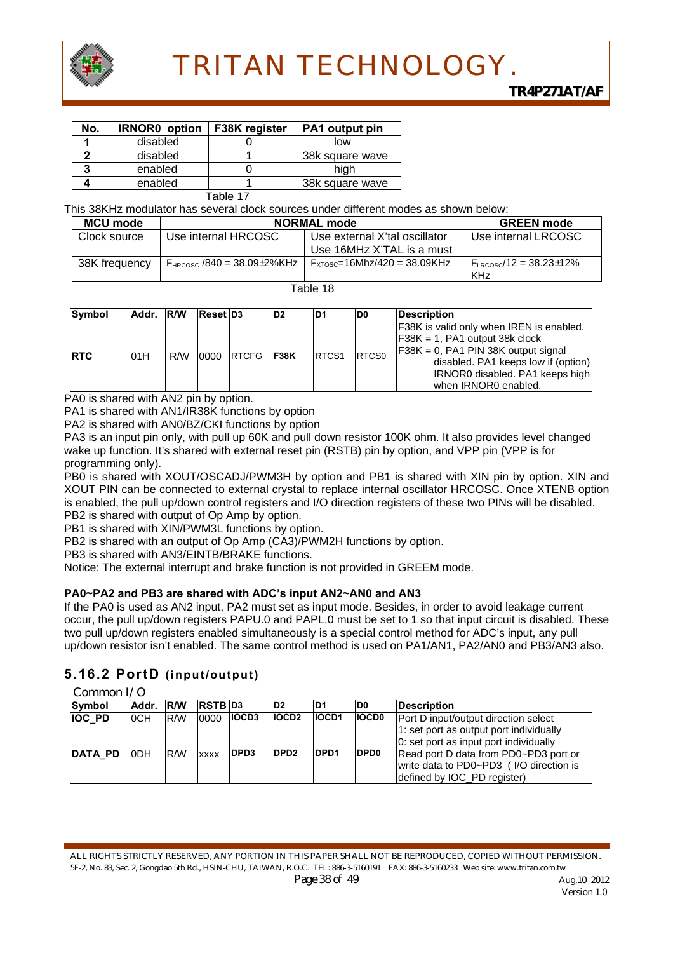

| No. | <b>IRNOR0</b> option | F38K register | PA1 output pin  |  |  |
|-----|----------------------|---------------|-----------------|--|--|
|     | disabled             |               | low             |  |  |
|     | disabled             |               | 38k square wave |  |  |
|     | enabled              |               | hiah            |  |  |
|     | enabled              |               | 38k square wave |  |  |
|     |                      | . –           |                 |  |  |

Table 17

This 38KHz modulator has several clock sources under different modes as shown below:

| <b>MCU mode</b> | <b>NORMAL mode</b>                    | <b>GREEN</b> mode                  |                                         |
|-----------------|---------------------------------------|------------------------------------|-----------------------------------------|
| Clock source    | Use internal HRCOSC                   | Use external X'tal oscillator      | Use internal LRCOSC                     |
|                 |                                       | Use 16MHz X'TAL is a must          |                                         |
| 38K frequency   | $F_{HRCOSC}$ /840 = 38.09 $\pm$ 2%KHz | $F_{XTOSC} = 16Mhz/420 = 38.09KHz$ | $F_{\text{ERCOSC}}/12 = 38.23 \pm 12\%$ |
|                 |                                       |                                    | <b>KHz</b>                              |

Table 18

| Symbol      | Addr. R/W |     | <b>Reset D3</b> |            | D <sub>2</sub> | ID1               | D <sub>0</sub> | <b>IDescription</b>                                                                                                                                                                                                              |
|-------------|-----------|-----|-----------------|------------|----------------|-------------------|----------------|----------------------------------------------------------------------------------------------------------------------------------------------------------------------------------------------------------------------------------|
| <b>IRTC</b> | 01H       | R/W |                 | 0000 RTCFG | <b>F38K</b>    | RTCS <sub>1</sub> | <b>RTCS0</b>   | <b>F38K</b> is valid only when IREN is enabled.<br>$F38K = 1$ , PA1 output 38k clock<br>$F38K = 0$ , PA1 PIN 38K output signal<br>disabled. PA1 keeps low if (option)<br>IRNOR0 disabled. PA1 keeps high<br>when IRNOR0 enabled. |

PA0 is shared with AN2 pin by option.

PA1 is shared with AN1/IR38K functions by option

PA2 is shared with AN0/BZ/CKI functions by option

PA3 is an input pin only, with pull up 60K and pull down resistor 100K ohm. It also provides level changed wake up function. It's shared with external reset pin (RSTB) pin by option, and VPP pin (VPP is for programming only).

PB0 is shared with XOUT/OSCADJ/PWM3H by option and PB1 is shared with XIN pin by option. XIN and XOUT PIN can be connected to external crystal to replace internal oscillator HRCOSC. Once XTENB option is enabled, the pull up/down control registers and I/O direction registers of these two PINs will be disabled. PB2 is shared with output of Op Amp by option.

PB1 is shared with XIN/PWM3L functions by option.

PB2 is shared with an output of Op Amp (CA3)/PWM2H functions by option.

PB3 is shared with AN3/EINTB/BRAKE functions.

Notice: The external interrupt and brake function is not provided in GREEM mode.

#### **PA0~PA2 and PB3 are shared with ADC's input AN2~AN0 and AN3**

If the PA0 is used as AN2 input, PA2 must set as input mode. Besides, in order to avoid leakage current occur, the pull up/down registers PAPU.0 and PAPL.0 must be set to 1 so that input circuit is disabled. These two pull up/down registers enabled simultaneously is a special control method for ADC's input, any pull up/down resistor isn't enabled. The same control method is used on PA1/AN1, PA2/AN0 and PB3/AN3 also.

### **5.16.2 PortD (input/output)**

Common I/O

| Symbol        | Addr.      | <b>IR/W</b> | <b>RSTB D3</b> |              | D <sub>2</sub>   | D1           | D0               | <b>IDescription</b>                     |
|---------------|------------|-------------|----------------|--------------|------------------|--------------|------------------|-----------------------------------------|
| <b>IOC PD</b> | <b>OCH</b> | <b>RM</b>   | 0000           | <b>IOCD3</b> | <b>IOCD2</b>     | <b>IOCD1</b> | <b>IOCD0</b>     | Port D input/output direction select    |
|               |            |             |                |              |                  |              |                  | 1: set port as output port individually |
|               |            |             |                |              |                  |              |                  | 0: set port as input port individually  |
| DATA_PD       | ODH        | R/W         | <b>XXXX</b>    | <b>IDPD3</b> | DPD <sub>2</sub> | <b>DPD1</b>  | DPD <sub>0</sub> | Read port D data from PD0~PD3 port or   |
|               |            |             |                |              |                  |              |                  | write data to PD0~PD3 (I/O direction is |
|               |            |             |                |              |                  |              |                  | defined by IOC PD register)             |

ALL RIGHTS STRICTLY RESERVED, ANY PORTION IN THIS PAPER SHALL NOT BE REPRODUCED, COPIED WITHOUT PERMISSION. 5F-2, No. 83, Sec. 2, Gongdao 5th Rd., HSIN-CHU, TAIWAN, R.O.C. TEL: 886-3-5160191 FAX: 886-3-5160233 Web site: www.tritan.com.tw *Page 38 of 49* Aug,10 2012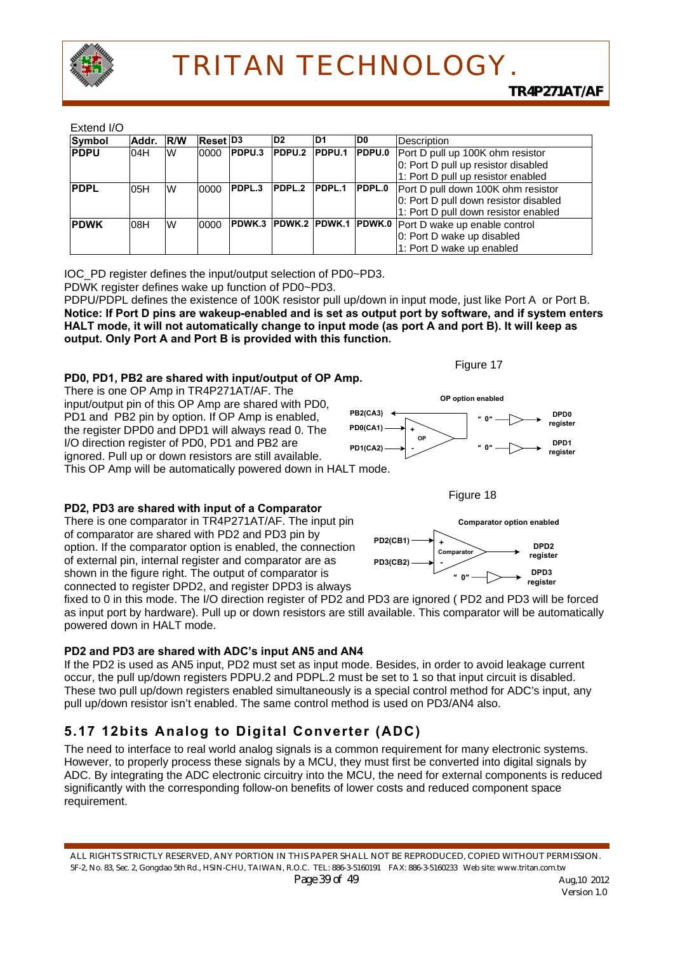

#### Extend I/O

| -------<br>Symbol | Addr. R/W |          | <b>Reset D3</b> |               | D <sub>2</sub> | D <sub>1</sub> | ID0.   | Description                                               |  |  |
|-------------------|-----------|----------|-----------------|---------------|----------------|----------------|--------|-----------------------------------------------------------|--|--|
|                   |           |          |                 |               |                |                |        |                                                           |  |  |
| <b>PDPU</b>       | 04H       | W        | 0000            | PDPU.3        | PDPU.2         | <b>PDPU.1</b>  | PDPU.0 | Port D pull up 100K ohm resistor                          |  |  |
|                   |           |          |                 |               |                |                |        | 0: Port D pull up resistor disabled                       |  |  |
|                   |           |          |                 |               |                |                |        | 1: Port D pull up resistor enabled                        |  |  |
| <b>PDPL</b>       | 05H       | W        | 0000            | <b>PDPL.3</b> | PDPL.2         | PDPL.1         | PDPL.0 | Port D pull down 100K ohm resistor                        |  |  |
|                   |           |          |                 |               |                |                |        | 0: Port D pull down resistor disabled                     |  |  |
|                   |           |          |                 |               |                |                |        | 1: Port D pull down resistor enabled                      |  |  |
| <b>PDWK</b>       | 08H       | <b>W</b> | 0000            |               |                |                |        | PDWK.3 PDWK.2 PDWK.1 PDWK.0 Port D wake up enable control |  |  |
|                   |           |          |                 |               |                |                |        | 0: Port D wake up disabled                                |  |  |
|                   |           |          |                 |               |                |                |        | 1: Port D wake up enabled                                 |  |  |

IOC\_PD register defines the input/output selection of PD0~PD3.

PDWK register defines wake up function of PD0~PD3.

PDPU/PDPL defines the existence of 100K resistor pull up/down in input mode, just like Port A or Port B. **Notice: If Port D pins are wakeup-enabled and is set as output port by software, and if system enters HALT mode, it will not automatically change to input mode (as port A and port B). It will keep as output. Only Port A and Port B is provided with this function.** 

### **PD0, PD1, PB2 are shared with input/output of OP Amp.**

There is one OP Amp in TR4P271AT/AF. The input/output pin of this OP Amp are shared with PD0, PD1 and PB2 pin by option. If OP Amp is enabled, the register DPD0 and DPD1 will always read 0. The I/O direction register of PD0, PD1 and PB2 are ignored. Pull up or down resistors are still available. This OP Amp will be automatically powered down in HALT mode.







#### **PD2, PD3 are shared with input of a Comparator** There is one comparator in TR4P271AT/AF. The input pin

of comparator are shared with PD2 and PD3 pin by option. If the comparator option is enabled, the connection of external pin, internal register and comparator are as shown in the figure right. The output of comparator is connected to register DPD2, and register DPD3 is always



fixed to 0 in this mode. The I/O direction register of PD2 and PD3 are ignored ( PD2 and PD3 will be forced as input port by hardware). Pull up or down resistors are still available. This comparator will be automatically powered down in HALT mode.

### **PD2 and PD3 are shared with ADC's input AN5 and AN4**

If the PD2 is used as AN5 input, PD2 must set as input mode. Besides, in order to avoid leakage current occur, the pull up/down registers PDPU.2 and PDPL.2 must be set to 1 so that input circuit is disabled. These two pull up/down registers enabled simultaneously is a special control method for ADC's input, any pull up/down resistor isn't enabled. The same control method is used on PD3/AN4 also.

## **5.17 12bits Analog to Digital Converter (ADC)**

The need to interface to real world analog signals is a common requirement for many electronic systems. However, to properly process these signals by a MCU, they must first be converted into digital signals by ADC. By integrating the ADC electronic circuitry into the MCU, the need for external components is reduced significantly with the corresponding follow-on benefits of lower costs and reduced component space requirement.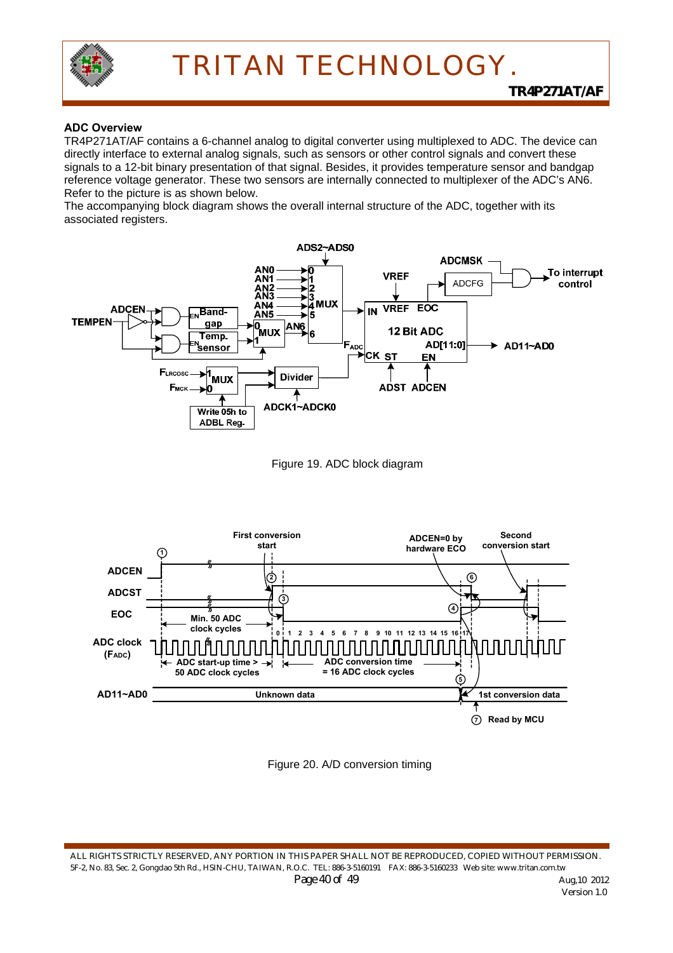

#### **ADC Overview**

TR4P271AT/AF contains a 6-channel analog to digital converter using multiplexed to ADC. The device can directly interface to external analog signals, such as sensors or other control signals and convert these signals to a 12-bit binary presentation of that signal. Besides, it provides temperature sensor and bandgap reference voltage generator. These two sensors are internally connected to multiplexer of the ADC's AN6. Refer to the picture is as shown below.

The accompanying block diagram shows the overall internal structure of the ADC, together with its associated registers.









ALL RIGHTS STRICTLY RESERVED, ANY PORTION IN THIS PAPER SHALL NOT BE REPRODUCED, COPIED WITHOUT PERMISSION. 5F-2, No. 83, Sec. 2, Gongdao 5th Rd., HSIN-CHU, TAIWAN, R.O.C. TEL: 886-3-5160191 FAX: 886-3-5160233 Web site: www.tritan.com.tw *Page 40 of 49* Aug,10 2012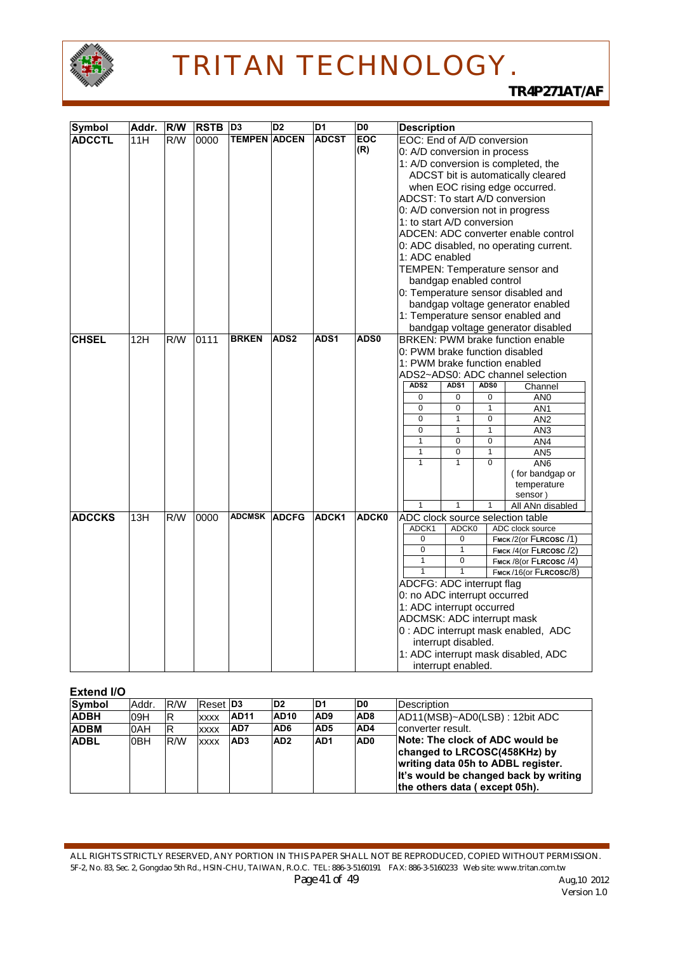

| <b>Symbol</b> | Addr. | <b>R/W</b>       | <b>RSTB</b> | D <sub>3</sub>      | D <sub>2</sub>   | D <sub>1</sub> | D <sub>0</sub> | <b>Description</b>                                                      |                                     |                |                                     |  |  |
|---------------|-------|------------------|-------------|---------------------|------------------|----------------|----------------|-------------------------------------------------------------------------|-------------------------------------|----------------|-------------------------------------|--|--|
| <b>ADCCTL</b> | 11H   | R/W              | 0000        | <b>TEMPEN ADCEN</b> |                  | <b>ADCST</b>   | EOC            | EOC: End of A/D conversion                                              |                                     |                |                                     |  |  |
|               |       |                  |             |                     |                  |                | (R)            | 0: A/D conversion in process                                            |                                     |                |                                     |  |  |
|               |       |                  |             |                     |                  |                |                |                                                                         | 1: A/D conversion is completed, the |                |                                     |  |  |
|               |       |                  |             |                     |                  |                |                |                                                                         |                                     |                | ADCST bit is automatically cleared  |  |  |
|               |       |                  |             |                     |                  |                |                | when EOC rising edge occurred.                                          |                                     |                |                                     |  |  |
|               |       |                  |             |                     |                  |                |                |                                                                         | ADCST: To start A/D conversion      |                |                                     |  |  |
|               |       |                  |             |                     |                  |                |                |                                                                         |                                     |                | 0: A/D conversion not in progress   |  |  |
|               |       |                  |             |                     |                  |                |                | 1: to start A/D conversion                                              |                                     |                |                                     |  |  |
|               |       |                  |             |                     |                  |                |                |                                                                         |                                     |                | ADCEN: ADC converter enable control |  |  |
|               |       |                  |             |                     |                  |                |                |                                                                         |                                     |                |                                     |  |  |
|               |       |                  |             |                     |                  |                |                | 0: ADC disabled, no operating current.<br>1: ADC enabled                |                                     |                |                                     |  |  |
|               |       |                  |             |                     |                  |                |                | TEMPEN: Temperature sensor and                                          |                                     |                |                                     |  |  |
|               |       |                  |             |                     |                  |                |                | bandgap enabled control                                                 |                                     |                |                                     |  |  |
|               |       |                  |             |                     |                  |                |                |                                                                         |                                     |                |                                     |  |  |
|               |       |                  |             |                     |                  |                |                | 0: Temperature sensor disabled and<br>bandgap voltage generator enabled |                                     |                |                                     |  |  |
|               |       |                  |             |                     |                  |                |                |                                                                         |                                     |                | 1: Temperature sensor enabled and   |  |  |
|               |       |                  |             |                     |                  |                |                |                                                                         |                                     |                | bandgap voltage generator disabled  |  |  |
| <b>CHSEL</b>  | 12H   | R/W              | 0111        | <b>BRKEN</b>        | ADS <sub>2</sub> | ADS1           | ADS0           |                                                                         |                                     |                | BRKEN: PWM brake function enable    |  |  |
|               |       |                  |             |                     |                  |                |                | 0: PWM brake function disabled                                          |                                     |                |                                     |  |  |
|               |       |                  |             |                     |                  |                |                | 1: PWM brake function enabled                                           |                                     |                |                                     |  |  |
|               |       |                  |             |                     |                  |                |                | ADS2~ADS0: ADC channel selection                                        |                                     |                |                                     |  |  |
|               |       |                  |             |                     |                  |                |                | ADS <sub>2</sub>                                                        | ADS1                                | ADS0           | Channel                             |  |  |
|               |       |                  |             |                     |                  |                |                | 0                                                                       | 0                                   | 0              | AN <sub>0</sub>                     |  |  |
|               |       |                  |             |                     |                  |                |                | 0                                                                       | 0                                   | 1              | AN1                                 |  |  |
|               |       |                  |             |                     |                  |                |                | $\mathbf 0$                                                             | 1                                   | 0              | AN <sub>2</sub>                     |  |  |
|               |       |                  |             |                     |                  |                |                | 0                                                                       | $\mathbf{1}$                        | 1              | AN <sub>3</sub>                     |  |  |
|               |       |                  |             |                     |                  |                |                | $\mathbf{1}$                                                            | $\mathbf 0$                         | 0              | AN4                                 |  |  |
|               |       |                  |             |                     |                  |                |                | $\mathbf{1}$                                                            | $\mathbf 0$                         | 1              | AN <sub>5</sub>                     |  |  |
|               |       |                  |             |                     |                  |                |                | $\overline{1}$                                                          | $\overline{1}$                      | $\overline{0}$ | AN6                                 |  |  |
|               |       |                  |             |                     |                  |                |                |                                                                         |                                     |                | (for bandgap or                     |  |  |
|               |       |                  |             |                     |                  |                |                |                                                                         |                                     |                | temperature<br>sensor)              |  |  |
|               |       |                  |             |                     |                  |                |                | $\mathbf{1}$                                                            | $\mathbf{1}$                        | 1              | All ANn disabled                    |  |  |
| <b>ADCCKS</b> | 13H   | $\overline{R/W}$ | 0000        | ADCMSK ADCFG        |                  | ADCK1          | ADCK0          |                                                                         |                                     |                | ADC clock source selection table    |  |  |
|               |       |                  |             |                     |                  |                |                | ADCK1                                                                   | ADCK0                               |                | ADC clock source                    |  |  |
|               |       |                  |             |                     |                  |                |                | 0                                                                       | 0                                   |                | FMCK/2(or FLRCOSC/1)                |  |  |
|               |       |                  |             |                     |                  |                |                | $\overline{0}$                                                          | 1                                   |                | FMCK /4(or FLRCOSC /2)              |  |  |
|               |       |                  |             |                     |                  |                |                | $\mathbf{1}$                                                            | $\mathbf 0$                         |                | FMCK /8(Or FLRCOSC /4)              |  |  |
|               |       |                  |             |                     |                  |                |                | $\mathbf{1}$                                                            | $\mathbf{1}$                        |                | FMCK/16(or FLRCOSC/8)               |  |  |
|               |       |                  |             |                     |                  |                |                | <b>ADCFG: ADC interrupt flag</b>                                        |                                     |                |                                     |  |  |
|               |       |                  |             |                     |                  |                |                | 0: no ADC interrupt occurred                                            |                                     |                |                                     |  |  |
|               |       |                  |             |                     |                  |                |                | 1: ADC interrupt occurred                                               |                                     |                |                                     |  |  |
|               |       |                  |             |                     |                  |                |                | ADCMSK: ADC interrupt mask                                              |                                     |                |                                     |  |  |
|               |       |                  |             |                     |                  |                |                |                                                                         |                                     |                | 0 : ADC interrupt mask enabled, ADC |  |  |
|               |       |                  |             |                     |                  |                |                | interrupt disabled.                                                     |                                     |                |                                     |  |  |
|               |       |                  |             |                     |                  |                |                |                                                                         |                                     |                | 1: ADC interrupt mask disabled, ADC |  |  |
|               |       |                  |             |                     |                  |                |                | interrupt enabled.                                                      |                                     |                |                                     |  |  |

#### **Extend I/O**

| Symbol      | Addr.           | R/W | Reset D <sub>3</sub> |                 | D <sub>2</sub>   | D <sub>1</sub>  | ID0             | Description                                                                                                                                                                     |
|-------------|-----------------|-----|----------------------|-----------------|------------------|-----------------|-----------------|---------------------------------------------------------------------------------------------------------------------------------------------------------------------------------|
| <b>ADBH</b> | 09H             | ΙR  | <b>XXXX</b>          | <b>AD11</b>     | AD <sub>10</sub> | AD <sub>9</sub> | AD <sub>8</sub> | AD11(MSB)~AD0(LSB): 12bit ADC                                                                                                                                                   |
| <b>ADBM</b> | 0AH             | IR  | <b>XXXX</b>          | <b>IAD7</b>     | AD <sub>6</sub>  | AD <sub>5</sub> | AD4             | converter result.                                                                                                                                                               |
| <b>ADBL</b> | 0 <sub>BH</sub> | R/W | <b>XXXX</b>          | AD <sub>3</sub> | AD <sub>2</sub>  | AD <sub>1</sub> | AD <sub>0</sub> | Note: The clock of ADC would be<br>changed to LRCOSC(458KHz) by<br>writing data 05h to ADBL register.<br>It's would be changed back by writing<br>the others data (except 05h). |

ALL RIGHTS STRICTLY RESERVED, ANY PORTION IN THIS PAPER SHALL NOT BE REPRODUCED, COPIED WITHOUT PERMISSION. 5F-2, No. 83, Sec. 2, Gongdao 5th Rd., HSIN-CHU, TAIWAN, R.O.C. TEL: 886-3-5160191 FAX: 886-3-5160233 Web site: www.tritan.com.tw *Page 41 of 49 Aug,10 2012 Aug,10 2012* **Version 1.0**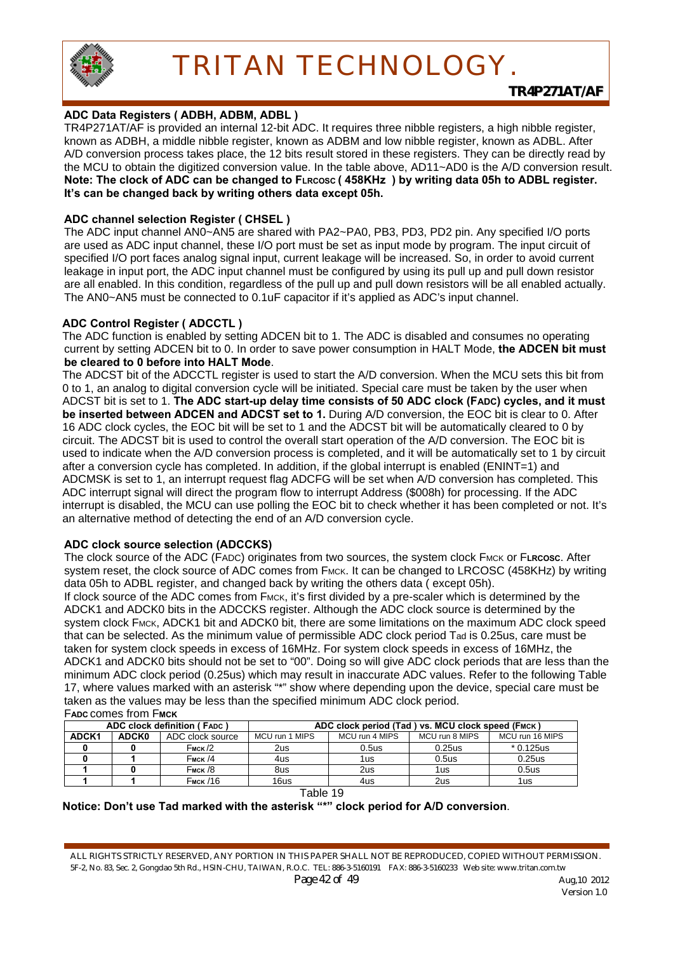

#### **ADC Data Registers ( ADBH, ADBM, ADBL )**

TR4P271AT/AF is provided an internal 12-bit ADC. It requires three nibble registers, a high nibble register, known as ADBH, a middle nibble register, known as ADBM and low nibble register, known as ADBL. After A/D conversion process takes place, the 12 bits result stored in these registers. They can be directly read by the MCU to obtain the digitized conversion value. In the table above, AD11~AD0 is the A/D conversion result. **Note: The clock of ADC can be changed to FLRCOSC ( 458KHz ) by writing data 05h to ADBL register. It's can be changed back by writing others data except 05h.**

#### **ADC channel selection Register ( CHSEL )**

The ADC input channel AN0~AN5 are shared with PA2~PA0, PB3, PD3, PD2 pin. Any specified I/O ports are used as ADC input channel, these I/O port must be set as input mode by program. The input circuit of specified I/O port faces analog signal input, current leakage will be increased. So, in order to avoid current leakage in input port, the ADC input channel must be configured by using its pull up and pull down resistor are all enabled. In this condition, regardless of the pull up and pull down resistors will be all enabled actually. The AN0~AN5 must be connected to 0.1uF capacitor if it's applied as ADC's input channel.

#### **ADC Control Register ( ADCCTL )**

The ADC function is enabled by setting ADCEN bit to 1. The ADC is disabled and consumes no operating current by setting ADCEN bit to 0. In order to save power consumption in HALT Mode, **the ADCEN bit must be cleared to 0 before into HALT Mode**.

The ADCST bit of the ADCCTL register is used to start the A/D conversion. When the MCU sets this bit from 0 to 1, an analog to digital conversion cycle will be initiated. Special care must be taken by the user when ADCST bit is set to 1. **The ADC start-up delay time consists of 50 ADC clock (FADC) cycles, and it must be inserted between ADCEN and ADCST set to 1.** During A/D conversion, the EOC bit is clear to 0. After 16 ADC clock cycles, the EOC bit will be set to 1 and the ADCST bit will be automatically cleared to 0 by circuit. The ADCST bit is used to control the overall start operation of the A/D conversion. The EOC bit is used to indicate when the A/D conversion process is completed, and it will be automatically set to 1 by circuit after a conversion cycle has completed. In addition, if the global interrupt is enabled (ENINT=1) and ADCMSK is set to 1, an interrupt request flag ADCFG will be set when A/D conversion has completed. This ADC interrupt signal will direct the program flow to interrupt Address (\$008h) for processing. If the ADC interrupt is disabled, the MCU can use polling the EOC bit to check whether it has been completed or not. It's an alternative method of detecting the end of an A/D conversion cycle.

#### **ADC clock source selection (ADCCKS)**

The clock source of the ADC (FADC) originates from two sources, the system clock FMCK or F**LRCOSC**. After system reset, the clock source of ADC comes from FMCK. It can be changed to LRCOSC (458KHz) by writing data 05h to ADBL register, and changed back by writing the others data ( except 05h).

If clock source of the ADC comes from FMCK, it's first divided by a pre-scaler which is determined by the ADCK1 and ADCK0 bits in the ADCCKS register. Although the ADC clock source is determined by the system clock FMCK, ADCK1 bit and ADCK0 bit, there are some limitations on the maximum ADC clock speed that can be selected. As the minimum value of permissible ADC clock period Tad is 0.25us, care must be taken for system clock speeds in excess of 16MHz. For system clock speeds in excess of 16MHz, the ADCK1 and ADCK0 bits should not be set to "00". Doing so will give ADC clock periods that are less than the minimum ADC clock period (0.25us) which may result in inaccurate ADC values. Refer to the following Table 17, where values marked with an asterisk "\*" show where depending upon the device, special care must be taken as the values may be less than the specified minimum ADC clock period.

| <b>FADC COMES from FMCK</b> |
|-----------------------------|
| ADC algoli definition / Exp |

| ADC clock definition (FADC) |                 |                    | ADC clock period (Tad ) vs. MCU clock speed (FMCK) |                   |                |                   |  |  |
|-----------------------------|-----------------|--------------------|----------------------------------------------------|-------------------|----------------|-------------------|--|--|
| ADCK1                       | <b>ADCK0</b>    | ADC clock source   | MCU run 1 MIPS                                     | MCU run 4 MIPS    | MCU run 8 MIPS | MCU run 16 MIPS   |  |  |
|                             |                 | $F_{\text{MCK}}/2$ | 2us.                                               | 0.5 <sub>us</sub> | 0.25us         | $*0.125$ us       |  |  |
|                             |                 | $F_{MCK}$ /4       | 4us.                                               | 1us               | 0.5us          | 0.25us            |  |  |
|                             |                 | $F_{MCK}$ /8       | 8us                                                | 2us               | 1us            | 0.5 <sub>us</sub> |  |  |
|                             | <b>Емск</b> /16 |                    | 16us                                               | 4us               | 2us            | 1us               |  |  |
|                             |                 |                    |                                                    |                   |                |                   |  |  |

Table 19

#### **Notice: Don't use Tad marked with the asterisk "\*" clock period for A/D conversion**.

ALL RIGHTS STRICTLY RESERVED, ANY PORTION IN THIS PAPER SHALL NOT BE REPRODUCED, COPIED WITHOUT PERMISSION. 5F-2, No. 83, Sec. 2, Gongdao 5th Rd., HSIN-CHU, TAIWAN, R.O.C. TEL: 886-3-5160191 FAX: 886-3-5160233 Web site: www.tritan.com.tw *Page 42 of 49* Aug,10 2012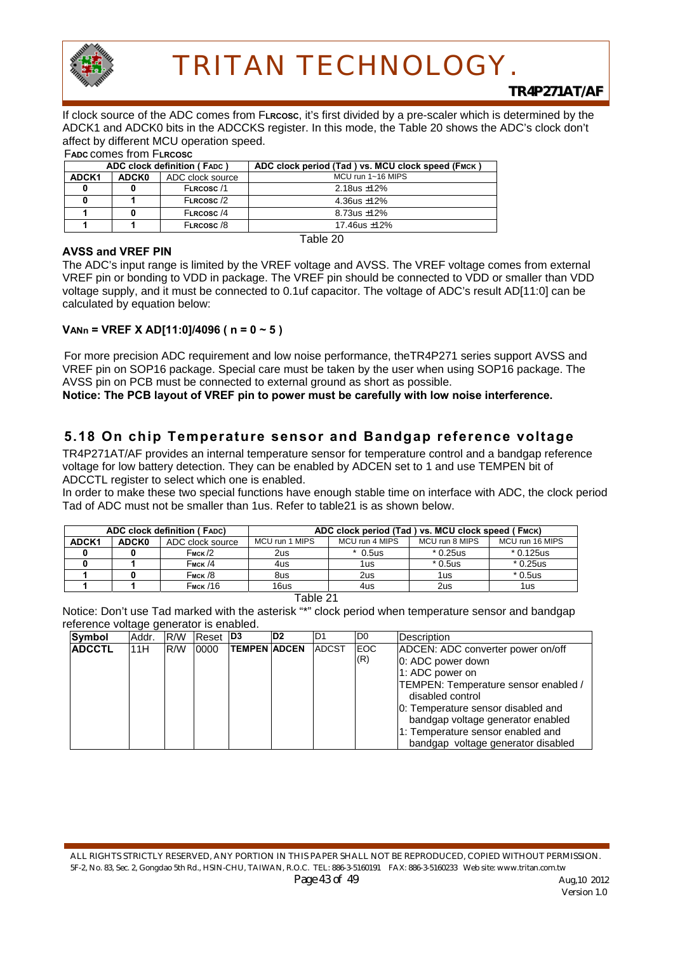

*TR4P271AT/AF*

If clock source of the ADC comes from F**LRCOSC**, it's first divided by a pre-scaler which is determined by the ADCK1 and ADCK0 bits in the ADCCKS register. In this mode, the Table 20 shows the ADC's clock don't affect by different MCU operation speed.

#### F**ADC** comes from F**LRCOSC**

| <b>ADCK0</b><br>ADCK1 | ADC clock source |                   |  |  |  |  |
|-----------------------|------------------|-------------------|--|--|--|--|
|                       |                  | MCU run 1~16 MIPS |  |  |  |  |
|                       | FLRCOSC/1        | 2.18 us $\pm$ 12% |  |  |  |  |
|                       | FLRCOSC/2        | 4.36us $\pm$ 12%  |  |  |  |  |
|                       | FLRCOSC/4        | $8.73us + 12%$    |  |  |  |  |
| FLRCOSC/8             |                  | 17.46us $±12\%$   |  |  |  |  |

#### **AVSS and VREF PIN**

Table 20

The ADC's input range is limited by the VREF voltage and AVSS. The VREF voltage comes from external VREF pin or bonding to VDD in package. The VREF pin should be connected to VDD or smaller than VDD voltage supply, and it must be connected to 0.1uf capacitor. The voltage of ADC's result AD[11:0] can be calculated by equation below:

#### **VANn = VREF X AD[11:0]/4096 ( n = 0 ~ 5 )**

For more precision ADC requirement and low noise performance, theTR4P271 series support AVSS and VREF pin on SOP16 package. Special care must be taken by the user when using SOP16 package. The AVSS pin on PCB must be connected to external ground as short as possible.

**Notice: The PCB layout of VREF pin to power must be carefully with low noise interference.**

### **5.18 On chip Temperature sensor and Bandgap reference voltage**

TR4P271AT/AF provides an internal temperature sensor for temperature control and a bandgap reference voltage for low battery detection. They can be enabled by ADCEN set to 1 and use TEMPEN bit of ADCCTL register to select which one is enabled.

In order to make these two special functions have enough stable time on interface with ADC, the clock period Tad of ADC must not be smaller than 1us. Refer to table21 is as shown below.

| <b>ADC clock definition (FADC)</b> |              |                  | ADC clock period (Tad ) vs. MCU clock speed (FMCK) |                |           |                 |  |  |  |
|------------------------------------|--------------|------------------|----------------------------------------------------|----------------|-----------|-----------------|--|--|--|
| ADCK <sub>1</sub>                  | <b>ADCK0</b> | ADC clock source | MCU run 1 MIPS                                     | MCU run 4 MIPS |           | MCU run 16 MIPS |  |  |  |
|                                    |              | <b>Емск /2</b>   | 2us                                                | $*$ 0.5us      | $*0.25us$ | $*0.125$ us     |  |  |  |
|                                    |              | $F_{MCK}$ /4     | 4us                                                | 1us            | $*0.5$ us | $*0.25us$       |  |  |  |
|                                    |              | <b>Емск /8</b>   | 8us                                                | 2us            | 1us       | $*0.5$ us       |  |  |  |
|                                    |              | <b>Емск</b> /16  | 16us                                               | 4us            | 2us       | 1us             |  |  |  |

Table 21

Notice: Don't use Tad marked with the asterisk "\*" clock period when temperature sensor and bandgap reference voltage generator is enabled.

| Symbol        | Addr. | IR/W | Reset D <sub>3</sub> |                     | D <sub>2</sub> | ID1          | ID0               | <b>Description</b>                                                                                                                                                                                                                                                                          |
|---------------|-------|------|----------------------|---------------------|----------------|--------------|-------------------|---------------------------------------------------------------------------------------------------------------------------------------------------------------------------------------------------------------------------------------------------------------------------------------------|
| <b>ADCCTL</b> | 11H   | R/W  | 0000                 | <b>TEMPEN ADCEN</b> |                | <b>ADCST</b> | <b>EOC</b><br>(R) | ADCEN: ADC converter power on/off<br>0: ADC power down<br>1: ADC power on<br>TEMPEN: Temperature sensor enabled /<br>disabled control<br>0: Temperature sensor disabled and<br>bandgap voltage generator enabled<br>1: Temperature sensor enabled and<br>bandgap voltage generator disabled |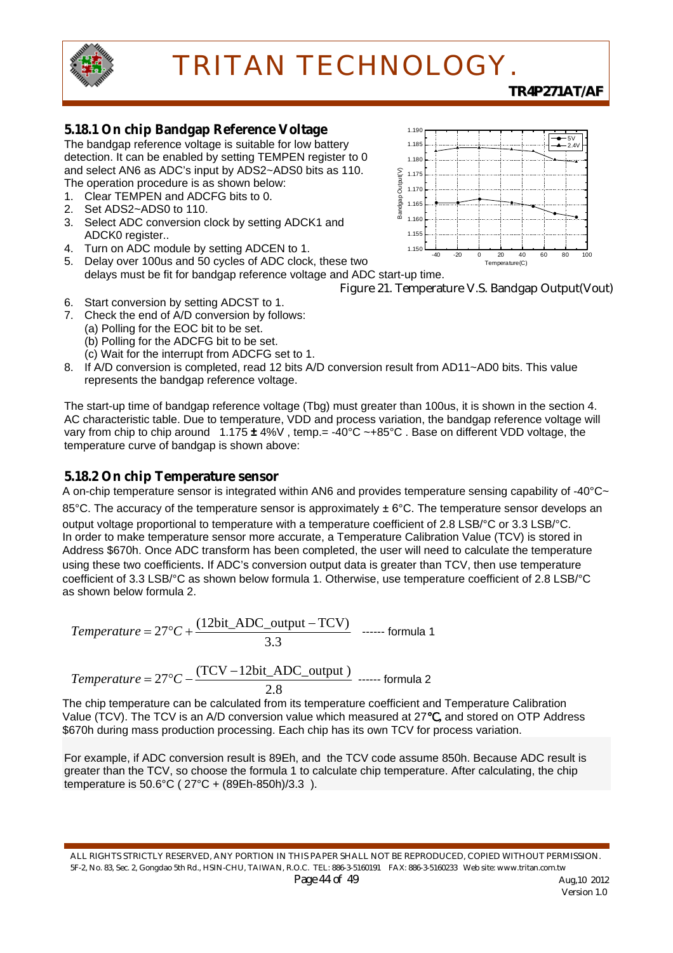

### *TR4P271AT/AF*

### **5.18.1 On chip Bandgap Reference Voltage**

The bandgap reference voltage is suitable for low battery detection. It can be enabled by setting TEMPEN register to 0 and select AN6 as ADC's input by ADS2~ADS0 bits as 110. The operation procedure is as shown below:

- 1. Clear TEMPEN and ADCFG bits to 0.
- 2. Set ADS2~ADS0 to 110.
- 3. Select ADC conversion clock by setting ADCK1 and ADCK0 register..
- 4. Turn on ADC module by setting ADCEN to 1.
- 5. Delay over 100us and 50 cycles of ADC clock, these two delays must be fit for bandgap reference voltage and ADC start-up time.



Figure 21. Temperature V.S. Bandgap Output(Vout)

- 6. Start conversion by setting ADCST to 1.
- 7. Check the end of A/D conversion by follows:
	- (a) Polling for the EOC bit to be set.
	- (b) Polling for the ADCFG bit to be set.
	- (c) Wait for the interrupt from ADCFG set to 1.
- 8. If A/D conversion is completed, read 12 bits A/D conversion result from AD11~AD0 bits. This value represents the bandgap reference voltage.

The start-up time of bandgap reference voltage (Tbg) must greater than 100us, it is shown in the section 4. AC characteristic table. Due to temperature, VDD and process variation, the bandgap reference voltage will vary from chip to chip around 1.175 **±** 4%V , temp.= -40°C ~+85°C . Base on different VDD voltage, the temperature curve of bandgap is shown above:

#### **5.18.2 On chip Temperature sensor**

A on-chip temperature sensor is integrated within AN6 and provides temperature sensing capability of -40°C~

85°C. The accuracy of the temperature sensor is approximately  $\pm$  6°C. The temperature sensor develops an output voltage proportional to temperature with a temperature coefficient of 2.8 LSB/°C or 3.3 LSB/°C. In order to make temperature sensor more accurate, a Temperature Calibration Value (TCV) is stored in Address \$670h. Once ADC transform has been completed, the user will need to calculate the temperature using these two coefficients. If ADC's conversion output data is greater than TCV, then use temperature coefficient of 3.3 LSB/°C as shown below formula 1. Otherwise, use temperature coefficient of 2.8 LSB/°C as shown below formula 2.

*Temperature* = 
$$
27^{\circ}C + \frac{(12bit \text{ADC\_output} - TCV)}{3.3}
$$
 ...... formula 1

$$
Temperature = 27^{\circ}C - \frac{(TCV - 12bit\_ADC\_output)}{2.8} \text{ ....... formula 2}
$$

The chip temperature can be calculated from its temperature coefficient and Temperature Calibration Value (TCV). The TCV is an A/D conversion value which measured at 27℃**,** and stored on OTP Address \$670h during mass production processing. Each chip has its own TCV for process variation.

For example, if ADC conversion result is 89Eh, and the TCV code assume 850h. Because ADC result is greater than the TCV, so choose the formula 1 to calculate chip temperature. After calculating, the chip temperature is 50.6°C ( 27°C + (89Eh-850h)/3.3 ).

ALL RIGHTS STRICTLY RESERVED, ANY PORTION IN THIS PAPER SHALL NOT BE REPRODUCED, COPIED WITHOUT PERMISSION. 5F-2, No. 83, Sec. 2, Gongdao 5th Rd., HSIN-CHU, TAIWAN, R.O.C. TEL: 886-3-5160191 FAX: 886-3-5160233 Web site: www.tritan.com.tw *Page 44 of 49* Aug,10 2012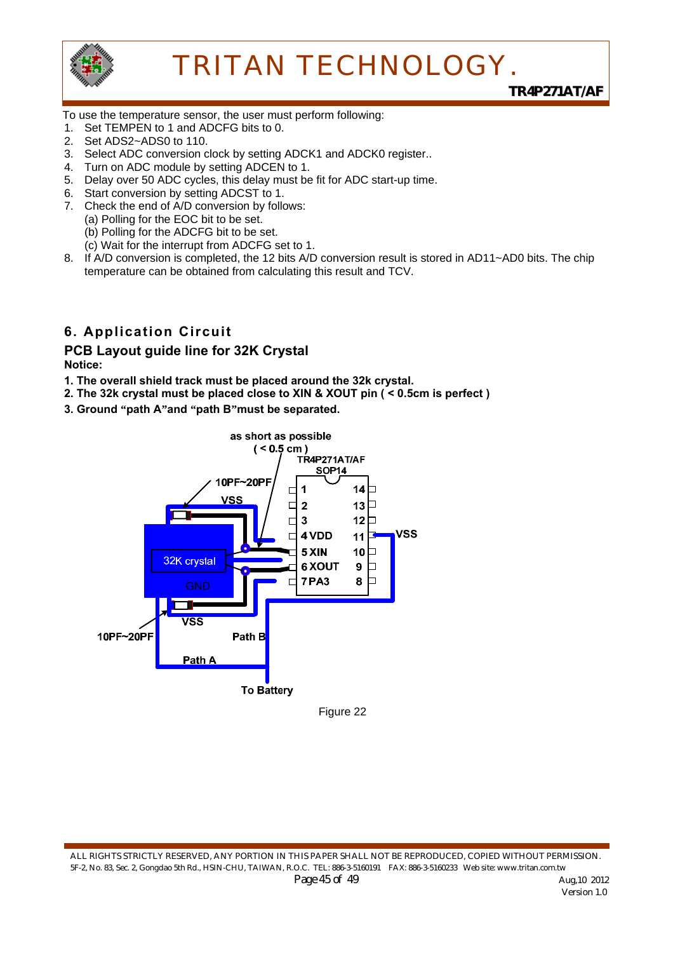

*TR4P271AT/AF*

To use the temperature sensor, the user must perform following:

- 1. Set TEMPEN to 1 and ADCFG bits to 0.
- 2. Set ADS2~ADS0 to 110.
- 3. Select ADC conversion clock by setting ADCK1 and ADCK0 register..
- 4. Turn on ADC module by setting ADCEN to 1.
- 5. Delay over 50 ADC cycles, this delay must be fit for ADC start-up time.
- 6. Start conversion by setting ADCST to 1.
- 7. Check the end of A/D conversion by follows:
	- (a) Polling for the EOC bit to be set.
		- (b) Polling for the ADCFG bit to be set.
		- (c) Wait for the interrupt from ADCFG set to 1.
- 8. If A/D conversion is completed, the 12 bits A/D conversion result is stored in AD11~AD0 bits. The chip temperature can be obtained from calculating this result and TCV.

## **6. Application Circuit**

## **PCB Layout guide line for 32K Crystal**

**Notice:** 

- **1. The overall shield track must be placed around the 32k crystal.**
- **2. The 32k crystal must be placed close to XIN & XOUT pin ( < 0.5cm is perfect )**
- **3. Ground "path A"and "path B"must be separated.**



Figure 22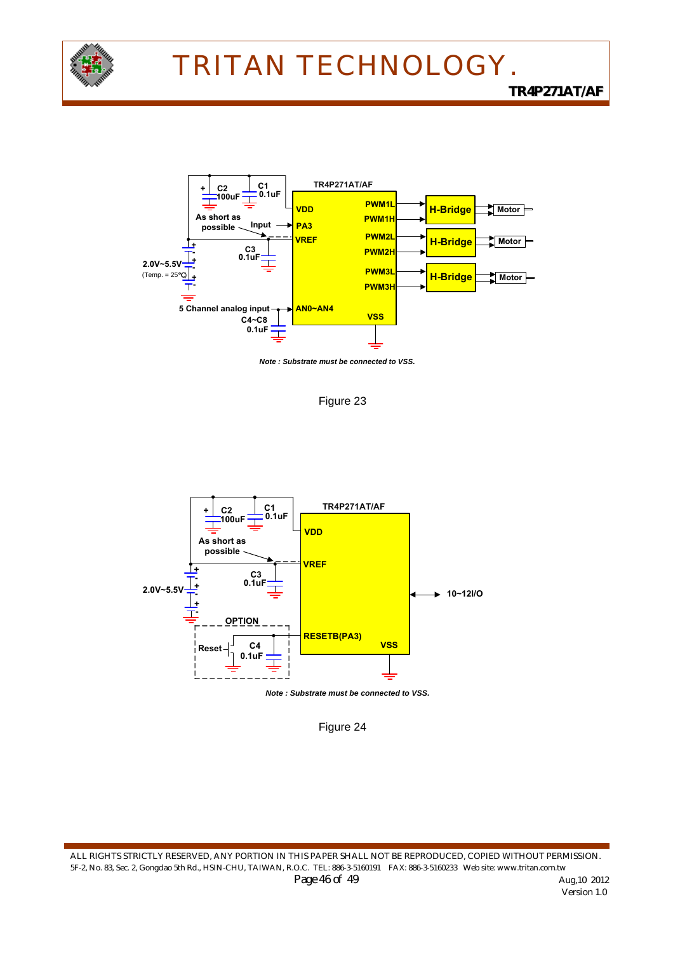

*TR4P271AT/AF*



*Note : Substrate must be connected to VSS.*







Figure 24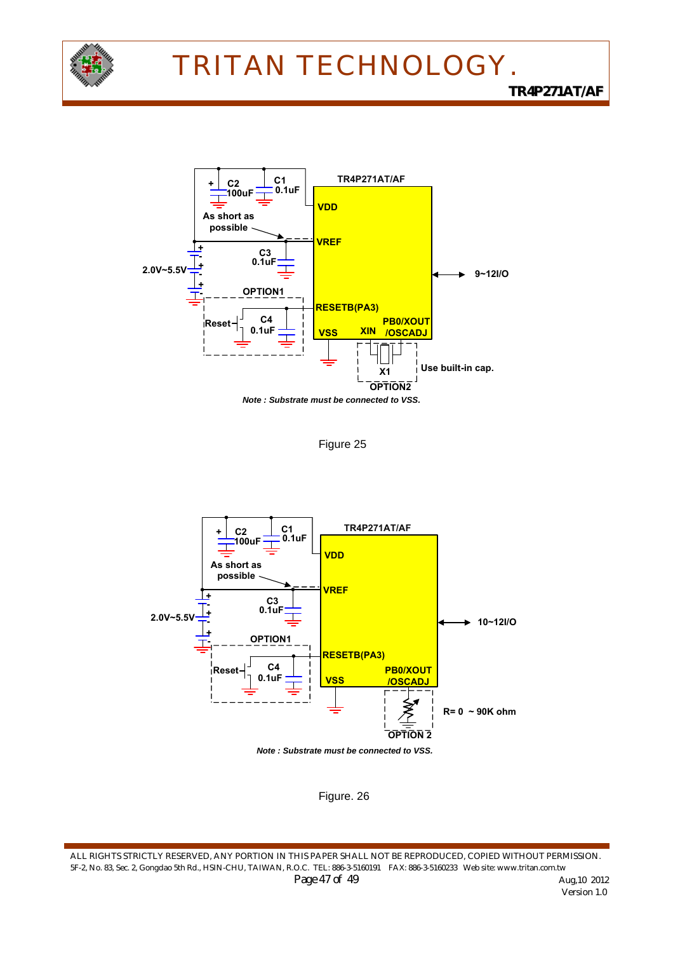



Figure 25



*Note : Substrate must be connected to VSS.*



ALL RIGHTS STRICTLY RESERVED, ANY PORTION IN THIS PAPER SHALL NOT BE REPRODUCED, COPIED WITHOUT PERMISSION. 5F-2, No. 83, Sec. 2, Gongdao 5th Rd., HSIN-CHU, TAIWAN, R.O.C. TEL: 886-3-5160191 FAX: 886-3-5160233 Web site: www.tritan.com.tw *Page 47 of 49 Aug, 10 2012*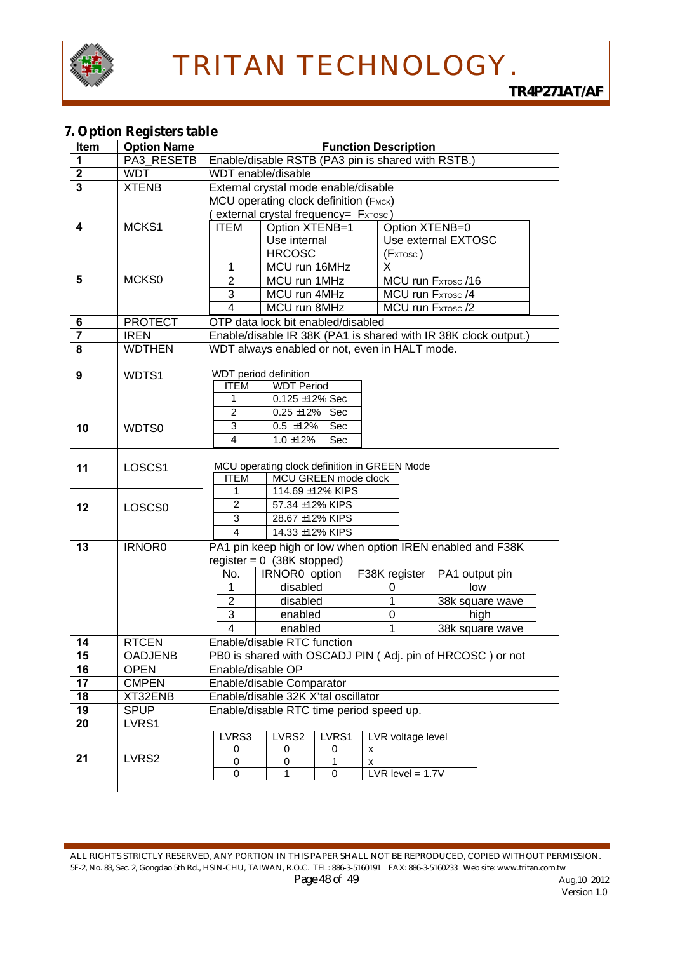

### **7. Option Registers table**

| Item                    | <b>Option Name</b>     | <b>Function Description</b>                                                                                                                                                                                                                                                                                                          |  |  |  |  |  |  |
|-------------------------|------------------------|--------------------------------------------------------------------------------------------------------------------------------------------------------------------------------------------------------------------------------------------------------------------------------------------------------------------------------------|--|--|--|--|--|--|
| 1                       | PA3 RESETB             | Enable/disable RSTB (PA3 pin is shared with RSTB.)                                                                                                                                                                                                                                                                                   |  |  |  |  |  |  |
| $\mathbf 2$             | <b>WDT</b>             | WDT enable/disable                                                                                                                                                                                                                                                                                                                   |  |  |  |  |  |  |
| $\overline{\mathbf{3}}$ | <b>XTENB</b>           | External crystal mode enable/disable                                                                                                                                                                                                                                                                                                 |  |  |  |  |  |  |
| 4                       | MCKS1                  | MCU operating clock definition (FMCK)<br>external crystal frequency= FxTosc)<br><b>ITEM</b><br>Option XTENB=1<br>Option XTENB=0<br>Use internal<br>Use external EXTOSC<br><b>HRCOSC</b><br>(Fxtosc)                                                                                                                                  |  |  |  |  |  |  |
| 5                       | MCKS0                  | MCU run 16MHz<br>1<br>X<br>$\overline{2}$<br>MCU run 1MHz<br>MCU run FxTosc /16<br>3<br>MCU run 4MHz<br>MCU run FxTosc /4<br>$\overline{4}$<br>MCU run 8MHz<br>MCU run FxTosc /2                                                                                                                                                     |  |  |  |  |  |  |
| 6                       | <b>PROTECT</b>         | OTP data lock bit enabled/disabled                                                                                                                                                                                                                                                                                                   |  |  |  |  |  |  |
| $\overline{\mathbf{7}}$ | <b>IREN</b>            | Enable/disable IR 38K (PA1 is shared with IR 38K clock output.)                                                                                                                                                                                                                                                                      |  |  |  |  |  |  |
| $\overline{\mathbf{8}}$ | <b>WDTHEN</b>          | WDT always enabled or not, even in HALT mode.                                                                                                                                                                                                                                                                                        |  |  |  |  |  |  |
| 9                       | WDTS1                  | WDT period definition<br><b>ITEM</b><br><b>WDT Period</b><br>$0.125 \pm 12\%$ Sec<br>1<br>$\overline{c}$<br>$0.25 \pm 12\%$ Sec                                                                                                                                                                                                      |  |  |  |  |  |  |
| 10                      | WDTS0                  | 3<br>$\overline{0.5}$ ±12%<br>Sec<br>$\overline{4}$<br>$1.0 \pm 12\%$<br>Sec                                                                                                                                                                                                                                                         |  |  |  |  |  |  |
| 11                      | LOSCS1                 | MCU operating clock definition in GREEN Mode<br><b>ITEM</b><br>MCU GREEN mode clock                                                                                                                                                                                                                                                  |  |  |  |  |  |  |
| 12                      | LOSCS <sub>0</sub>     | 114.69 ±12% KIPS<br>$\overline{2}$<br>57.34 ±12% KIPS<br>3<br>28.67 ±12% KIPS<br>$\overline{4}$<br>14.33 ±12% KIPS                                                                                                                                                                                                                   |  |  |  |  |  |  |
| 13                      | <b>IRNOR0</b>          | PA1 pin keep high or low when option IREN enabled and F38K<br>register = $0$ (38K stopped)<br>No.<br>F38K register<br>IRNOR0 option<br>PA1 output pin<br>disabled<br>low<br>0<br>1<br>$\overline{2}$<br>disabled<br>1<br>38k square wave<br>3<br>$\mathbf 0$<br>high<br>enabled<br>$\overline{4}$<br>1<br>38k square wave<br>enabled |  |  |  |  |  |  |
| 14                      | <b>RTCEN</b>           | Enable/disable RTC function                                                                                                                                                                                                                                                                                                          |  |  |  |  |  |  |
| 15                      | <b>OADJENB</b>         | PB0 is shared with OSCADJ PIN (Adj. pin of HRCOSC) or not                                                                                                                                                                                                                                                                            |  |  |  |  |  |  |
| 16                      | <b>OPEN</b>            | Enable/disable OP                                                                                                                                                                                                                                                                                                                    |  |  |  |  |  |  |
| 17                      | <b>CMPEN</b>           | Enable/disable Comparator                                                                                                                                                                                                                                                                                                            |  |  |  |  |  |  |
| 18                      | XT32ENB<br><b>SPUP</b> | Enable/disable 32K X'tal oscillator<br>Enable/disable RTC time period speed up.                                                                                                                                                                                                                                                      |  |  |  |  |  |  |
| 19<br>20                | LVRS1                  | LVRS3<br>LVRS2<br>LVRS1<br>LVR voltage level<br>0<br>0<br>0<br>х                                                                                                                                                                                                                                                                     |  |  |  |  |  |  |
| 21                      | LVRS2                  | 0<br>0<br>1<br>x<br>0<br>LVR level = $1.7V$<br>1<br>0                                                                                                                                                                                                                                                                                |  |  |  |  |  |  |

ALL RIGHTS STRICTLY RESERVED, ANY PORTION IN THIS PAPER SHALL NOT BE REPRODUCED, COPIED WITHOUT PERMISSION. 5F-2, No. 83, Sec. 2, Gongdao 5th Rd., HSIN-CHU, TAIWAN, R.O.C. TEL: 886-3-5160191 FAX: 886-3-5160233 Web site: www.tritan.com.tw *Page 48 of 49 Aug,10 2012 Aug,10 2012* **Version 1.0**